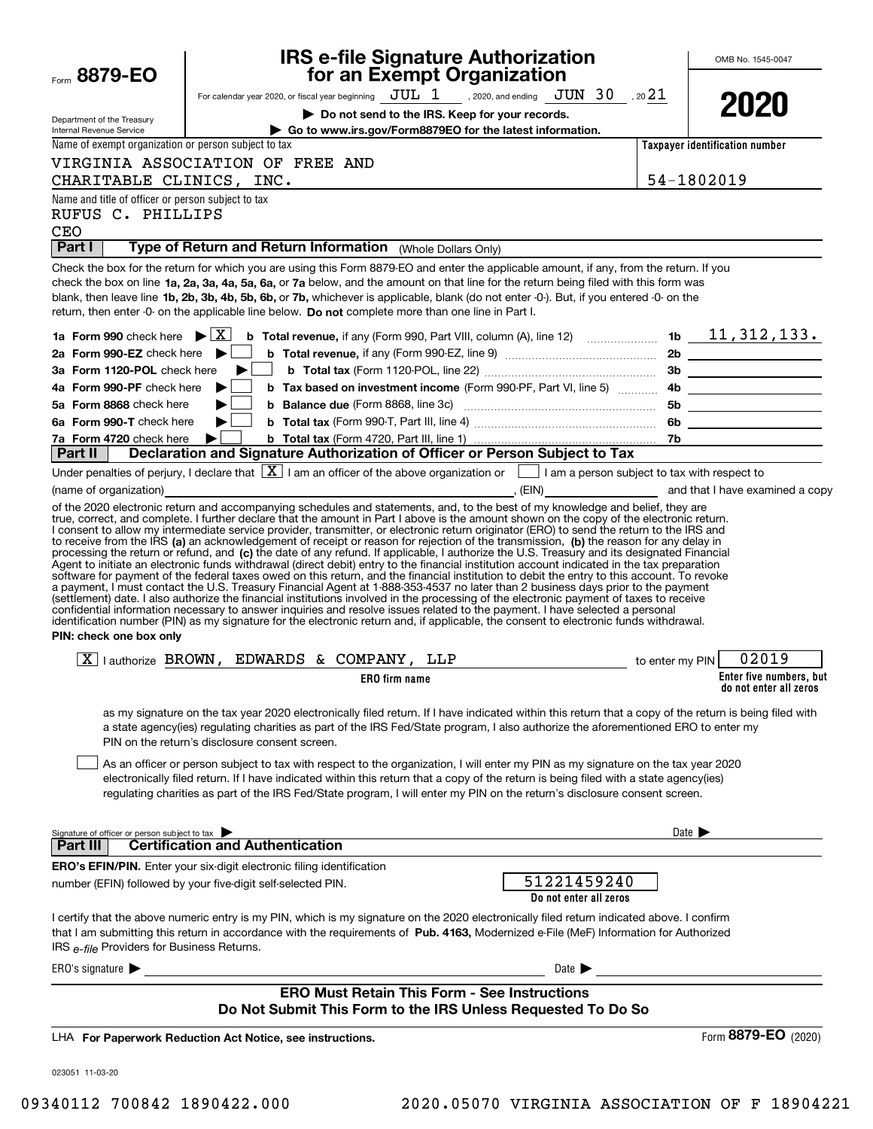| Form 8879-EO                                                            | <b>IRS e-file Signature Authorization</b><br>for an Exempt Organization                                                                                                                                                                                                                                                                                                                                                                                                                                                                                                                                                                                                                                                                                                                                                                           |                     | OMB No. 1545-0047                                 |
|-------------------------------------------------------------------------|---------------------------------------------------------------------------------------------------------------------------------------------------------------------------------------------------------------------------------------------------------------------------------------------------------------------------------------------------------------------------------------------------------------------------------------------------------------------------------------------------------------------------------------------------------------------------------------------------------------------------------------------------------------------------------------------------------------------------------------------------------------------------------------------------------------------------------------------------|---------------------|---------------------------------------------------|
|                                                                         | For calendar year 2020, or fiscal year beginning $JUL$ 1, 2020, and ending $JUN$ 30, 20 21                                                                                                                                                                                                                                                                                                                                                                                                                                                                                                                                                                                                                                                                                                                                                        |                     |                                                   |
|                                                                         | Do not send to the IRS. Keep for your records.                                                                                                                                                                                                                                                                                                                                                                                                                                                                                                                                                                                                                                                                                                                                                                                                    |                     | 2020                                              |
| Department of the Treasury<br>Internal Revenue Service                  | Go to www.irs.gov/Form8879EO for the latest information.                                                                                                                                                                                                                                                                                                                                                                                                                                                                                                                                                                                                                                                                                                                                                                                          |                     |                                                   |
| Name of exempt organization or person subject to tax                    |                                                                                                                                                                                                                                                                                                                                                                                                                                                                                                                                                                                                                                                                                                                                                                                                                                                   |                     | Taxpayer identification number                    |
|                                                                         | VIRGINIA ASSOCIATION OF FREE AND                                                                                                                                                                                                                                                                                                                                                                                                                                                                                                                                                                                                                                                                                                                                                                                                                  |                     |                                                   |
| CHARITABLE CLINICS, INC.                                                | <u> 1989 - Johann Stein, marwolaethau a bhann an t-Amhain an t-Amhain an t-Amhain an t-Amhain an t-Amhain an t-A</u>                                                                                                                                                                                                                                                                                                                                                                                                                                                                                                                                                                                                                                                                                                                              | 54-1802019          |                                                   |
| Name and title of officer or person subject to tax                      |                                                                                                                                                                                                                                                                                                                                                                                                                                                                                                                                                                                                                                                                                                                                                                                                                                                   |                     |                                                   |
| RUFUS C. PHILLIPS                                                       |                                                                                                                                                                                                                                                                                                                                                                                                                                                                                                                                                                                                                                                                                                                                                                                                                                                   |                     |                                                   |
| CEO<br><b>Part I</b>                                                    | Type of Return and Return Information (Whole Dollars Only)                                                                                                                                                                                                                                                                                                                                                                                                                                                                                                                                                                                                                                                                                                                                                                                        |                     |                                                   |
| 1a Form 990 check here $\blacktriangleright \lceil \overline{X} \rceil$ | Check the box for the return for which you are using this Form 8879-EO and enter the applicable amount, if any, from the return. If you<br>check the box on line 1a, 2a, 3a, 4a, 5a, 6a, or 7a below, and the amount on that line for the return being filed with this form was<br>blank, then leave line 1b, 2b, 3b, 4b, 5b, 6b, or 7b, whichever is applicable, blank (do not enter -0-). But, if you entered -0- on the<br>return, then enter -0- on the applicable line below. Do not complete more than one line in Part I.<br><b>b</b> Total revenue, if any (Form 990, Part VIII, column (A), line 12) $\ldots$ 10 $\ldots$ 10 $\ldots$ 11, 312, 133.                                                                                                                                                                                      |                     |                                                   |
| 2a Form 990-EZ check here                                               |                                                                                                                                                                                                                                                                                                                                                                                                                                                                                                                                                                                                                                                                                                                                                                                                                                                   |                     |                                                   |
| 3a Form 1120-POL check here                                             |                                                                                                                                                                                                                                                                                                                                                                                                                                                                                                                                                                                                                                                                                                                                                                                                                                                   |                     |                                                   |
| 4a Form 990-PF check here                                               | <b>b</b> Tax based on investment income (Form 990-PF, Part VI, line 5)                                                                                                                                                                                                                                                                                                                                                                                                                                                                                                                                                                                                                                                                                                                                                                            |                     | 4b                                                |
| 5a Form 8868 check here                                                 | <b>b</b> Balance due (Form 8868, line 3c) <b>Manual</b> Communication and Balance due (Form 8868, line 3c)                                                                                                                                                                                                                                                                                                                                                                                                                                                                                                                                                                                                                                                                                                                                        |                     |                                                   |
| 6a Form 990-T check here                                                |                                                                                                                                                                                                                                                                                                                                                                                                                                                                                                                                                                                                                                                                                                                                                                                                                                                   |                     |                                                   |
| 7a Form 4720 check here                                                 |                                                                                                                                                                                                                                                                                                                                                                                                                                                                                                                                                                                                                                                                                                                                                                                                                                                   |                     |                                                   |
| ∣ Part II                                                               | Declaration and Signature Authorization of Officer or Person Subject to Tax                                                                                                                                                                                                                                                                                                                                                                                                                                                                                                                                                                                                                                                                                                                                                                       |                     |                                                   |
|                                                                         | Under penalties of perjury, I declare that $\boxed{\mathbf{X}}$ I am an officer of the above organization or $\boxed{\phantom{\mathbf{X}}}$ I am a person subject to tax with respect to                                                                                                                                                                                                                                                                                                                                                                                                                                                                                                                                                                                                                                                          |                     |                                                   |
|                                                                         | (name of organization) <b>Contract Contract Contract Contract Contract Contract Contract Contract Contract Contract Contract Contract Contract Contract Contract Contract Contract Contract Contract Contract Contract Contract </b><br>of the 2020 electronic return and accompanying schedules and statements, and, to the best of my knowledge and belief, they are                                                                                                                                                                                                                                                                                                                                                                                                                                                                            |                     |                                                   |
| PIN: check one box only                                                 | Agent to initiate an electronic funds withdrawal (direct debit) entry to the financial institution account indicated in the tax preparation<br>software for payment of the federal taxes owed on this return, and the financial institution to debit the entry to this account. To revoke<br>a payment, I must contact the U.S. Treasury Financial Agent at 1-888-353-4537 no later than 2 business days prior to the payment<br>(settlement) date. I also authorize the financial institutions involved in the processing of the electronic payment of taxes to receive<br>confidential information necessary to answer inquiries and resolve issues related to the payment. I have selected a personal<br>identification number (PIN) as my signature for the electronic return and, if applicable, the consent to electronic funds withdrawal. |                     |                                                   |
|                                                                         |                                                                                                                                                                                                                                                                                                                                                                                                                                                                                                                                                                                                                                                                                                                                                                                                                                                   |                     |                                                   |
|                                                                         | $\boxed{X}$ authorize BROWN, EDWARDS & COMPANY, LLP<br>to enter my PIN                                                                                                                                                                                                                                                                                                                                                                                                                                                                                                                                                                                                                                                                                                                                                                            |                     | 02019                                             |
|                                                                         | ERO firm name                                                                                                                                                                                                                                                                                                                                                                                                                                                                                                                                                                                                                                                                                                                                                                                                                                     |                     | Enter five numbers, but<br>do not enter all zeros |
|                                                                         | as my signature on the tax year 2020 electronically filed return. If I have indicated within this return that a copy of the return is being filed with<br>a state agency(ies) regulating charities as part of the IRS Fed/State program, I also authorize the aforementioned ERO to enter my<br>PIN on the return's disclosure consent screen.<br>As an officer or person subject to tax with respect to the organization, I will enter my PIN as my signature on the tax year 2020<br>electronically filed return. If I have indicated within this return that a copy of the return is being filed with a state agency(ies)<br>regulating charities as part of the IRS Fed/State program, I will enter my PIN on the return's disclosure consent screen.                                                                                         |                     |                                                   |
| Signature of officer or person subject to tax                           |                                                                                                                                                                                                                                                                                                                                                                                                                                                                                                                                                                                                                                                                                                                                                                                                                                                   | Date $\blacksquare$ |                                                   |
| Part III                                                                | <b>Certification and Authentication</b>                                                                                                                                                                                                                                                                                                                                                                                                                                                                                                                                                                                                                                                                                                                                                                                                           |                     |                                                   |
|                                                                         | ERO's EFIN/PIN. Enter your six-digit electronic filing identification<br>51221459240<br>number (EFIN) followed by your five-digit self-selected PIN.<br>Do not enter all zeros                                                                                                                                                                                                                                                                                                                                                                                                                                                                                                                                                                                                                                                                    |                     |                                                   |
| IRS e-file Providers for Business Returns.                              | I certify that the above numeric entry is my PIN, which is my signature on the 2020 electronically filed return indicated above. I confirm<br>that I am submitting this return in accordance with the requirements of Pub. 4163, Modernized e-File (MeF) Information for Authorized                                                                                                                                                                                                                                                                                                                                                                                                                                                                                                                                                               |                     |                                                   |
| ERO's signature $\blacktriangleright$                                   | Date $\blacktriangleright$                                                                                                                                                                                                                                                                                                                                                                                                                                                                                                                                                                                                                                                                                                                                                                                                                        |                     |                                                   |
|                                                                         | <b>ERO Must Retain This Form - See Instructions</b><br>Do Not Submit This Form to the IRS Unless Requested To Do So                                                                                                                                                                                                                                                                                                                                                                                                                                                                                                                                                                                                                                                                                                                               |                     |                                                   |
|                                                                         | LHA For Paperwork Reduction Act Notice, see instructions.                                                                                                                                                                                                                                                                                                                                                                                                                                                                                                                                                                                                                                                                                                                                                                                         |                     | Form 8879-EO (2020)                               |
| 023051 11-03-20                                                         |                                                                                                                                                                                                                                                                                                                                                                                                                                                                                                                                                                                                                                                                                                                                                                                                                                                   |                     |                                                   |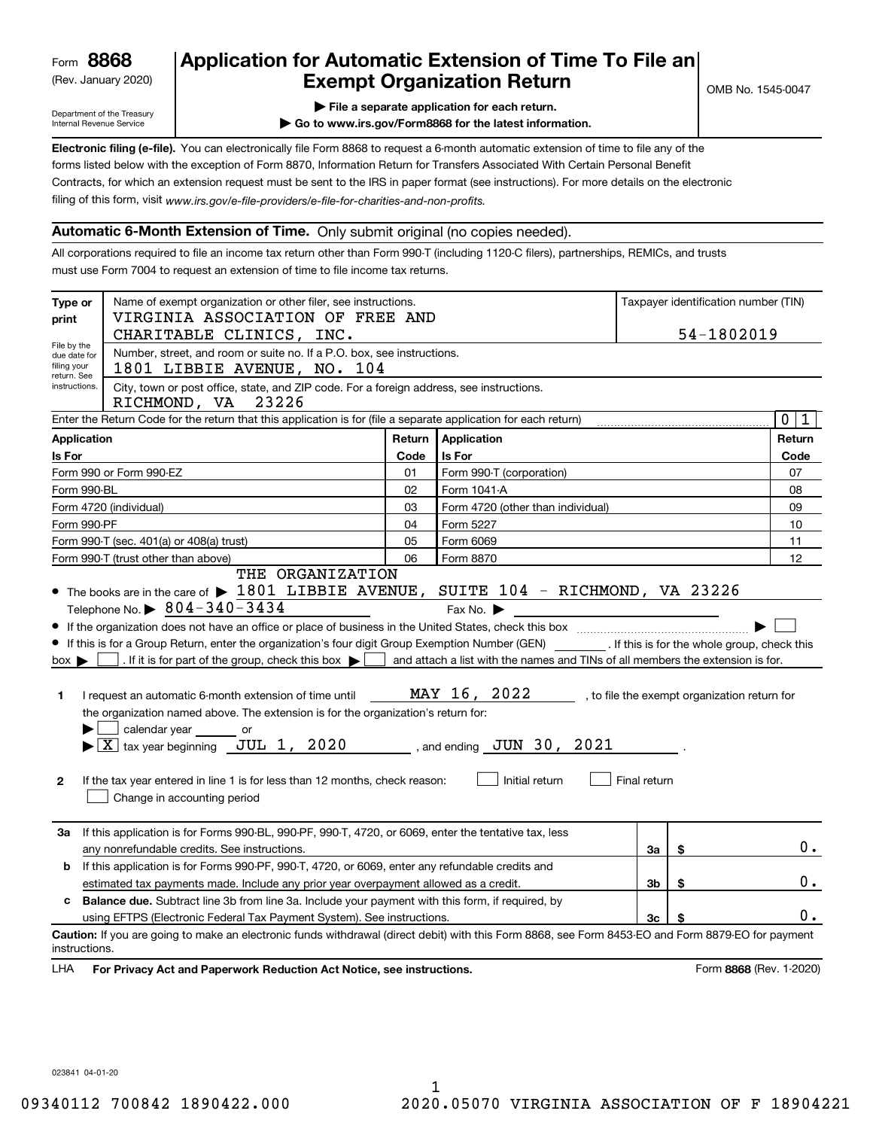(Rev. January 2020)

## **Application for Automatic Extension of Time To File an Exempt Organization Return**

Department of the Treasury Internal Revenue Service

**| File a separate application for each return.**

**| Go to www.irs.gov/Form8868 for the latest information.**

**Electronic filing (e-file).**  You can electronically file Form 8868 to request a 6-month automatic extension of time to file any of the filing of this form, visit www.irs.gov/e-file-providers/e-file-for-charities-and-non-profits. forms listed below with the exception of Form 8870, Information Return for Transfers Associated With Certain Personal Benefit Contracts, for which an extension request must be sent to the IRS in paper format (see instructions). For more details on the electronic

### **Automatic 6-Month Extension of Time.** Only submit original (no copies needed).

All corporations required to file an income tax return other than Form 990-T (including 1120-C filers), partnerships, REMICs, and trusts must use Form 7004 to request an extension of time to file income tax returns.

| Type or<br>print                                          | Name of exempt organization or other filer, see instructions.<br>VIRGINIA ASSOCIATION OF FREE AND<br>CHARITABLE CLINICS, INC.                                                                                                                                                                                                                                                                                                                                                                                                                                                                        |        |                                                                                                                                                   | Taxpayer identification number (TIN)<br>54-1802019 |                                              |                         |        |
|-----------------------------------------------------------|------------------------------------------------------------------------------------------------------------------------------------------------------------------------------------------------------------------------------------------------------------------------------------------------------------------------------------------------------------------------------------------------------------------------------------------------------------------------------------------------------------------------------------------------------------------------------------------------------|--------|---------------------------------------------------------------------------------------------------------------------------------------------------|----------------------------------------------------|----------------------------------------------|-------------------------|--------|
| File by the<br>due date for<br>filing your<br>return. See | Number, street, and room or suite no. If a P.O. box, see instructions.<br>1801 LIBBIE AVENUE, NO. 104                                                                                                                                                                                                                                                                                                                                                                                                                                                                                                |        |                                                                                                                                                   |                                                    |                                              |                         |        |
| instructions.                                             | City, town or post office, state, and ZIP code. For a foreign address, see instructions.<br>RICHMOND, VA<br>23226                                                                                                                                                                                                                                                                                                                                                                                                                                                                                    |        |                                                                                                                                                   |                                                    |                                              |                         |        |
|                                                           | Enter the Return Code for the return that this application is for (file a separate application for each return)                                                                                                                                                                                                                                                                                                                                                                                                                                                                                      |        |                                                                                                                                                   |                                                    |                                              |                         | 0 1    |
| <b>Application</b>                                        |                                                                                                                                                                                                                                                                                                                                                                                                                                                                                                                                                                                                      | Return | Application                                                                                                                                       |                                                    |                                              |                         | Return |
| Is For                                                    |                                                                                                                                                                                                                                                                                                                                                                                                                                                                                                                                                                                                      | Code   | <b>Is For</b>                                                                                                                                     |                                                    |                                              |                         | Code   |
|                                                           | Form 990 or Form 990-EZ                                                                                                                                                                                                                                                                                                                                                                                                                                                                                                                                                                              | 01     | Form 990-T (corporation)                                                                                                                          |                                                    |                                              |                         | 07     |
| Form 990-BL                                               |                                                                                                                                                                                                                                                                                                                                                                                                                                                                                                                                                                                                      | 02     | Form 1041-A                                                                                                                                       |                                                    |                                              |                         | 08     |
|                                                           | Form 4720 (individual)                                                                                                                                                                                                                                                                                                                                                                                                                                                                                                                                                                               | 03     | Form 4720 (other than individual)                                                                                                                 |                                                    |                                              |                         | 09     |
| Form 990-PF                                               |                                                                                                                                                                                                                                                                                                                                                                                                                                                                                                                                                                                                      | 04     | Form 5227                                                                                                                                         |                                                    |                                              |                         | 10     |
|                                                           | Form 990-T (sec. 401(a) or 408(a) trust)                                                                                                                                                                                                                                                                                                                                                                                                                                                                                                                                                             | 05     | Form 6069                                                                                                                                         |                                                    |                                              |                         | 11     |
| 06<br>Form 990-T (trust other than above)<br>Form 8870    |                                                                                                                                                                                                                                                                                                                                                                                                                                                                                                                                                                                                      |        |                                                                                                                                                   | 12                                                 |                                              |                         |        |
| $box \blacktriangleright$<br>1<br>$\mathbf{2}$            | If this is for a Group Return, enter the organization's four digit Group Exemption Number (GEN) __________. If this is for the whole group, check this<br>. If it is for part of the group, check this box $\blacktriangleright$<br>I request an automatic 6-month extension of time until<br>the organization named above. The extension is for the organization's return for:<br>calendar year _______ or<br>$\blacktriangleright$ $\boxed{\text{X}}$ tax year beginning JUL 1, 2020<br>If the tax year entered in line 1 is for less than 12 months, check reason:<br>Change in accounting period |        | and attach a list with the names and TINs of all members the extension is for.<br>MAY 16, 2022<br>, and ending $JUN$ 30, $2021$<br>Initial return | Final return                                       | , to file the exempt organization return for |                         |        |
| За                                                        | If this application is for Forms 990-BL, 990-PF, 990-T, 4720, or 6069, enter the tentative tax, less<br>any nonrefundable credits. See instructions.                                                                                                                                                                                                                                                                                                                                                                                                                                                 |        |                                                                                                                                                   | За                                                 | \$                                           |                         | 0.     |
| b                                                         | If this application is for Forms 990-PF, 990-T, 4720, or 6069, enter any refundable credits and                                                                                                                                                                                                                                                                                                                                                                                                                                                                                                      |        |                                                                                                                                                   |                                                    |                                              |                         |        |
|                                                           | estimated tax payments made. Include any prior year overpayment allowed as a credit.                                                                                                                                                                                                                                                                                                                                                                                                                                                                                                                 |        |                                                                                                                                                   | 3b                                                 | \$                                           |                         | $0$ .  |
| c                                                         | <b>Balance due.</b> Subtract line 3b from line 3a. Include your payment with this form, if required, by                                                                                                                                                                                                                                                                                                                                                                                                                                                                                              |        |                                                                                                                                                   |                                                    |                                              |                         |        |
|                                                           | using EFTPS (Electronic Federal Tax Payment System). See instructions.                                                                                                                                                                                                                                                                                                                                                                                                                                                                                                                               |        |                                                                                                                                                   | 3 <sub>c</sub>                                     |                                              |                         | 0.     |
| instructions.<br>LHA                                      | Caution: If you are going to make an electronic funds withdrawal (direct debit) with this Form 8868, see Form 8453-EO and Form 8879-EO for payment<br>For Privacy Act and Paperwork Reduction Act Notice, see instructions.                                                                                                                                                                                                                                                                                                                                                                          |        |                                                                                                                                                   |                                                    |                                              | Form 8868 (Rev. 1-2020) |        |

023841 04-01-20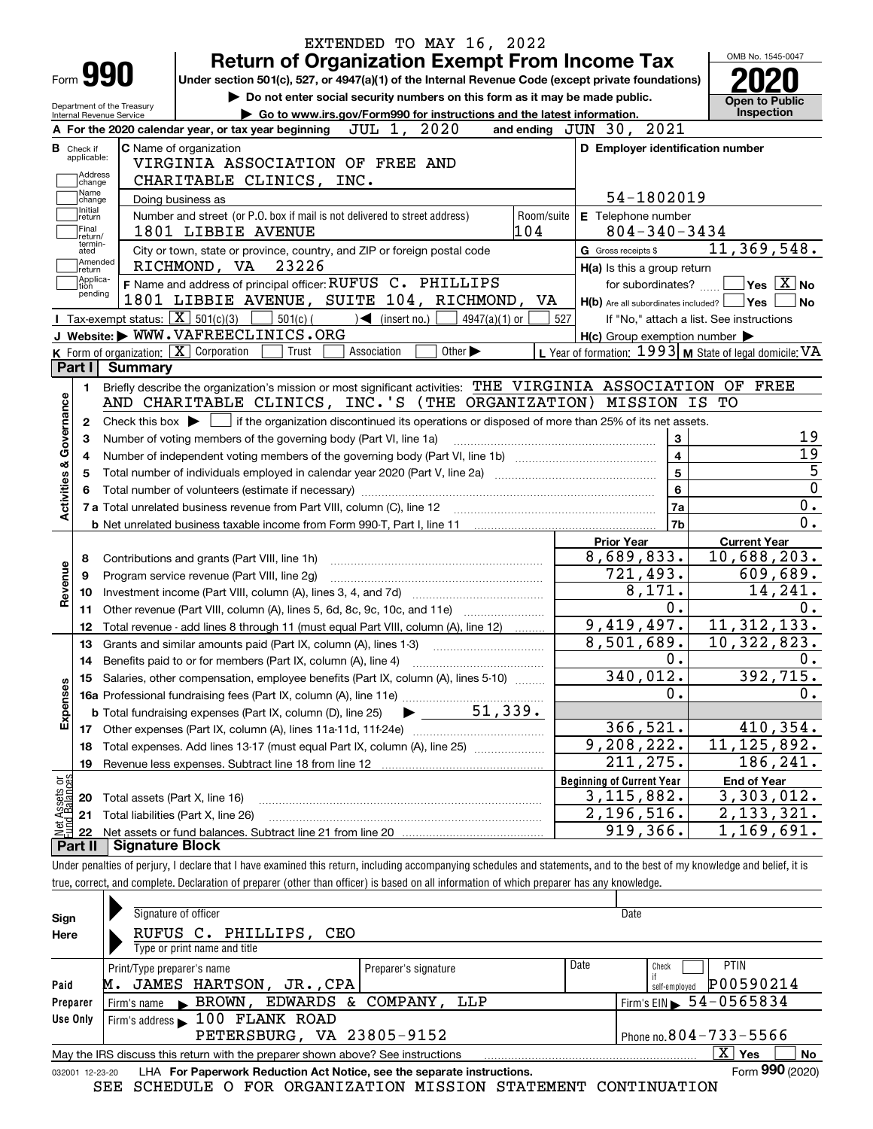|                                                        | EXTENDED TO MAY 16, 2022                                                                                                                                   |                   |                                                           | OMB No. 1545-0047                        |
|--------------------------------------------------------|------------------------------------------------------------------------------------------------------------------------------------------------------------|-------------------|-----------------------------------------------------------|------------------------------------------|
| Form <b>990</b>                                        | <b>Return of Organization Exempt From Income Tax</b><br>Under section 501(c), 527, or 4947(a)(1) of the Internal Revenue Code (except private foundations) |                   |                                                           |                                          |
|                                                        | Do not enter social security numbers on this form as it may be made public.                                                                                |                   |                                                           |                                          |
| Department of the Treasury<br>Internal Revenue Service | Go to www.irs.gov/Form990 for instructions and the latest information.                                                                                     |                   |                                                           | <b>Open to Public</b><br>Inspection      |
|                                                        | JUL 1, 2020<br>A For the 2020 calendar year, or tax year beginning                                                                                         |                   | and ending JUN 30, 2021                                   |                                          |
| <b>B</b> Check if<br>applicable:<br>Address            | <b>C</b> Name of organization<br>VIRGINIA ASSOCIATION OF FREE AND                                                                                          |                   | D Employer identification number                          |                                          |
| change<br>Name                                         | CHARITABLE CLINICS, INC.                                                                                                                                   |                   |                                                           |                                          |
| change<br>Initial                                      | Doing business as                                                                                                                                          |                   | 54-1802019                                                |                                          |
| return<br>Final<br>return/                             | Number and street (or P.O. box if mail is not delivered to street address)<br>1801 LIBBIE AVENUE                                                           | Room/suite<br>104 | E Telephone number<br>$804 - 340 - 3434$                  |                                          |
| termin-<br>ated                                        | City or town, state or province, country, and ZIP or foreign postal code                                                                                   |                   | G Gross receipts \$                                       | 11,369,548.                              |
| Amended<br>return                                      | RICHMOND, VA 23226                                                                                                                                         |                   | H(a) Is this a group return                               |                                          |
| Applica-<br>tion                                       | F Name and address of principal officer: RUFUS C. PHILLIPS                                                                                                 |                   | for subordinates?                                         | $\sqrt{}$ Yes $\sqrt{}$ X $\sqrt{}$ No   |
| pending                                                | 1801 LIBBIE AVENUE, SUITE 104, RICHMOND, VA                                                                                                                |                   | $H(b)$ Are all subordinates included? $\Box$ Yes          |                                          |
|                                                        | Tax-exempt status: $\boxed{\mathbf{X}}$ 501(c)(3) $\boxed{\phantom{0}}$ 501(c)( $\phantom{\left(\mathbf{X}\right)}$ (insert no.)<br>$4947(a)(1)$ or        | 527               |                                                           | If "No," attach a list. See instructions |
|                                                        | J Website: WWW.VAFREECLINICS.ORG                                                                                                                           |                   | $H(c)$ Group exemption number $\blacktriangleright$       |                                          |
|                                                        | K Form of organization: X Corporation<br>Trust<br>Other $\blacktriangleright$<br>Association                                                               |                   | L Year of formation: $1993$ M State of legal domicile: VA |                                          |
| Part I                                                 | Summary                                                                                                                                                    |                   |                                                           |                                          |
| 1.                                                     | Briefly describe the organization's mission or most significant activities: THE VIRGINIA ASSOCIATION OF FREE                                               |                   |                                                           |                                          |
|                                                        | AND CHARITABLE CLINICS, INC.'S (THE ORGANIZATION) MISSION IS TO                                                                                            |                   |                                                           |                                          |
| 2                                                      | Check this box $\blacktriangleright$ $\Box$ if the organization discontinued its operations or disposed of more than 25% of its net assets.                |                   |                                                           |                                          |
| з                                                      | Number of voting members of the governing body (Part VI, line 1a)                                                                                          |                   | 3                                                         |                                          |
| 4                                                      |                                                                                                                                                            |                   | $\overline{\mathbf{4}}$                                   |                                          |
| 5                                                      | Total number of individuals employed in calendar year 2020 (Part V, line 2a) manufacture of individuals employed in calendar year 2020 (Part V, line 2a)   |                   | $\overline{5}$                                            |                                          |
|                                                        |                                                                                                                                                            |                   | $6\phantom{a}$                                            |                                          |
| Activities & Governance                                |                                                                                                                                                            |                   | 7a                                                        |                                          |
|                                                        |                                                                                                                                                            |                   | 7b                                                        |                                          |
|                                                        | <b>b</b> Net unrelated business taxable income from Form 990-T, Part I, line 11 <b>manual</b> content in the set of the Net                                |                   |                                                           |                                          |
|                                                        |                                                                                                                                                            |                   | <b>Prior Year</b>                                         | <b>Current Year</b><br>10,688,203.       |
| 8                                                      |                                                                                                                                                            |                   | 8,689,833.                                                |                                          |
| 9                                                      | Program service revenue (Part VIII, line 2g)                                                                                                               |                   | 721,493.                                                  | 609,689.                                 |
| Revenue<br>10                                          |                                                                                                                                                            |                   | 8,171.                                                    | 14,241.                                  |
| 11                                                     | Other revenue (Part VIII, column (A), lines 5, 6d, 8c, 9c, 10c, and 11e)                                                                                   |                   | 0.                                                        |                                          |
| 12                                                     | Total revenue - add lines 8 through 11 (must equal Part VIII, column (A), line 12)                                                                         |                   | 9,419,497.                                                | 11, 312, 133.                            |
| 13                                                     | Grants and similar amounts paid (Part IX, column (A), lines 1-3) <i></i>                                                                                   |                   | 8,501,689.                                                | 10,322,823.                              |
|                                                        |                                                                                                                                                            |                   | 0.                                                        |                                          |
| 15                                                     | Salaries, other compensation, employee benefits (Part IX, column (A), lines 5-10)                                                                          |                   | 340,012.                                                  | 392, 715.                                |
|                                                        |                                                                                                                                                            |                   | 0.                                                        |                                          |
| Expenses                                               | 51,339.<br><b>b</b> Total fundraising expenses (Part IX, column (D), line 25)                                                                              |                   |                                                           |                                          |
| 17                                                     |                                                                                                                                                            |                   | 366,521.                                                  | 410,354.                                 |
|                                                        | Total expenses. Add lines 13-17 (must equal Part IX, column (A), line 25)                                                                                  |                   | $\overline{9,208,222}$ .                                  | 11, 125, 892.                            |
| 18                                                     | Revenue less expenses. Subtract line 18 from line 12                                                                                                       |                   |                                                           |                                          |
|                                                        |                                                                                                                                                            |                   |                                                           |                                          |
| 19                                                     |                                                                                                                                                            |                   | 211,275.                                                  |                                          |
|                                                        |                                                                                                                                                            |                   | <b>Beginning of Current Year</b>                          | <b>End of Year</b>                       |
| 20                                                     | Total assets (Part X, line 16)                                                                                                                             |                   | 3, 115, 882.                                              |                                          |
| 21                                                     | Total liabilities (Part X, line 26)                                                                                                                        |                   | $2,196,516$ .                                             | 186,241.<br>3,303,012.<br>2,133,321.     |
| Net Assets or<br>Eund Balances<br>22<br>Part II        | <b>Signature Block</b>                                                                                                                                     |                   | 919,366.                                                  | 1,169,691.                               |

| Sign     | Signature of officer                                                                                         | Date          |                                              |  |  |  |  |  |  |
|----------|--------------------------------------------------------------------------------------------------------------|---------------|----------------------------------------------|--|--|--|--|--|--|
| Here     | RUFUS C. PHILLIPS, CEO                                                                                       |               |                                              |  |  |  |  |  |  |
|          | Type or print name and title                                                                                 |               |                                              |  |  |  |  |  |  |
|          | Print/Type preparer's name<br>Preparer's signature                                                           | Date<br>Check | <b>PTIN</b>                                  |  |  |  |  |  |  |
| Paid     | JAMES HARTSON, JR., CPA<br>м.                                                                                |               | P00590214<br>self-emploved                   |  |  |  |  |  |  |
| Preparer | BROWN, EDWARDS & COMPANY, LLP<br>Firm's name                                                                 |               | $1$ Firm's EIN $\triangleright$ 54 - 0565834 |  |  |  |  |  |  |
| Use Only | Firm's address 100 FLANK ROAD                                                                                |               |                                              |  |  |  |  |  |  |
|          | PETERSBURG, VA 23805-9152                                                                                    |               | Phone no. $804 - 733 - 5566$                 |  |  |  |  |  |  |
|          | x<br>Yes<br>No<br>May the IRS discuss this return with the preparer shown above? See instructions            |               |                                              |  |  |  |  |  |  |
|          | Form 990 (2020)<br>LHA For Paperwork Reduction Act Notice, see the separate instructions.<br>032001 12-23-20 |               |                                              |  |  |  |  |  |  |

SEE SCHEDULE O FOR ORGANIZATION MISSION STATEMENT CONTINUATION

**990**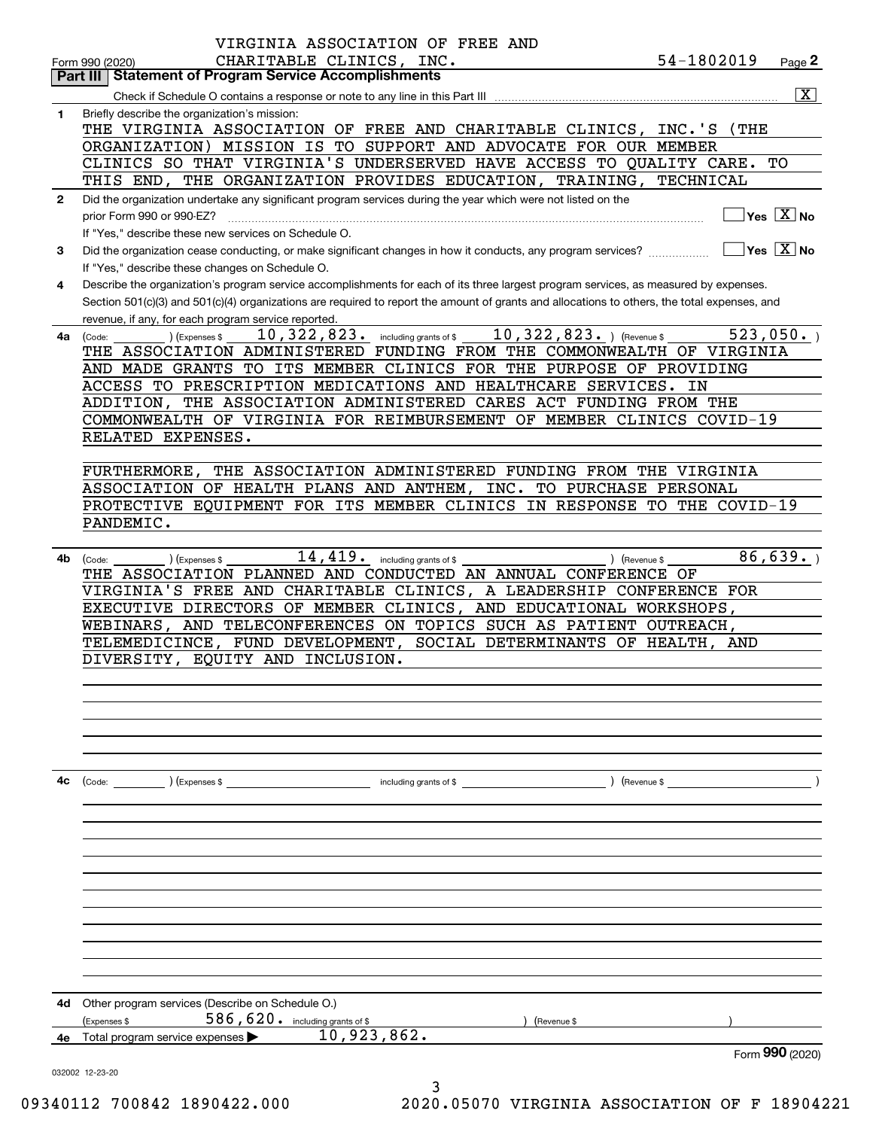|              | VIRGINIA ASSOCIATION OF FREE AND                                                                                                             |                 |                                                                 |
|--------------|----------------------------------------------------------------------------------------------------------------------------------------------|-----------------|-----------------------------------------------------------------|
|              | CHARITABLE CLINICS, INC.<br>Form 990 (2020)<br><b>Statement of Program Service Accomplishments</b><br>Part III                               | 54-1802019      | Page 2                                                          |
|              |                                                                                                                                              |                 | $\overline{\mathbf{X}}$                                         |
| 1            | Briefly describe the organization's mission:                                                                                                 |                 |                                                                 |
|              | THE VIRGINIA ASSOCIATION OF FREE AND CHARITABLE CLINICS,                                                                                     | INC.'S<br>(THE) |                                                                 |
|              | ORGANIZATION) MISSION IS TO SUPPORT AND ADVOCATE FOR OUR MEMBER                                                                              |                 |                                                                 |
|              | CLINICS SO THAT VIRGINIA'S UNDERSERVED HAVE ACCESS TO QUALITY CARE.                                                                          |                 | TО                                                              |
|              | THIS END, THE ORGANIZATION PROVIDES EDUCATION, TRAINING, TECHNICAL                                                                           |                 |                                                                 |
| $\mathbf{2}$ | Did the organization undertake any significant program services during the year which were not listed on the                                 |                 |                                                                 |
|              | prior Form 990 or 990-EZ?                                                                                                                    |                 | $\overline{\mathsf{Yes} \mathrel{\hspace{0.5pt}\mathsf{X}}}$ No |
|              | If "Yes," describe these new services on Schedule O.                                                                                         |                 |                                                                 |
| 3            | Did the organization cease conducting, or make significant changes in how it conducts, any program services?                                 |                 | $ Yes X $ No                                                    |
|              | If "Yes," describe these changes on Schedule O.                                                                                              |                 |                                                                 |
| 4            | Describe the organization's program service accomplishments for each of its three largest program services, as measured by expenses.         |                 |                                                                 |
|              | Section 501(c)(3) and 501(c)(4) organizations are required to report the amount of grants and allocations to others, the total expenses, and |                 |                                                                 |
|              | revenue, if any, for each program service reported.                                                                                          |                 |                                                                 |
| 4a           | 10, 322, 823. ) (Revenue \$<br>$10,322,823$ $\cdot$ including grants of \$<br>(Expenses \$<br>(Code:                                         |                 | 523,050.                                                        |
|              | THE ASSOCIATION ADMINISTERED FUNDING FROM THE COMMONWEALTH OF VIRGINIA                                                                       |                 |                                                                 |
|              | AND MADE GRANTS TO ITS MEMBER CLINICS FOR THE PURPOSE OF PROVIDING                                                                           |                 |                                                                 |
|              | ACCESS TO PRESCRIPTION MEDICATIONS AND HEALTHCARE SERVICES.                                                                                  | ΙN              |                                                                 |
|              | ADDITION, THE ASSOCIATION ADMINISTERED CARES ACT FUNDING FROM THE                                                                            |                 |                                                                 |
|              | COMMONWEALTH OF VIRGINIA FOR REIMBURSEMENT OF MEMBER CLINICS COVID-19                                                                        |                 |                                                                 |
|              | RELATED EXPENSES.                                                                                                                            |                 |                                                                 |
|              |                                                                                                                                              |                 |                                                                 |
|              | THE ASSOCIATION ADMINISTERED FUNDING FROM THE VIRGINIA<br><b>FURTHERMORE,</b>                                                                |                 |                                                                 |
|              | ASSOCIATION OF HEALTH PLANS AND ANTHEM, INC. TO PURCHASE PERSONAL                                                                            |                 |                                                                 |
|              | PROTECTIVE EQUIPMENT FOR ITS MEMBER CLINICS IN RESPONSE TO THE COVID-19                                                                      |                 |                                                                 |
|              | PANDEMIC.                                                                                                                                    |                 |                                                                 |
|              |                                                                                                                                              |                 |                                                                 |
| 4b           | 14,419.<br>including grants of \$<br>(Code:<br>(Expenses \$                                                                                  | ) (Revenue \$   | $\overline{86,639}$ .                                           |
|              | THE ASSOCIATION PLANNED AND CONDUCTED AN ANNUAL CONFERENCE OF                                                                                |                 |                                                                 |
|              | VIRGINIA'S FREE AND CHARITABLE CLINICS, A LEADERSHIP CONFERENCE FOR                                                                          |                 |                                                                 |
|              | EXECUTIVE DIRECTORS OF MEMBER CLINICS, AND EDUCATIONAL WORKSHOPS,                                                                            |                 |                                                                 |
|              | AND TELECONFERENCES ON TOPICS SUCH AS PATIENT OUTREACH,<br>WEBINARS,                                                                         |                 |                                                                 |
|              | TELEMEDICINCE, FUND DEVELOPMENT,<br>SOCIAL DETERMINANTS OF HEALTH,                                                                           | AND             |                                                                 |
|              | DIVERSITY, EQUITY AND INCLUSION.                                                                                                             |                 |                                                                 |
|              |                                                                                                                                              |                 |                                                                 |
|              |                                                                                                                                              |                 |                                                                 |
|              |                                                                                                                                              |                 |                                                                 |
|              |                                                                                                                                              |                 |                                                                 |
|              |                                                                                                                                              |                 |                                                                 |
|              |                                                                                                                                              |                 |                                                                 |
| 4c           |                                                                                                                                              |                 |                                                                 |
|              |                                                                                                                                              |                 |                                                                 |
|              |                                                                                                                                              |                 |                                                                 |
|              |                                                                                                                                              |                 |                                                                 |
|              |                                                                                                                                              |                 |                                                                 |
|              |                                                                                                                                              |                 |                                                                 |
|              |                                                                                                                                              |                 |                                                                 |
|              |                                                                                                                                              |                 |                                                                 |
|              |                                                                                                                                              |                 |                                                                 |
|              |                                                                                                                                              |                 |                                                                 |
|              |                                                                                                                                              |                 |                                                                 |
|              |                                                                                                                                              |                 |                                                                 |
|              |                                                                                                                                              |                 |                                                                 |
| 4d.          | Other program services (Describe on Schedule O.)                                                                                             |                 |                                                                 |
|              | 586, 620. including grants of \$<br>(Expenses \$<br>) (Revenue \$                                                                            |                 |                                                                 |
| 4е           | 10,923,862.<br>Total program service expenses                                                                                                |                 |                                                                 |
|              |                                                                                                                                              |                 | Form 990 (2020)                                                 |
|              | 032002 12-23-20<br>3                                                                                                                         |                 |                                                                 |

09340112 700842 1890422.000 2020.05070 VIRGINIA ASSOCIATION OF F 18904221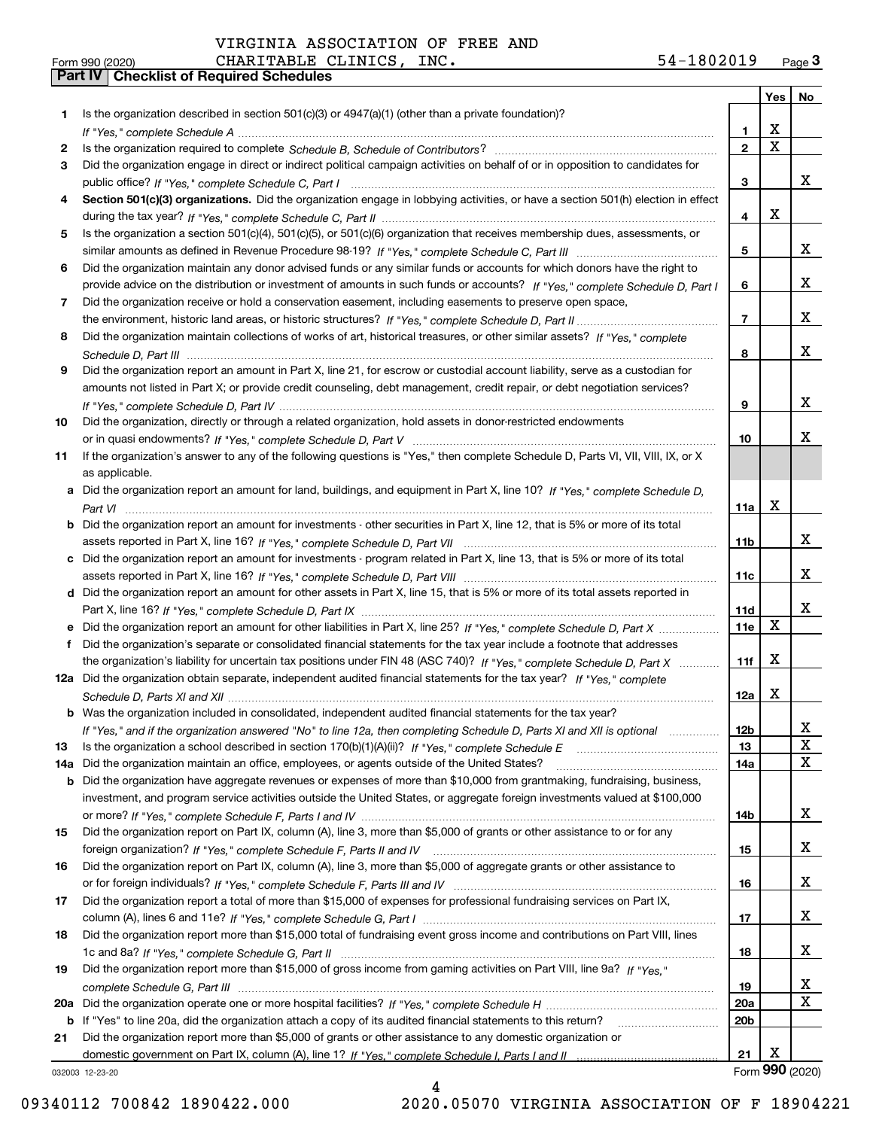| <b>7 ⊥™⊐ ⊤</b> |
|----------------|
| $- - - - -$    |

|     |                                                                                                                                       |                 |                         | Yes   No        |
|-----|---------------------------------------------------------------------------------------------------------------------------------------|-----------------|-------------------------|-----------------|
| 1   | Is the organization described in section $501(c)(3)$ or $4947(a)(1)$ (other than a private foundation)?                               |                 |                         |                 |
|     |                                                                                                                                       | 1               | X                       |                 |
| 2   |                                                                                                                                       | $\overline{2}$  | $\overline{\mathbf{x}}$ |                 |
| З   | Did the organization engage in direct or indirect political campaign activities on behalf of or in opposition to candidates for       |                 |                         |                 |
|     |                                                                                                                                       | 3               |                         | x               |
| 4   | Section 501(c)(3) organizations. Did the organization engage in lobbying activities, or have a section 501(h) election in effect      |                 |                         |                 |
|     |                                                                                                                                       | 4               | X                       |                 |
| 5   | Is the organization a section 501(c)(4), 501(c)(5), or 501(c)(6) organization that receives membership dues, assessments, or          |                 |                         |                 |
|     |                                                                                                                                       | 5               |                         | X               |
| 6   | Did the organization maintain any donor advised funds or any similar funds or accounts for which donors have the right to             |                 |                         |                 |
|     | provide advice on the distribution or investment of amounts in such funds or accounts? If "Yes," complete Schedule D, Part I          | 6               |                         | x               |
| 7   | Did the organization receive or hold a conservation easement, including easements to preserve open space,                             |                 |                         |                 |
|     |                                                                                                                                       | $\overline{7}$  |                         | x               |
| 8   | Did the organization maintain collections of works of art, historical treasures, or other similar assets? If "Yes," complete          |                 |                         |                 |
|     |                                                                                                                                       | 8               |                         | x               |
| 9   | Did the organization report an amount in Part X, line 21, for escrow or custodial account liability, serve as a custodian for         |                 |                         |                 |
|     | amounts not listed in Part X; or provide credit counseling, debt management, credit repair, or debt negotiation services?             |                 |                         |                 |
|     |                                                                                                                                       | 9               |                         | X               |
| 10  | Did the organization, directly or through a related organization, hold assets in donor-restricted endowments                          |                 |                         |                 |
|     |                                                                                                                                       | 10              |                         | x               |
| 11  | If the organization's answer to any of the following questions is "Yes," then complete Schedule D, Parts VI, VII, VIII, IX, or X      |                 |                         |                 |
|     | as applicable.                                                                                                                        |                 |                         |                 |
|     |                                                                                                                                       |                 |                         |                 |
|     | a Did the organization report an amount for land, buildings, and equipment in Part X, line 10? If "Yes," complete Schedule D.         | 11a             | X                       |                 |
|     |                                                                                                                                       |                 |                         |                 |
|     | <b>b</b> Did the organization report an amount for investments - other securities in Part X, line 12, that is 5% or more of its total |                 |                         | x               |
|     |                                                                                                                                       | 11 <sub>b</sub> |                         |                 |
|     | c Did the organization report an amount for investments - program related in Part X, line 13, that is 5% or more of its total         |                 |                         | x               |
|     |                                                                                                                                       | 11c             |                         |                 |
|     | d Did the organization report an amount for other assets in Part X, line 15, that is 5% or more of its total assets reported in       |                 |                         |                 |
|     |                                                                                                                                       | 11d             |                         | x               |
|     | e Did the organization report an amount for other liabilities in Part X, line 25? If "Yes," complete Schedule D, Part X               | 11e             | X                       |                 |
| f   | Did the organization's separate or consolidated financial statements for the tax year include a footnote that addresses               |                 |                         |                 |
|     | the organization's liability for uncertain tax positions under FIN 48 (ASC 740)? If "Yes," complete Schedule D, Part X                | 11f             | X                       |                 |
|     | 12a Did the organization obtain separate, independent audited financial statements for the tax year? If "Yes," complete               |                 |                         |                 |
|     |                                                                                                                                       | 12a             | X                       |                 |
|     | <b>b</b> Was the organization included in consolidated, independent audited financial statements for the tax year?                    |                 |                         |                 |
|     | If "Yes," and if the organization answered "No" to line 12a, then completing Schedule D, Parts XI and XII is optional                 | 12 <sub>b</sub> |                         | ▵               |
| 13  | Is the organization a school described in section $170(b)(1)(A)(ii)?$ If "Yes," complete Schedule E                                   | 13              |                         | X               |
| 14a | Did the organization maintain an office, employees, or agents outside of the United States?                                           | 14a             |                         | X               |
| b   | Did the organization have aggregate revenues or expenses of more than \$10,000 from grantmaking, fundraising, business,               |                 |                         |                 |
|     | investment, and program service activities outside the United States, or aggregate foreign investments valued at \$100,000            |                 |                         |                 |
|     |                                                                                                                                       | 14b             |                         | x               |
| 15  | Did the organization report on Part IX, column (A), line 3, more than \$5,000 of grants or other assistance to or for any             |                 |                         |                 |
|     |                                                                                                                                       | 15              |                         | X               |
| 16  | Did the organization report on Part IX, column (A), line 3, more than \$5,000 of aggregate grants or other assistance to              |                 |                         |                 |
|     |                                                                                                                                       | 16              |                         | x               |
| 17  | Did the organization report a total of more than \$15,000 of expenses for professional fundraising services on Part IX,               |                 |                         |                 |
|     |                                                                                                                                       | 17              |                         | x               |
| 18  | Did the organization report more than \$15,000 total of fundraising event gross income and contributions on Part VIII, lines          |                 |                         |                 |
|     |                                                                                                                                       | 18              |                         | x               |
| 19  | Did the organization report more than \$15,000 of gross income from gaming activities on Part VIII, line 9a? If "Yes."                |                 |                         |                 |
|     |                                                                                                                                       | 19              |                         | X               |
|     |                                                                                                                                       | 20a             |                         | $\mathbf x$     |
|     | b If "Yes" to line 20a, did the organization attach a copy of its audited financial statements to this return?                        | 20 <sub>b</sub> |                         |                 |
| 21  | Did the organization report more than \$5,000 of grants or other assistance to any domestic organization or                           |                 |                         |                 |
|     |                                                                                                                                       | 21              | х                       |                 |
|     | 032003 12-23-20                                                                                                                       |                 |                         | Form 990 (2020) |

4

09340112 700842 1890422.000 2020.05070 VIRGINIA ASSOCIATION OF F 18904221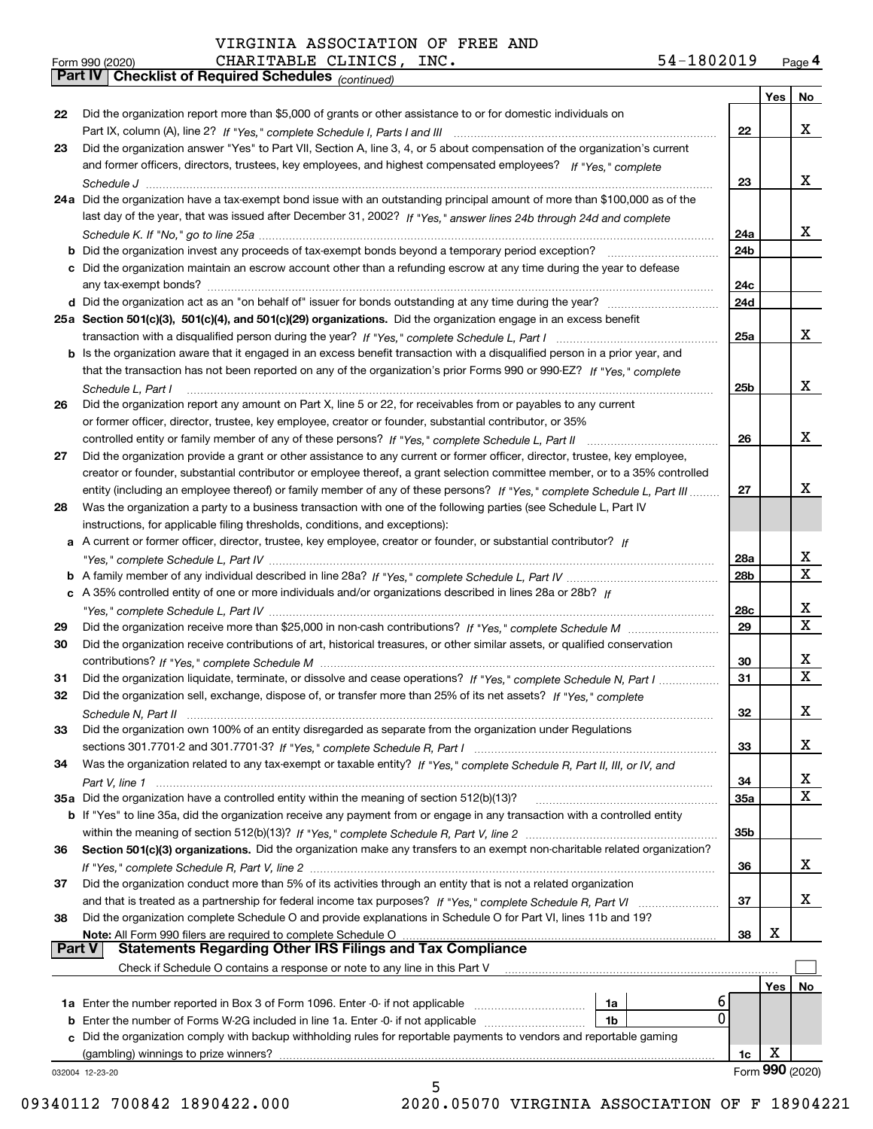*(continued)*

| Form 990 (2020) |                                                       | CHARITABLE CLINICS, | INC. | 54-1802019 | Page 4 |
|-----------------|-------------------------------------------------------|---------------------|------|------------|--------|
|                 | Part IV   Checklist of Required Schedules (continued) |                     |      |            |        |

|    |                                                                                                                                                    |            | Yes | No              |
|----|----------------------------------------------------------------------------------------------------------------------------------------------------|------------|-----|-----------------|
| 22 | Did the organization report more than \$5,000 of grants or other assistance to or for domestic individuals on                                      |            |     |                 |
|    |                                                                                                                                                    | 22         |     | X               |
| 23 | Did the organization answer "Yes" to Part VII, Section A, line 3, 4, or 5 about compensation of the organization's current                         |            |     |                 |
|    | and former officers, directors, trustees, key employees, and highest compensated employees? If "Yes," complete                                     |            |     | X               |
|    | 24a Did the organization have a tax-exempt bond issue with an outstanding principal amount of more than \$100,000 as of the                        | 23         |     |                 |
|    | last day of the year, that was issued after December 31, 2002? If "Yes," answer lines 24b through 24d and complete                                 |            |     |                 |
|    |                                                                                                                                                    | 24a        |     | x               |
|    |                                                                                                                                                    | 24b        |     |                 |
|    | c Did the organization maintain an escrow account other than a refunding escrow at any time during the year to defease                             |            |     |                 |
|    |                                                                                                                                                    | 24c        |     |                 |
|    |                                                                                                                                                    | 24d        |     |                 |
|    | 25a Section 501(c)(3), 501(c)(4), and 501(c)(29) organizations. Did the organization engage in an excess benefit                                   |            |     |                 |
|    |                                                                                                                                                    | <b>25a</b> |     | X               |
|    | b Is the organization aware that it engaged in an excess benefit transaction with a disqualified person in a prior year, and                       |            |     |                 |
|    | that the transaction has not been reported on any of the organization's prior Forms 990 or 990-EZ? If "Yes," complete                              |            |     |                 |
|    | Schedule L, Part I                                                                                                                                 | 25b        |     | x               |
| 26 | Did the organization report any amount on Part X, line 5 or 22, for receivables from or payables to any current                                    |            |     |                 |
|    | or former officer, director, trustee, key employee, creator or founder, substantial contributor, or 35%                                            |            |     |                 |
|    |                                                                                                                                                    | 26         |     | x               |
| 27 | Did the organization provide a grant or other assistance to any current or former officer, director, trustee, key employee,                        |            |     |                 |
|    | creator or founder, substantial contributor or employee thereof, a grant selection committee member, or to a 35% controlled                        |            |     |                 |
|    | entity (including an employee thereof) or family member of any of these persons? If "Yes," complete Schedule L, Part III                           | 27         |     | х               |
| 28 | Was the organization a party to a business transaction with one of the following parties (see Schedule L, Part IV                                  |            |     |                 |
|    | instructions, for applicable filing thresholds, conditions, and exceptions):                                                                       |            |     |                 |
|    | a A current or former officer, director, trustee, key employee, creator or founder, or substantial contributor? If                                 |            |     |                 |
|    |                                                                                                                                                    | 28a        |     | x               |
|    |                                                                                                                                                    | 28b        |     | $\mathbf x$     |
|    | c A 35% controlled entity of one or more individuals and/or organizations described in lines 28a or 28b? If                                        |            |     |                 |
|    |                                                                                                                                                    | 28c        |     | x               |
| 29 |                                                                                                                                                    | 29         |     | $\mathbf X$     |
| 30 | Did the organization receive contributions of art, historical treasures, or other similar assets, or qualified conservation                        |            |     |                 |
|    |                                                                                                                                                    | 30         |     | X               |
| 31 | Did the organization liquidate, terminate, or dissolve and cease operations? If "Yes," complete Schedule N, Part I                                 | 31         |     | $\mathbf x$     |
| 32 | Did the organization sell, exchange, dispose of, or transfer more than 25% of its net assets? If "Yes," complete                                   |            |     |                 |
|    |                                                                                                                                                    | 32         |     | X               |
| 33 | Did the organization own 100% of an entity disregarded as separate from the organization under Regulations                                         |            |     |                 |
|    |                                                                                                                                                    | 33         |     | X               |
| 34 | Was the organization related to any tax-exempt or taxable entity? If "Yes," complete Schedule R, Part II, III, or IV, and                          |            |     |                 |
|    |                                                                                                                                                    | 34         |     | х               |
|    | 35a Did the organization have a controlled entity within the meaning of section 512(b)(13)?                                                        | <b>35a</b> |     | X               |
|    | b If "Yes" to line 35a, did the organization receive any payment from or engage in any transaction with a controlled entity                        |            |     |                 |
|    |                                                                                                                                                    | 35b        |     |                 |
| 36 | Section 501(c)(3) organizations. Did the organization make any transfers to an exempt non-charitable related organization?                         |            |     |                 |
|    |                                                                                                                                                    | 36         |     | x               |
| 37 | Did the organization conduct more than 5% of its activities through an entity that is not a related organization                                   |            |     |                 |
|    |                                                                                                                                                    | 37         |     | x               |
| 38 | Did the organization complete Schedule O and provide explanations in Schedule O for Part VI, lines 11b and 19?                                     |            |     |                 |
|    | Note: All Form 990 filers are required to complete Schedule O<br><b>Part V</b><br><b>Statements Regarding Other IRS Filings and Tax Compliance</b> | 38         | Х   |                 |
|    |                                                                                                                                                    |            |     |                 |
|    | Check if Schedule O contains a response or note to any line in this Part V                                                                         |            |     |                 |
|    |                                                                                                                                                    |            | Yes | No              |
|    | 6<br>1a<br><b>1a</b> Enter the number reported in Box 3 of Form 1096. Enter -0- if not applicable <i>manumumumum</i><br>0                          |            |     |                 |
|    | 1 <sub>b</sub><br><b>b</b> Enter the number of Forms W-2G included in line 1a. Enter -0- if not applicable <i>manumumumum</i>                      |            |     |                 |
|    | c Did the organization comply with backup withholding rules for reportable payments to vendors and reportable gaming                               |            |     |                 |
|    | (gambling) winnings to prize winners?                                                                                                              | 1c         | х   | Form 990 (2020) |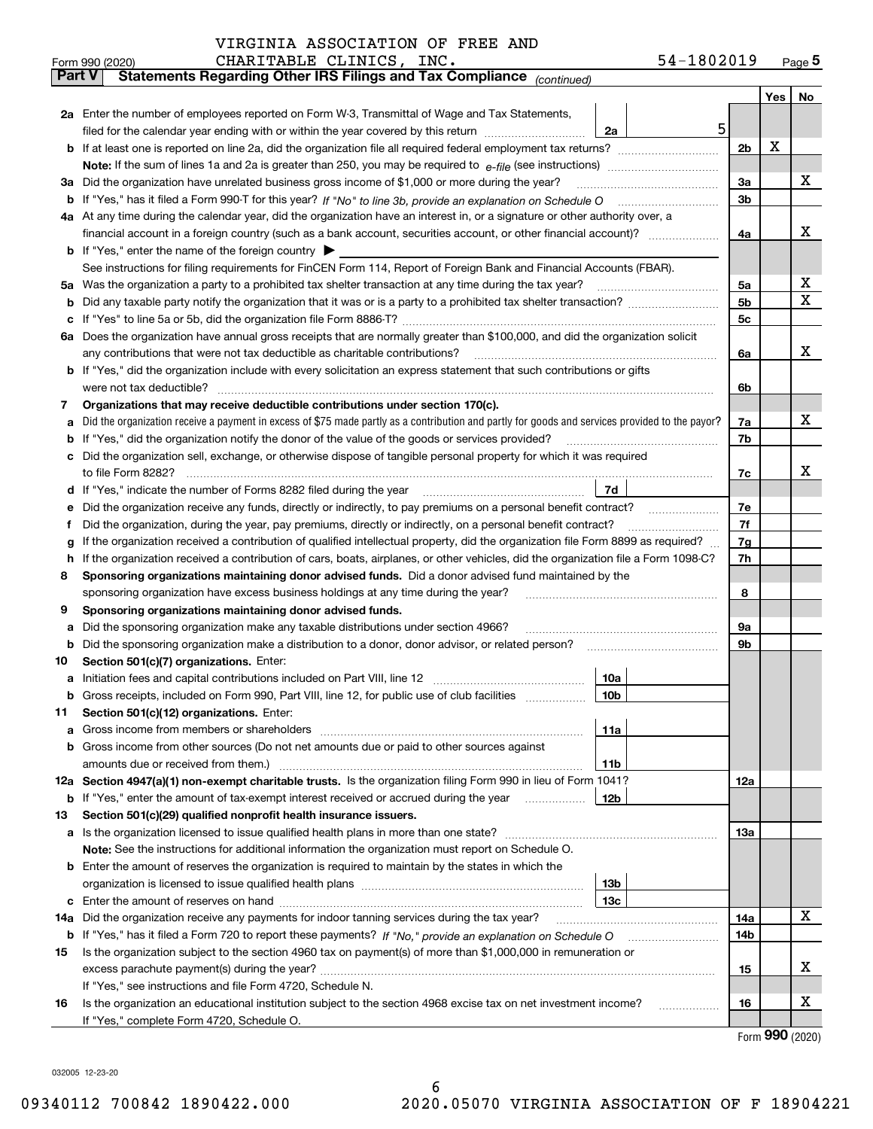| VIRGINIA ASSOCIATION OF FREE AND |  |  |
|----------------------------------|--|--|
|----------------------------------|--|--|

|               | Form 990 (2020) | CHARITABLE CLINICS, INC.<br>54-1802019                                                                                                                                                                                                           |                |     | $Page$ <sup>5</sup> |
|---------------|-----------------|--------------------------------------------------------------------------------------------------------------------------------------------------------------------------------------------------------------------------------------------------|----------------|-----|---------------------|
| <b>Part V</b> |                 | Statements Regarding Other IRS Filings and Tax Compliance (continued)                                                                                                                                                                            |                |     |                     |
|               |                 |                                                                                                                                                                                                                                                  |                | Yes | No                  |
|               |                 | 2a Enter the number of employees reported on Form W-3, Transmittal of Wage and Tax Statements,                                                                                                                                                   |                |     |                     |
|               |                 | 5<br>filed for the calendar year ending with or within the year covered by this return<br>2a                                                                                                                                                     |                |     |                     |
|               |                 |                                                                                                                                                                                                                                                  | 2 <sub>b</sub> | Х   |                     |
|               |                 |                                                                                                                                                                                                                                                  |                |     |                     |
|               |                 | 3a Did the organization have unrelated business gross income of \$1,000 or more during the year?                                                                                                                                                 | 3a             |     | х                   |
|               |                 |                                                                                                                                                                                                                                                  | 3b             |     |                     |
|               |                 | 4a At any time during the calendar year, did the organization have an interest in, or a signature or other authority over, a                                                                                                                     |                |     |                     |
|               |                 |                                                                                                                                                                                                                                                  | 4a             |     | x                   |
|               |                 | <b>b</b> If "Yes," enter the name of the foreign country                                                                                                                                                                                         |                |     |                     |
|               |                 | See instructions for filing requirements for FinCEN Form 114, Report of Foreign Bank and Financial Accounts (FBAR).                                                                                                                              |                |     |                     |
| 5a            |                 | Was the organization a party to a prohibited tax shelter transaction at any time during the tax year?                                                                                                                                            | 5a             |     | X                   |
| b             |                 |                                                                                                                                                                                                                                                  | 5 <sub>b</sub> |     | $\mathbf X$         |
| c             |                 |                                                                                                                                                                                                                                                  | 5c             |     |                     |
|               |                 | 6a Does the organization have annual gross receipts that are normally greater than \$100,000, and did the organization solicit                                                                                                                   |                |     |                     |
|               |                 | any contributions that were not tax deductible as charitable contributions?                                                                                                                                                                      | 6a             |     | x                   |
|               |                 | b If "Yes," did the organization include with every solicitation an express statement that such contributions or gifts                                                                                                                           |                |     |                     |
|               |                 | were not tax deductible?                                                                                                                                                                                                                         | 6b             |     |                     |
| 7             |                 | Organizations that may receive deductible contributions under section 170(c).                                                                                                                                                                    |                |     |                     |
| a             |                 | Did the organization receive a payment in excess of \$75 made partly as a contribution and partly for goods and services provided to the payor?                                                                                                  | 7a             |     | х                   |
| b             |                 | If "Yes," did the organization notify the donor of the value of the goods or services provided?                                                                                                                                                  | 7b             |     |                     |
|               |                 | Did the organization sell, exchange, or otherwise dispose of tangible personal property for which it was required                                                                                                                                |                |     | x                   |
|               |                 |                                                                                                                                                                                                                                                  | 7c             |     |                     |
| d             |                 | 7d                                                                                                                                                                                                                                               |                |     |                     |
| е             |                 | Did the organization receive any funds, directly or indirectly, to pay premiums on a personal benefit contract?                                                                                                                                  | 7e<br>7f       |     |                     |
| f             |                 | Did the organization, during the year, pay premiums, directly or indirectly, on a personal benefit contract?<br>If the organization received a contribution of qualified intellectual property, did the organization file Form 8899 as required? |                |     |                     |
| g<br>h.       |                 | If the organization received a contribution of cars, boats, airplanes, or other vehicles, did the organization file a Form 1098-C?                                                                                                               | 7g<br>7h       |     |                     |
| 8             |                 | Sponsoring organizations maintaining donor advised funds. Did a donor advised fund maintained by the                                                                                                                                             |                |     |                     |
|               |                 | sponsoring organization have excess business holdings at any time during the year?                                                                                                                                                               | 8              |     |                     |
| 9             |                 | Sponsoring organizations maintaining donor advised funds.                                                                                                                                                                                        |                |     |                     |
| a             |                 | Did the sponsoring organization make any taxable distributions under section 4966?                                                                                                                                                               | 9а             |     |                     |
| b             |                 | Did the sponsoring organization make a distribution to a donor, donor advisor, or related person?                                                                                                                                                | 9b             |     |                     |
| 10            |                 | Section 501(c)(7) organizations. Enter:                                                                                                                                                                                                          |                |     |                     |
|               |                 | 10a                                                                                                                                                                                                                                              |                |     |                     |
|               |                 | 10b <br>Gross receipts, included on Form 990, Part VIII, line 12, for public use of club facilities                                                                                                                                              |                |     |                     |
| 11            |                 | Section 501(c)(12) organizations. Enter:                                                                                                                                                                                                         |                |     |                     |
| a             |                 | Gross income from members or shareholders<br>11a                                                                                                                                                                                                 |                |     |                     |
|               |                 | b Gross income from other sources (Do not net amounts due or paid to other sources against                                                                                                                                                       |                |     |                     |
|               |                 | 11b                                                                                                                                                                                                                                              |                |     |                     |
|               |                 | 12a Section 4947(a)(1) non-exempt charitable trusts. Is the organization filing Form 990 in lieu of Form 1041?                                                                                                                                   | 12a            |     |                     |
|               |                 | <b>b</b> If "Yes," enter the amount of tax-exempt interest received or accrued during the year<br>12 <sub>b</sub>                                                                                                                                |                |     |                     |
| 13            |                 | Section 501(c)(29) qualified nonprofit health insurance issuers.                                                                                                                                                                                 |                |     |                     |
|               |                 | <b>a</b> Is the organization licensed to issue qualified health plans in more than one state?                                                                                                                                                    | <b>13a</b>     |     |                     |
|               |                 | Note: See the instructions for additional information the organization must report on Schedule O.                                                                                                                                                |                |     |                     |
|               |                 | <b>b</b> Enter the amount of reserves the organization is required to maintain by the states in which the                                                                                                                                        |                |     |                     |
|               |                 | 13 <sub>b</sub>                                                                                                                                                                                                                                  |                |     |                     |
|               |                 | 13c                                                                                                                                                                                                                                              |                |     |                     |
| 14a           |                 | Did the organization receive any payments for indoor tanning services during the tax year?                                                                                                                                                       | 14a            |     | x                   |
|               |                 | <b>b</b> If "Yes," has it filed a Form 720 to report these payments? If "No," provide an explanation on Schedule O                                                                                                                               | 14b            |     |                     |
| 15            |                 | Is the organization subject to the section 4960 tax on payment(s) of more than \$1,000,000 in remuneration or                                                                                                                                    |                |     |                     |
|               |                 |                                                                                                                                                                                                                                                  | 15             |     | х                   |
|               |                 | If "Yes," see instructions and file Form 4720, Schedule N.                                                                                                                                                                                       |                |     |                     |
| 16            |                 | Is the organization an educational institution subject to the section 4968 excise tax on net investment income?                                                                                                                                  | 16             |     | X                   |
|               |                 | If "Yes," complete Form 4720, Schedule O.                                                                                                                                                                                                        |                |     |                     |

Form (2020) **990**

032005 12-23-20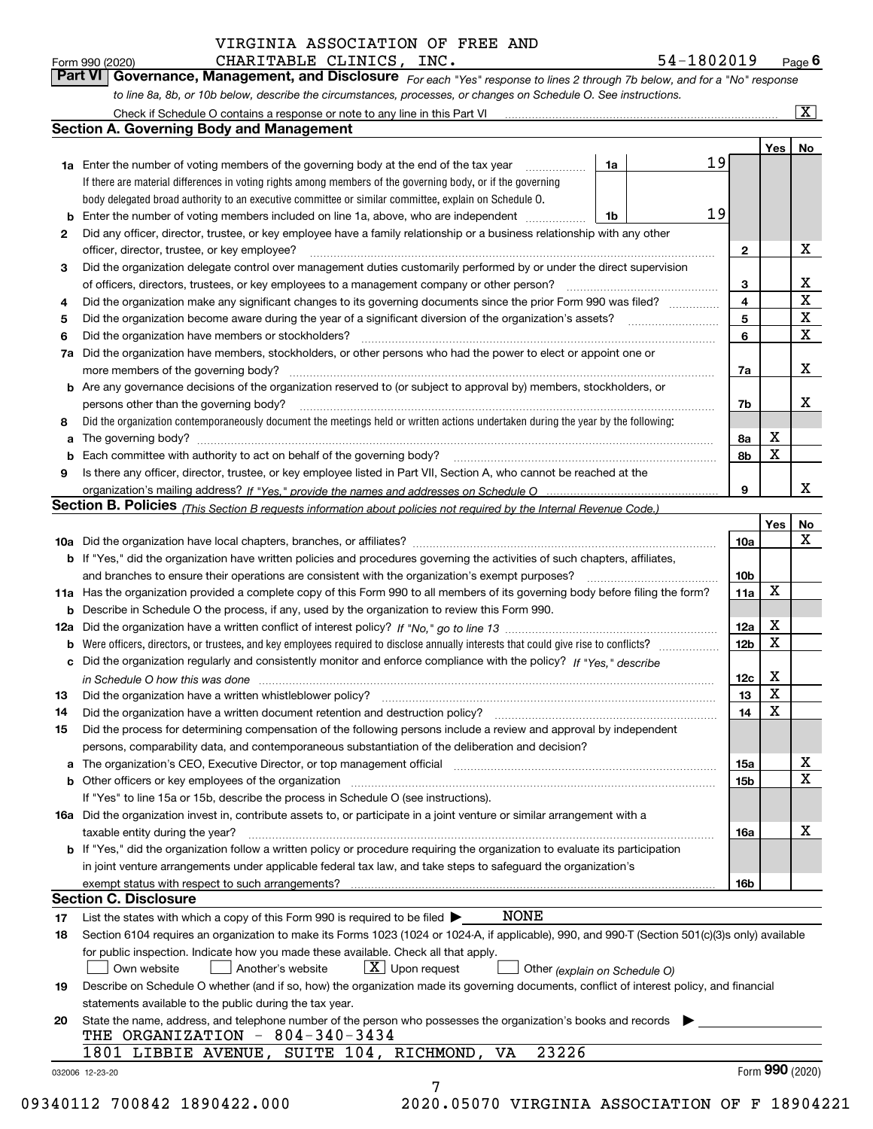CHARITABLE CLINICS, INC. 54-1802019

*For each "Yes" response to lines 2 through 7b below, and for a "No" response to line 8a, 8b, or 10b below, describe the circumstances, processes, or changes on Schedule O. See instructions.* Form 990 (2020) **CHARITABLE CLINICS, INC.**<br>**Part VI Governance, Management, and Disclosure** For each "Yes" response to lines 2 through 7b below, and for a "No" response

|     | Check if Schedule O contains a response or note to any line in this Part VI                                                                                                                                                    |    |    |                              |             | $\overline{\mathbf{X}}$ |  |  |
|-----|--------------------------------------------------------------------------------------------------------------------------------------------------------------------------------------------------------------------------------|----|----|------------------------------|-------------|-------------------------|--|--|
|     | <b>Section A. Governing Body and Management</b>                                                                                                                                                                                |    |    |                              |             |                         |  |  |
|     |                                                                                                                                                                                                                                |    |    |                              | Yes         | No                      |  |  |
|     | <b>1a</b> Enter the number of voting members of the governing body at the end of the tax year                                                                                                                                  | 1a | 19 |                              |             |                         |  |  |
|     | If there are material differences in voting rights among members of the governing body, or if the governing                                                                                                                    |    |    |                              |             |                         |  |  |
|     | body delegated broad authority to an executive committee or similar committee, explain on Schedule O.                                                                                                                          |    |    |                              |             |                         |  |  |
| b   | Enter the number of voting members included on line 1a, above, who are independent                                                                                                                                             | 1b | 19 |                              |             |                         |  |  |
| 2   | Did any officer, director, trustee, or key employee have a family relationship or a business relationship with any other                                                                                                       |    |    |                              |             |                         |  |  |
|     | officer, director, trustee, or key employee?                                                                                                                                                                                   |    |    | $\mathbf{2}$                 |             | X                       |  |  |
| 3   | Did the organization delegate control over management duties customarily performed by or under the direct supervision                                                                                                          |    |    |                              |             |                         |  |  |
|     | of officers, directors, trustees, or key employees to a management company or other person?                                                                                                                                    |    |    |                              |             |                         |  |  |
| 4   | Did the organization make any significant changes to its governing documents since the prior Form 990 was filed?                                                                                                               |    |    |                              |             |                         |  |  |
| 5   | Did the organization become aware during the year of a significant diversion of the organization's assets?                                                                                                                     |    |    | $\overline{\mathbf{4}}$<br>5 |             | X<br>X                  |  |  |
| 6   | Did the organization have members or stockholders?                                                                                                                                                                             |    |    | 6                            |             | X                       |  |  |
| 7a  | Did the organization have members, stockholders, or other persons who had the power to elect or appoint one or                                                                                                                 |    |    |                              |             |                         |  |  |
|     | more members of the governing body?                                                                                                                                                                                            |    |    | 7a                           |             | X                       |  |  |
|     | <b>b</b> Are any governance decisions of the organization reserved to (or subject to approval by) members, stockholders, or                                                                                                    |    |    |                              |             |                         |  |  |
|     | persons other than the governing body?                                                                                                                                                                                         |    |    | 7b                           |             | x                       |  |  |
| 8   | Did the organization contemporaneously document the meetings held or written actions undertaken during the year by the following:                                                                                              |    |    |                              |             |                         |  |  |
| a   |                                                                                                                                                                                                                                |    |    | 8а                           | X           |                         |  |  |
|     |                                                                                                                                                                                                                                |    |    | 8b                           | X           |                         |  |  |
| b   | Is there any officer, director, trustee, or key employee listed in Part VII, Section A, who cannot be reached at the                                                                                                           |    |    |                              |             |                         |  |  |
| 9   |                                                                                                                                                                                                                                |    |    |                              |             | x                       |  |  |
|     |                                                                                                                                                                                                                                |    |    | 9                            |             |                         |  |  |
|     | Section B. Policies <sub>(This Section B requests information about policies not required by the Internal Revenue Code.)</sub>                                                                                                 |    |    |                              |             |                         |  |  |
|     |                                                                                                                                                                                                                                |    |    |                              | Yes         | No<br>X                 |  |  |
|     |                                                                                                                                                                                                                                |    |    | 10a                          |             |                         |  |  |
|     | <b>b</b> If "Yes," did the organization have written policies and procedures governing the activities of such chapters, affiliates,                                                                                            |    |    |                              |             |                         |  |  |
|     | and branches to ensure their operations are consistent with the organization's exempt purposes?                                                                                                                                |    |    | 10 <sub>b</sub>              |             |                         |  |  |
|     | 11a Has the organization provided a complete copy of this Form 990 to all members of its governing body before filing the form?                                                                                                |    |    | 11a                          | $\mathbf X$ |                         |  |  |
| b   | Describe in Schedule O the process, if any, used by the organization to review this Form 990.                                                                                                                                  |    |    |                              |             |                         |  |  |
| 12a |                                                                                                                                                                                                                                |    |    | 12a                          | X           |                         |  |  |
| b   | Were officers, directors, or trustees, and key employees required to disclose annually interests that could give rise to conflicts?                                                                                            |    |    | 12 <sub>b</sub>              | $\mathbf X$ |                         |  |  |
| с   | Did the organization regularly and consistently monitor and enforce compliance with the policy? If "Yes," describe                                                                                                             |    |    |                              |             |                         |  |  |
|     | in Schedule O how this was done measured and the control of the control of the state of the control of the cont                                                                                                                |    |    | 12c                          | X           |                         |  |  |
| 13  | Did the organization have a written whistleblower policy?                                                                                                                                                                      |    |    | 13                           | X           |                         |  |  |
| 14  | Did the organization have a written document retention and destruction policy?                                                                                                                                                 |    |    | 14                           | $\mathbf X$ |                         |  |  |
| 15  | Did the process for determining compensation of the following persons include a review and approval by independent                                                                                                             |    |    |                              |             |                         |  |  |
|     | persons, comparability data, and contemporaneous substantiation of the deliberation and decision?                                                                                                                              |    |    |                              |             |                         |  |  |
|     | The organization's CEO, Executive Director, or top management official manufactured contains and contained a support of the organization's CEO, Executive Director, or top management official manufactured and contain a supp |    |    | 15a                          |             | х                       |  |  |
| b   | Other officers or key employees of the organization                                                                                                                                                                            |    |    | 15 <sub>b</sub>              |             | $\mathbf X$             |  |  |
|     | If "Yes" to line 15a or 15b, describe the process in Schedule O (see instructions).                                                                                                                                            |    |    |                              |             |                         |  |  |
|     | 16a Did the organization invest in, contribute assets to, or participate in a joint venture or similar arrangement with a                                                                                                      |    |    |                              |             |                         |  |  |
|     | taxable entity during the year?                                                                                                                                                                                                |    |    | 16a                          |             | х                       |  |  |
|     | b If "Yes," did the organization follow a written policy or procedure requiring the organization to evaluate its participation                                                                                                 |    |    |                              |             |                         |  |  |
|     | in joint venture arrangements under applicable federal tax law, and take steps to safeguard the organization's                                                                                                                 |    |    |                              |             |                         |  |  |
|     | exempt status with respect to such arrangements?                                                                                                                                                                               |    |    | 16b                          |             |                         |  |  |
|     | <b>Section C. Disclosure</b>                                                                                                                                                                                                   |    |    |                              |             |                         |  |  |
| 17  | <b>NONE</b><br>List the states with which a copy of this Form 990 is required to be filed $\blacktriangleright$                                                                                                                |    |    |                              |             |                         |  |  |
| 18  | Section 6104 requires an organization to make its Forms 1023 (1024 or 1024-A, if applicable), 990, and 990-T (Section 501(c)(3)s only) available                                                                               |    |    |                              |             |                         |  |  |
|     | for public inspection. Indicate how you made these available. Check all that apply.                                                                                                                                            |    |    |                              |             |                         |  |  |
|     | $X$ Upon request<br>Own website<br>Another's website<br>Other (explain on Schedule O)                                                                                                                                          |    |    |                              |             |                         |  |  |
| 19  | Describe on Schedule O whether (and if so, how) the organization made its governing documents, conflict of interest policy, and financial                                                                                      |    |    |                              |             |                         |  |  |
|     | statements available to the public during the tax year.                                                                                                                                                                        |    |    |                              |             |                         |  |  |
| 20  | State the name, address, and telephone number of the person who possesses the organization's books and records                                                                                                                 |    |    |                              |             |                         |  |  |
|     | THE ORGANIZATION - 804-340-3434                                                                                                                                                                                                |    |    |                              |             |                         |  |  |
|     | 23226<br>1801 LIBBIE AVENUE, SUITE 104, RICHMOND, VA                                                                                                                                                                           |    |    |                              |             |                         |  |  |
|     | 032006 12-23-20                                                                                                                                                                                                                |    |    |                              |             | Form 990 (2020)         |  |  |
|     | 7                                                                                                                                                                                                                              |    |    |                              |             |                         |  |  |
|     |                                                                                                                                                                                                                                |    |    |                              |             |                         |  |  |

09340112 700842 1890422.000 2020.05070 VIRGINIA ASSOCIATION OF F 18904221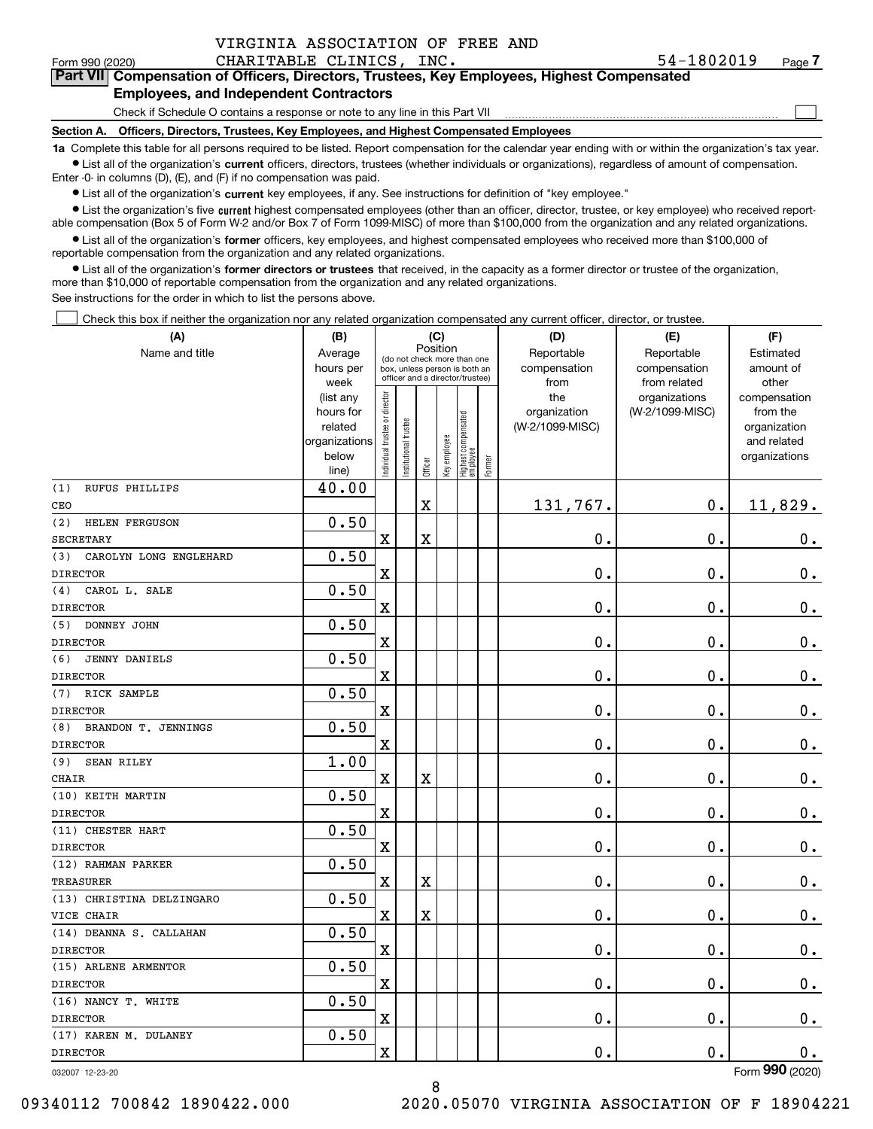$\mathcal{L}^{\text{max}}$ 

# **7Part VII Compensation of Officers, Directors, Trustees, Key Employees, Highest Compensated Employees, and Independent Contractors**

Check if Schedule O contains a response or note to any line in this Part VII

**Section A. Officers, Directors, Trustees, Key Employees, and Highest Compensated Employees**

**1a**  Complete this table for all persons required to be listed. Report compensation for the calendar year ending with or within the organization's tax year. **•** List all of the organization's current officers, directors, trustees (whether individuals or organizations), regardless of amount of compensation.

Enter -0- in columns (D), (E), and (F) if no compensation was paid.

 $\bullet$  List all of the organization's  $\,$ current key employees, if any. See instructions for definition of "key employee."

**•** List the organization's five current highest compensated employees (other than an officer, director, trustee, or key employee) who received reportable compensation (Box 5 of Form W-2 and/or Box 7 of Form 1099-MISC) of more than \$100,000 from the organization and any related organizations.

**•** List all of the organization's former officers, key employees, and highest compensated employees who received more than \$100,000 of reportable compensation from the organization and any related organizations.

**former directors or trustees**  ¥ List all of the organization's that received, in the capacity as a former director or trustee of the organization, more than \$10,000 of reportable compensation from the organization and any related organizations.

See instructions for the order in which to list the persons above.

Check this box if neither the organization nor any related organization compensated any current officer, director, or trustee.  $\mathcal{L}^{\text{max}}$ 

| Position<br>Name and title<br>Reportable<br>Reportable<br>Average<br>Estimated<br>(do not check more than one<br>compensation<br>hours per<br>compensation<br>amount of<br>box, unless person is both an<br>officer and a director/trustee)<br>from<br>from related<br>other<br>week<br>ndividual trustee or director<br>the<br>organizations<br>(list any<br>compensation<br>(W-2/1099-MISC)<br>hours for<br>organization<br>from the<br>Highest compensated<br> employee<br>nstitutional trustee<br>(W-2/1099-MISC)<br>related<br>organization<br>Key employee<br>organizations<br>and related<br>below<br>organizations<br>Former<br>Officer<br>line)<br>40.00<br>(1)<br><b>RUFUS PHILLIPS</b><br>$\overline{\textbf{X}}$<br>0.<br>131,767.<br>11,829.<br>CEO<br>0.50<br>(2)<br>HELEN FERGUSON<br>$\overline{\text{X}}$<br>X<br>$\mathbf 0$ .<br>$\mathbf 0$ .<br>$\mathbf 0$ .<br><b>SECRETARY</b><br>0.50<br>CAROLYN LONG ENGLEHARD<br>(3)<br>$\mathbf 0$ .<br>$\mathbf X$<br>0.<br>$0_{.}$<br><b>DIRECTOR</b><br>0.50<br>(4)<br>CAROL L. SALE<br>$\mathbf X$<br>0.<br>$\mathbf 0$ .<br>$0_{.}$<br>0.50<br>DONNEY JOHN<br>(5)<br>$\rm X$<br>0.<br>0.<br>0.<br><b>DIRECTOR</b><br>0.50<br>(6)<br><b>JENNY DANIELS</b><br>$\mathbf 0$ .<br>$\mathbf 0$ .<br>$\mathbf 0$ .<br>$\mathbf X$<br><b>DIRECTOR</b><br>0.50<br>RICK SAMPLE<br>(7)<br>0.<br>$\mathbf 0$ .<br>X<br>$\mathbf 0$ .<br><b>DIRECTOR</b><br>0.50<br>BRANDON T. JENNINGS<br>(8)<br>$\mathbf X$<br>$\mathbf 0$ .<br>$\mathbf 0$ .<br>$0_{.}$<br>1.00<br>(9)<br><b>SEAN RILEY</b><br>$\mathbf X$<br>$\overline{\mathbf{X}}$<br>$\mathbf 0$ .<br>$\mathbf 0$ .<br>$\mathbf 0$ .<br><b>CHAIR</b><br>0.50<br>(10) KEITH MARTIN<br>$\mathbf 0$ .<br>$\mathbf 0$ .<br>$\mathbf 0$ .<br>$\mathbf X$<br><b>DIRECTOR</b><br>0.50<br>(11) CHESTER HART<br>0.<br>0.<br>$0_{.}$<br>X<br><b>DIRECTOR</b><br>0.50<br>(12) RAHMAN PARKER<br>0.<br>$\mathbf 0$ .<br>$\mathbf 0$ .<br>$\mathbf x$<br>$\overline{\textbf{X}}$<br><b>TREASURER</b><br>0.50<br>(13) CHRISTINA DELZINGARO<br>X<br>$\mathbf X$<br>0.<br>$\mathbf 0$ .<br>$\mathbf 0$ .<br>VICE CHAIR<br>0.50<br>(14) DEANNA S. CALLAHAN<br>$\rm X$<br>$\mathbf 0$ .<br>$\mathbf 0$ .<br>$\mathbf 0$ .<br>0.50<br>(15) ARLENE ARMENTOR<br>0.<br>$\mathbf 0$ .<br>X<br>$\mathbf 0$ .<br>0.50<br>(16) NANCY T. WHITE<br>$\mathbf 0$ .<br>X<br>0.<br>0.<br>0.50<br>(17) KAREN M. DULANEY<br>0.<br>0.<br>X<br>0.<br>$\overline{2}$ | (A)             | (B) |  | (C) |  | (D) | (E) | (F) |
|-------------------------------------------------------------------------------------------------------------------------------------------------------------------------------------------------------------------------------------------------------------------------------------------------------------------------------------------------------------------------------------------------------------------------------------------------------------------------------------------------------------------------------------------------------------------------------------------------------------------------------------------------------------------------------------------------------------------------------------------------------------------------------------------------------------------------------------------------------------------------------------------------------------------------------------------------------------------------------------------------------------------------------------------------------------------------------------------------------------------------------------------------------------------------------------------------------------------------------------------------------------------------------------------------------------------------------------------------------------------------------------------------------------------------------------------------------------------------------------------------------------------------------------------------------------------------------------------------------------------------------------------------------------------------------------------------------------------------------------------------------------------------------------------------------------------------------------------------------------------------------------------------------------------------------------------------------------------------------------------------------------------------------------------------------------------------------------------------------------------------------------------------------------------------------------------------------------------------------------------------------------------------------------------------------------------------------------------------------------------------------------------------------------------------------------------|-----------------|-----|--|-----|--|-----|-----|-----|
|                                                                                                                                                                                                                                                                                                                                                                                                                                                                                                                                                                                                                                                                                                                                                                                                                                                                                                                                                                                                                                                                                                                                                                                                                                                                                                                                                                                                                                                                                                                                                                                                                                                                                                                                                                                                                                                                                                                                                                                                                                                                                                                                                                                                                                                                                                                                                                                                                                           |                 |     |  |     |  |     |     |     |
|                                                                                                                                                                                                                                                                                                                                                                                                                                                                                                                                                                                                                                                                                                                                                                                                                                                                                                                                                                                                                                                                                                                                                                                                                                                                                                                                                                                                                                                                                                                                                                                                                                                                                                                                                                                                                                                                                                                                                                                                                                                                                                                                                                                                                                                                                                                                                                                                                                           |                 |     |  |     |  |     |     |     |
|                                                                                                                                                                                                                                                                                                                                                                                                                                                                                                                                                                                                                                                                                                                                                                                                                                                                                                                                                                                                                                                                                                                                                                                                                                                                                                                                                                                                                                                                                                                                                                                                                                                                                                                                                                                                                                                                                                                                                                                                                                                                                                                                                                                                                                                                                                                                                                                                                                           |                 |     |  |     |  |     |     |     |
|                                                                                                                                                                                                                                                                                                                                                                                                                                                                                                                                                                                                                                                                                                                                                                                                                                                                                                                                                                                                                                                                                                                                                                                                                                                                                                                                                                                                                                                                                                                                                                                                                                                                                                                                                                                                                                                                                                                                                                                                                                                                                                                                                                                                                                                                                                                                                                                                                                           |                 |     |  |     |  |     |     |     |
|                                                                                                                                                                                                                                                                                                                                                                                                                                                                                                                                                                                                                                                                                                                                                                                                                                                                                                                                                                                                                                                                                                                                                                                                                                                                                                                                                                                                                                                                                                                                                                                                                                                                                                                                                                                                                                                                                                                                                                                                                                                                                                                                                                                                                                                                                                                                                                                                                                           |                 |     |  |     |  |     |     |     |
|                                                                                                                                                                                                                                                                                                                                                                                                                                                                                                                                                                                                                                                                                                                                                                                                                                                                                                                                                                                                                                                                                                                                                                                                                                                                                                                                                                                                                                                                                                                                                                                                                                                                                                                                                                                                                                                                                                                                                                                                                                                                                                                                                                                                                                                                                                                                                                                                                                           |                 |     |  |     |  |     |     |     |
|                                                                                                                                                                                                                                                                                                                                                                                                                                                                                                                                                                                                                                                                                                                                                                                                                                                                                                                                                                                                                                                                                                                                                                                                                                                                                                                                                                                                                                                                                                                                                                                                                                                                                                                                                                                                                                                                                                                                                                                                                                                                                                                                                                                                                                                                                                                                                                                                                                           |                 |     |  |     |  |     |     |     |
|                                                                                                                                                                                                                                                                                                                                                                                                                                                                                                                                                                                                                                                                                                                                                                                                                                                                                                                                                                                                                                                                                                                                                                                                                                                                                                                                                                                                                                                                                                                                                                                                                                                                                                                                                                                                                                                                                                                                                                                                                                                                                                                                                                                                                                                                                                                                                                                                                                           |                 |     |  |     |  |     |     |     |
|                                                                                                                                                                                                                                                                                                                                                                                                                                                                                                                                                                                                                                                                                                                                                                                                                                                                                                                                                                                                                                                                                                                                                                                                                                                                                                                                                                                                                                                                                                                                                                                                                                                                                                                                                                                                                                                                                                                                                                                                                                                                                                                                                                                                                                                                                                                                                                                                                                           |                 |     |  |     |  |     |     |     |
|                                                                                                                                                                                                                                                                                                                                                                                                                                                                                                                                                                                                                                                                                                                                                                                                                                                                                                                                                                                                                                                                                                                                                                                                                                                                                                                                                                                                                                                                                                                                                                                                                                                                                                                                                                                                                                                                                                                                                                                                                                                                                                                                                                                                                                                                                                                                                                                                                                           |                 |     |  |     |  |     |     |     |
|                                                                                                                                                                                                                                                                                                                                                                                                                                                                                                                                                                                                                                                                                                                                                                                                                                                                                                                                                                                                                                                                                                                                                                                                                                                                                                                                                                                                                                                                                                                                                                                                                                                                                                                                                                                                                                                                                                                                                                                                                                                                                                                                                                                                                                                                                                                                                                                                                                           |                 |     |  |     |  |     |     |     |
|                                                                                                                                                                                                                                                                                                                                                                                                                                                                                                                                                                                                                                                                                                                                                                                                                                                                                                                                                                                                                                                                                                                                                                                                                                                                                                                                                                                                                                                                                                                                                                                                                                                                                                                                                                                                                                                                                                                                                                                                                                                                                                                                                                                                                                                                                                                                                                                                                                           |                 |     |  |     |  |     |     |     |
|                                                                                                                                                                                                                                                                                                                                                                                                                                                                                                                                                                                                                                                                                                                                                                                                                                                                                                                                                                                                                                                                                                                                                                                                                                                                                                                                                                                                                                                                                                                                                                                                                                                                                                                                                                                                                                                                                                                                                                                                                                                                                                                                                                                                                                                                                                                                                                                                                                           |                 |     |  |     |  |     |     |     |
|                                                                                                                                                                                                                                                                                                                                                                                                                                                                                                                                                                                                                                                                                                                                                                                                                                                                                                                                                                                                                                                                                                                                                                                                                                                                                                                                                                                                                                                                                                                                                                                                                                                                                                                                                                                                                                                                                                                                                                                                                                                                                                                                                                                                                                                                                                                                                                                                                                           |                 |     |  |     |  |     |     |     |
|                                                                                                                                                                                                                                                                                                                                                                                                                                                                                                                                                                                                                                                                                                                                                                                                                                                                                                                                                                                                                                                                                                                                                                                                                                                                                                                                                                                                                                                                                                                                                                                                                                                                                                                                                                                                                                                                                                                                                                                                                                                                                                                                                                                                                                                                                                                                                                                                                                           |                 |     |  |     |  |     |     |     |
|                                                                                                                                                                                                                                                                                                                                                                                                                                                                                                                                                                                                                                                                                                                                                                                                                                                                                                                                                                                                                                                                                                                                                                                                                                                                                                                                                                                                                                                                                                                                                                                                                                                                                                                                                                                                                                                                                                                                                                                                                                                                                                                                                                                                                                                                                                                                                                                                                                           | <b>DIRECTOR</b> |     |  |     |  |     |     |     |
|                                                                                                                                                                                                                                                                                                                                                                                                                                                                                                                                                                                                                                                                                                                                                                                                                                                                                                                                                                                                                                                                                                                                                                                                                                                                                                                                                                                                                                                                                                                                                                                                                                                                                                                                                                                                                                                                                                                                                                                                                                                                                                                                                                                                                                                                                                                                                                                                                                           |                 |     |  |     |  |     |     |     |
|                                                                                                                                                                                                                                                                                                                                                                                                                                                                                                                                                                                                                                                                                                                                                                                                                                                                                                                                                                                                                                                                                                                                                                                                                                                                                                                                                                                                                                                                                                                                                                                                                                                                                                                                                                                                                                                                                                                                                                                                                                                                                                                                                                                                                                                                                                                                                                                                                                           |                 |     |  |     |  |     |     |     |
|                                                                                                                                                                                                                                                                                                                                                                                                                                                                                                                                                                                                                                                                                                                                                                                                                                                                                                                                                                                                                                                                                                                                                                                                                                                                                                                                                                                                                                                                                                                                                                                                                                                                                                                                                                                                                                                                                                                                                                                                                                                                                                                                                                                                                                                                                                                                                                                                                                           |                 |     |  |     |  |     |     |     |
|                                                                                                                                                                                                                                                                                                                                                                                                                                                                                                                                                                                                                                                                                                                                                                                                                                                                                                                                                                                                                                                                                                                                                                                                                                                                                                                                                                                                                                                                                                                                                                                                                                                                                                                                                                                                                                                                                                                                                                                                                                                                                                                                                                                                                                                                                                                                                                                                                                           |                 |     |  |     |  |     |     |     |
|                                                                                                                                                                                                                                                                                                                                                                                                                                                                                                                                                                                                                                                                                                                                                                                                                                                                                                                                                                                                                                                                                                                                                                                                                                                                                                                                                                                                                                                                                                                                                                                                                                                                                                                                                                                                                                                                                                                                                                                                                                                                                                                                                                                                                                                                                                                                                                                                                                           |                 |     |  |     |  |     |     |     |
|                                                                                                                                                                                                                                                                                                                                                                                                                                                                                                                                                                                                                                                                                                                                                                                                                                                                                                                                                                                                                                                                                                                                                                                                                                                                                                                                                                                                                                                                                                                                                                                                                                                                                                                                                                                                                                                                                                                                                                                                                                                                                                                                                                                                                                                                                                                                                                                                                                           |                 |     |  |     |  |     |     |     |
|                                                                                                                                                                                                                                                                                                                                                                                                                                                                                                                                                                                                                                                                                                                                                                                                                                                                                                                                                                                                                                                                                                                                                                                                                                                                                                                                                                                                                                                                                                                                                                                                                                                                                                                                                                                                                                                                                                                                                                                                                                                                                                                                                                                                                                                                                                                                                                                                                                           |                 |     |  |     |  |     |     |     |
|                                                                                                                                                                                                                                                                                                                                                                                                                                                                                                                                                                                                                                                                                                                                                                                                                                                                                                                                                                                                                                                                                                                                                                                                                                                                                                                                                                                                                                                                                                                                                                                                                                                                                                                                                                                                                                                                                                                                                                                                                                                                                                                                                                                                                                                                                                                                                                                                                                           | <b>DIRECTOR</b> |     |  |     |  |     |     |     |
|                                                                                                                                                                                                                                                                                                                                                                                                                                                                                                                                                                                                                                                                                                                                                                                                                                                                                                                                                                                                                                                                                                                                                                                                                                                                                                                                                                                                                                                                                                                                                                                                                                                                                                                                                                                                                                                                                                                                                                                                                                                                                                                                                                                                                                                                                                                                                                                                                                           |                 |     |  |     |  |     |     |     |
|                                                                                                                                                                                                                                                                                                                                                                                                                                                                                                                                                                                                                                                                                                                                                                                                                                                                                                                                                                                                                                                                                                                                                                                                                                                                                                                                                                                                                                                                                                                                                                                                                                                                                                                                                                                                                                                                                                                                                                                                                                                                                                                                                                                                                                                                                                                                                                                                                                           |                 |     |  |     |  |     |     |     |
|                                                                                                                                                                                                                                                                                                                                                                                                                                                                                                                                                                                                                                                                                                                                                                                                                                                                                                                                                                                                                                                                                                                                                                                                                                                                                                                                                                                                                                                                                                                                                                                                                                                                                                                                                                                                                                                                                                                                                                                                                                                                                                                                                                                                                                                                                                                                                                                                                                           |                 |     |  |     |  |     |     |     |
|                                                                                                                                                                                                                                                                                                                                                                                                                                                                                                                                                                                                                                                                                                                                                                                                                                                                                                                                                                                                                                                                                                                                                                                                                                                                                                                                                                                                                                                                                                                                                                                                                                                                                                                                                                                                                                                                                                                                                                                                                                                                                                                                                                                                                                                                                                                                                                                                                                           |                 |     |  |     |  |     |     |     |
|                                                                                                                                                                                                                                                                                                                                                                                                                                                                                                                                                                                                                                                                                                                                                                                                                                                                                                                                                                                                                                                                                                                                                                                                                                                                                                                                                                                                                                                                                                                                                                                                                                                                                                                                                                                                                                                                                                                                                                                                                                                                                                                                                                                                                                                                                                                                                                                                                                           |                 |     |  |     |  |     |     |     |
|                                                                                                                                                                                                                                                                                                                                                                                                                                                                                                                                                                                                                                                                                                                                                                                                                                                                                                                                                                                                                                                                                                                                                                                                                                                                                                                                                                                                                                                                                                                                                                                                                                                                                                                                                                                                                                                                                                                                                                                                                                                                                                                                                                                                                                                                                                                                                                                                                                           |                 |     |  |     |  |     |     |     |
|                                                                                                                                                                                                                                                                                                                                                                                                                                                                                                                                                                                                                                                                                                                                                                                                                                                                                                                                                                                                                                                                                                                                                                                                                                                                                                                                                                                                                                                                                                                                                                                                                                                                                                                                                                                                                                                                                                                                                                                                                                                                                                                                                                                                                                                                                                                                                                                                                                           |                 |     |  |     |  |     |     |     |
|                                                                                                                                                                                                                                                                                                                                                                                                                                                                                                                                                                                                                                                                                                                                                                                                                                                                                                                                                                                                                                                                                                                                                                                                                                                                                                                                                                                                                                                                                                                                                                                                                                                                                                                                                                                                                                                                                                                                                                                                                                                                                                                                                                                                                                                                                                                                                                                                                                           |                 |     |  |     |  |     |     |     |
|                                                                                                                                                                                                                                                                                                                                                                                                                                                                                                                                                                                                                                                                                                                                                                                                                                                                                                                                                                                                                                                                                                                                                                                                                                                                                                                                                                                                                                                                                                                                                                                                                                                                                                                                                                                                                                                                                                                                                                                                                                                                                                                                                                                                                                                                                                                                                                                                                                           |                 |     |  |     |  |     |     |     |
|                                                                                                                                                                                                                                                                                                                                                                                                                                                                                                                                                                                                                                                                                                                                                                                                                                                                                                                                                                                                                                                                                                                                                                                                                                                                                                                                                                                                                                                                                                                                                                                                                                                                                                                                                                                                                                                                                                                                                                                                                                                                                                                                                                                                                                                                                                                                                                                                                                           |                 |     |  |     |  |     |     |     |
|                                                                                                                                                                                                                                                                                                                                                                                                                                                                                                                                                                                                                                                                                                                                                                                                                                                                                                                                                                                                                                                                                                                                                                                                                                                                                                                                                                                                                                                                                                                                                                                                                                                                                                                                                                                                                                                                                                                                                                                                                                                                                                                                                                                                                                                                                                                                                                                                                                           |                 |     |  |     |  |     |     |     |
|                                                                                                                                                                                                                                                                                                                                                                                                                                                                                                                                                                                                                                                                                                                                                                                                                                                                                                                                                                                                                                                                                                                                                                                                                                                                                                                                                                                                                                                                                                                                                                                                                                                                                                                                                                                                                                                                                                                                                                                                                                                                                                                                                                                                                                                                                                                                                                                                                                           | <b>DIRECTOR</b> |     |  |     |  |     |     |     |
|                                                                                                                                                                                                                                                                                                                                                                                                                                                                                                                                                                                                                                                                                                                                                                                                                                                                                                                                                                                                                                                                                                                                                                                                                                                                                                                                                                                                                                                                                                                                                                                                                                                                                                                                                                                                                                                                                                                                                                                                                                                                                                                                                                                                                                                                                                                                                                                                                                           |                 |     |  |     |  |     |     |     |
|                                                                                                                                                                                                                                                                                                                                                                                                                                                                                                                                                                                                                                                                                                                                                                                                                                                                                                                                                                                                                                                                                                                                                                                                                                                                                                                                                                                                                                                                                                                                                                                                                                                                                                                                                                                                                                                                                                                                                                                                                                                                                                                                                                                                                                                                                                                                                                                                                                           | <b>DIRECTOR</b> |     |  |     |  |     |     |     |
|                                                                                                                                                                                                                                                                                                                                                                                                                                                                                                                                                                                                                                                                                                                                                                                                                                                                                                                                                                                                                                                                                                                                                                                                                                                                                                                                                                                                                                                                                                                                                                                                                                                                                                                                                                                                                                                                                                                                                                                                                                                                                                                                                                                                                                                                                                                                                                                                                                           |                 |     |  |     |  |     |     |     |
|                                                                                                                                                                                                                                                                                                                                                                                                                                                                                                                                                                                                                                                                                                                                                                                                                                                                                                                                                                                                                                                                                                                                                                                                                                                                                                                                                                                                                                                                                                                                                                                                                                                                                                                                                                                                                                                                                                                                                                                                                                                                                                                                                                                                                                                                                                                                                                                                                                           | <b>DIRECTOR</b> |     |  |     |  |     |     |     |
|                                                                                                                                                                                                                                                                                                                                                                                                                                                                                                                                                                                                                                                                                                                                                                                                                                                                                                                                                                                                                                                                                                                                                                                                                                                                                                                                                                                                                                                                                                                                                                                                                                                                                                                                                                                                                                                                                                                                                                                                                                                                                                                                                                                                                                                                                                                                                                                                                                           |                 |     |  |     |  |     |     |     |
|                                                                                                                                                                                                                                                                                                                                                                                                                                                                                                                                                                                                                                                                                                                                                                                                                                                                                                                                                                                                                                                                                                                                                                                                                                                                                                                                                                                                                                                                                                                                                                                                                                                                                                                                                                                                                                                                                                                                                                                                                                                                                                                                                                                                                                                                                                                                                                                                                                           | <b>DIRECTOR</b> |     |  |     |  |     |     |     |

8

032007 12-23-20

Form (2020) **990**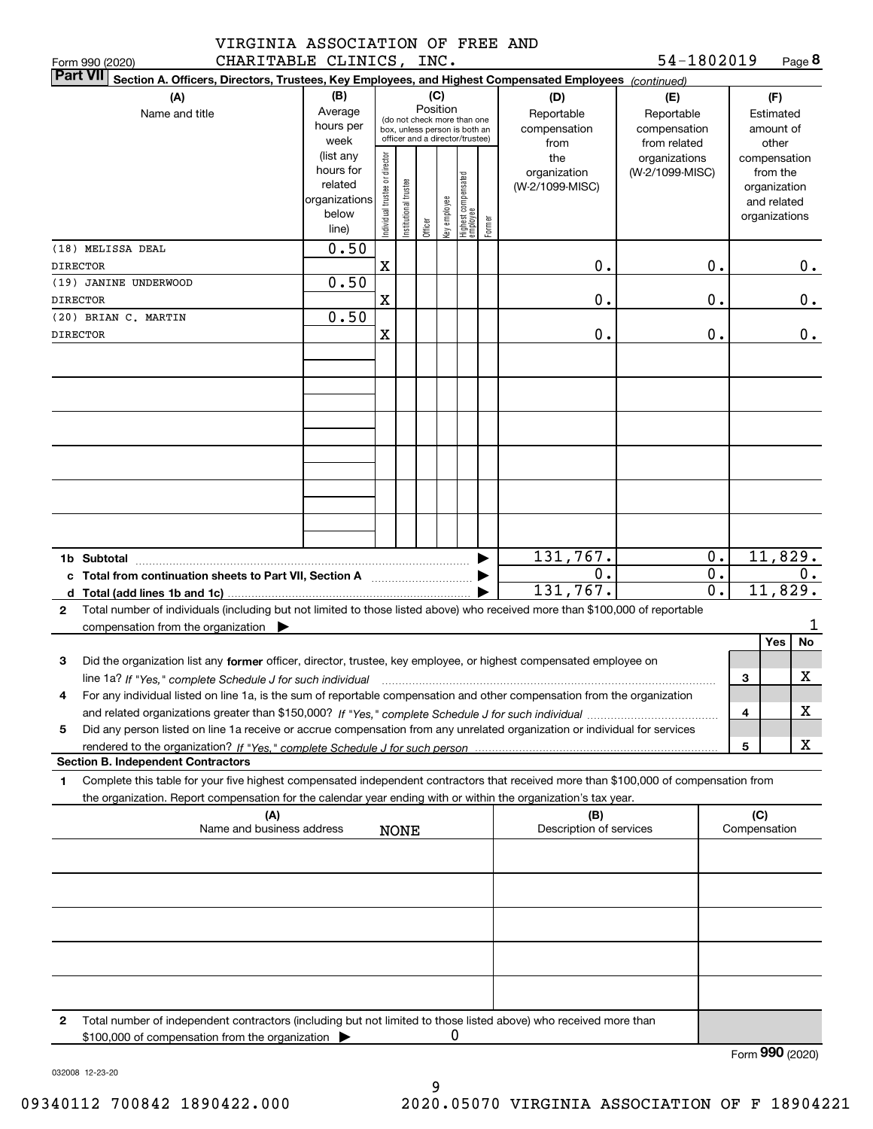| VIRGINIA ASSOCIATION OF FREE AND |  |  |  |
|----------------------------------|--|--|--|
| CHARITABLE CLINICS, INC.         |  |  |  |

| CHARITABLE CLINICS, INC.<br>Form 990 (2020)                                                                                                          |               |                                         |                       |         |              |                                  |        |                          | 54-1802019      |    |              | Page 8        |  |
|------------------------------------------------------------------------------------------------------------------------------------------------------|---------------|-----------------------------------------|-----------------------|---------|--------------|----------------------------------|--------|--------------------------|-----------------|----|--------------|---------------|--|
| <b>Part VII</b><br>Section A. Officers, Directors, Trustees, Key Employees, and Highest Compensated Employees (continued)                            |               |                                         |                       |         |              |                                  |        |                          |                 |    |              |               |  |
| (A)                                                                                                                                                  | (B)           |                                         |                       |         | (C)          |                                  |        | (D)                      | (E)             |    |              | (F)           |  |
| Name and title                                                                                                                                       | Average       | Position<br>(do not check more than one |                       |         |              |                                  |        | Reportable<br>Reportable |                 |    |              | Estimated     |  |
|                                                                                                                                                      | hours per     |                                         |                       |         |              | box, unless person is both an    |        | compensation             | compensation    |    |              | amount of     |  |
|                                                                                                                                                      | week          | officer and a director/trustee)         |                       |         |              |                                  |        | from                     | from related    |    |              | other         |  |
|                                                                                                                                                      | (list any     |                                         |                       |         |              |                                  |        | the                      | organizations   |    |              | compensation  |  |
|                                                                                                                                                      | hours for     |                                         |                       |         |              |                                  |        | organization             | (W-2/1099-MISC) |    |              | from the      |  |
|                                                                                                                                                      | related       |                                         |                       |         |              |                                  |        | (W-2/1099-MISC)          |                 |    |              | organization  |  |
|                                                                                                                                                      | organizations |                                         |                       |         |              |                                  |        |                          |                 |    |              | and related   |  |
|                                                                                                                                                      | below         | Individual trustee or director          | Institutional trustee |         | Key employee | Highest compensated<br> employee | Former |                          |                 |    |              | organizations |  |
|                                                                                                                                                      | line)         |                                         |                       | Officer |              |                                  |        |                          |                 |    |              |               |  |
| (18) MELISSA DEAL                                                                                                                                    | 0.50          |                                         |                       |         |              |                                  |        |                          |                 |    |              |               |  |
| <b>DIRECTOR</b>                                                                                                                                      |               | $\mathbf X$                             |                       |         |              |                                  |        | 0.                       |                 | 0. |              | 0.            |  |
| (19) JANINE UNDERWOOD                                                                                                                                | 0.50          |                                         |                       |         |              |                                  |        |                          |                 |    |              |               |  |
| <b>DIRECTOR</b>                                                                                                                                      |               | X                                       |                       |         |              |                                  |        | 0.                       |                 | 0. |              | 0.            |  |
| (20) BRIAN C. MARTIN                                                                                                                                 | 0.50          |                                         |                       |         |              |                                  |        |                          |                 |    |              |               |  |
| <b>DIRECTOR</b>                                                                                                                                      |               | X                                       |                       |         |              |                                  |        | 0.                       |                 | 0. |              | 0.            |  |
|                                                                                                                                                      |               |                                         |                       |         |              |                                  |        |                          |                 |    |              |               |  |
|                                                                                                                                                      |               |                                         |                       |         |              |                                  |        |                          |                 |    |              |               |  |
|                                                                                                                                                      |               |                                         |                       |         |              |                                  |        |                          |                 |    |              |               |  |
|                                                                                                                                                      |               |                                         |                       |         |              |                                  |        |                          |                 |    |              |               |  |
|                                                                                                                                                      |               |                                         |                       |         |              |                                  |        |                          |                 |    |              |               |  |
|                                                                                                                                                      |               |                                         |                       |         |              |                                  |        |                          |                 |    |              |               |  |
|                                                                                                                                                      |               |                                         |                       |         |              |                                  |        |                          |                 |    |              |               |  |
|                                                                                                                                                      |               |                                         |                       |         |              |                                  |        |                          |                 |    |              |               |  |
|                                                                                                                                                      |               |                                         |                       |         |              |                                  |        |                          |                 |    |              |               |  |
|                                                                                                                                                      |               |                                         |                       |         |              |                                  |        |                          |                 |    |              |               |  |
|                                                                                                                                                      |               |                                         |                       |         |              |                                  |        |                          |                 |    |              |               |  |
|                                                                                                                                                      |               |                                         |                       |         |              |                                  |        |                          |                 |    |              |               |  |
|                                                                                                                                                      |               |                                         |                       |         |              |                                  |        | 131,767.                 |                 | 0. |              | 11,829.       |  |
| c Total from continuation sheets to Part VII, Section A                                                                                              |               |                                         |                       |         |              |                                  |        | 0.                       |                 | 0. |              | 0.            |  |
|                                                                                                                                                      |               |                                         |                       |         |              |                                  |        | 131,767.                 |                 | 0. |              | 11,829.       |  |
| Total number of individuals (including but not limited to those listed above) who received more than \$100,000 of reportable<br>$\mathbf{2}$         |               |                                         |                       |         |              |                                  |        |                          |                 |    |              |               |  |
| compensation from the organization $\blacktriangleright$                                                                                             |               |                                         |                       |         |              |                                  |        |                          |                 |    |              | ı             |  |
|                                                                                                                                                      |               |                                         |                       |         |              |                                  |        |                          |                 |    |              | Yes<br>No     |  |
| 3<br>Did the organization list any former officer, director, trustee, key employee, or highest compensated employee on                               |               |                                         |                       |         |              |                                  |        |                          |                 |    |              |               |  |
|                                                                                                                                                      |               |                                         |                       |         |              |                                  |        |                          |                 |    |              | X             |  |
| line 1a? If "Yes," complete Schedule J for such individual manufactured contained and the line 1a? If "Yes," complete Schedule J for such individual |               |                                         |                       |         |              |                                  |        |                          |                 |    | 3            |               |  |
| For any individual listed on line 1a, is the sum of reportable compensation and other compensation from the organization                             |               |                                         |                       |         |              |                                  |        |                          |                 |    |              |               |  |
|                                                                                                                                                      |               |                                         |                       |         |              |                                  |        |                          |                 |    | 4            | х             |  |
| Did any person listed on line 1a receive or accrue compensation from any unrelated organization or individual for services<br>5                      |               |                                         |                       |         |              |                                  |        |                          |                 |    |              |               |  |
|                                                                                                                                                      |               |                                         |                       |         |              |                                  |        |                          |                 |    | 5            | x             |  |
| <b>Section B. Independent Contractors</b>                                                                                                            |               |                                         |                       |         |              |                                  |        |                          |                 |    |              |               |  |
| Complete this table for your five highest compensated independent contractors that received more than \$100,000 of compensation from<br>1            |               |                                         |                       |         |              |                                  |        |                          |                 |    |              |               |  |
| the organization. Report compensation for the calendar year ending with or within the organization's tax year.                                       |               |                                         |                       |         |              |                                  |        |                          |                 |    |              |               |  |
| (A)                                                                                                                                                  |               |                                         |                       |         |              |                                  |        | (B)                      |                 |    | (C)          |               |  |
| Name and business address                                                                                                                            |               |                                         | <b>NONE</b>           |         |              |                                  |        | Description of services  |                 |    | Compensation |               |  |
|                                                                                                                                                      |               |                                         |                       |         |              |                                  |        |                          |                 |    |              |               |  |
|                                                                                                                                                      |               |                                         |                       |         |              |                                  |        |                          |                 |    |              |               |  |
|                                                                                                                                                      |               |                                         |                       |         |              |                                  |        |                          |                 |    |              |               |  |
|                                                                                                                                                      |               |                                         |                       |         |              |                                  |        |                          |                 |    |              |               |  |
|                                                                                                                                                      |               |                                         |                       |         |              |                                  |        |                          |                 |    |              |               |  |
|                                                                                                                                                      |               |                                         |                       |         |              |                                  |        |                          |                 |    |              |               |  |
|                                                                                                                                                      |               |                                         |                       |         |              |                                  |        |                          |                 |    |              |               |  |
|                                                                                                                                                      |               |                                         |                       |         |              |                                  |        |                          |                 |    |              |               |  |
|                                                                                                                                                      |               |                                         |                       |         |              |                                  |        |                          |                 |    |              |               |  |
|                                                                                                                                                      |               |                                         |                       |         |              |                                  |        |                          |                 |    |              |               |  |
| Total number of independent contractors (including but not limited to those listed above) who received more than<br>2                                |               |                                         |                       |         |              |                                  |        |                          |                 |    |              |               |  |
| \$100,000 of compensation from the organization $\blacktriangleright$                                                                                |               |                                         |                       |         | 0            |                                  |        |                          |                 |    |              |               |  |

Form (2020) **990**

032008 12-23-20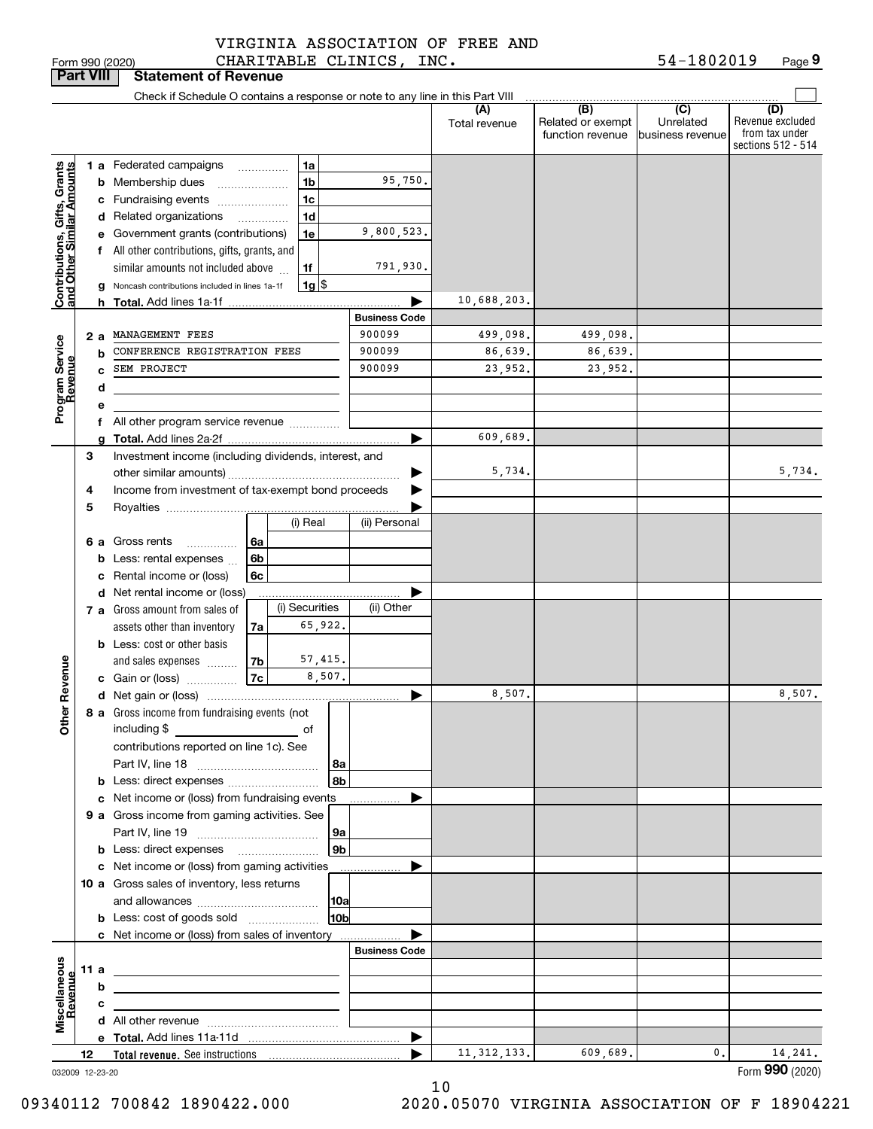**Porm 990 (2020)**<br>**Part VIII State** 

# VIRGINIA ASSOCIATION OF FREE AND

Form 990 (2020) CHARITABLE CLINICS, INC. 54-1802019 Page **9** 54-1802019

|                                                            | Part VIII |                                                   | <b>Statement of Revenue</b>                                                   |    |                          |                     |                      |               |                                       |                               |                                                                 |
|------------------------------------------------------------|-----------|---------------------------------------------------|-------------------------------------------------------------------------------|----|--------------------------|---------------------|----------------------|---------------|---------------------------------------|-------------------------------|-----------------------------------------------------------------|
|                                                            |           |                                                   | Check if Schedule O contains a response or note to any line in this Part VIII |    |                          |                     |                      | (A)           | (B)                                   | (C)                           |                                                                 |
|                                                            |           |                                                   |                                                                               |    |                          |                     |                      | Total revenue | Related or exempt<br>function revenue | Unrelated<br>business revenue | (D)<br>Revenue excluded<br>from tax under<br>sections 512 - 514 |
|                                                            |           |                                                   | <b>1 a</b> Federated campaigns                                                |    | .                        | 1a                  |                      |               |                                       |                               |                                                                 |
|                                                            |           |                                                   | <b>b</b> Membership dues<br>$\ldots \ldots \ldots \ldots \ldots$              |    |                          | 1b                  | 95,750.              |               |                                       |                               |                                                                 |
|                                                            |           |                                                   | c Fundraising events                                                          |    |                          | 1 <sub>c</sub>      |                      |               |                                       |                               |                                                                 |
|                                                            |           |                                                   | d Related organizations                                                       |    | $\overline{\phantom{a}}$ | 1d                  |                      |               |                                       |                               |                                                                 |
| Contributions, Gifts, Grants<br>Iand Other Similar Amounts |           |                                                   | e Government grants (contributions)                                           |    |                          | 1e                  | 9,800,523.           |               |                                       |                               |                                                                 |
|                                                            |           |                                                   | f All other contributions, gifts, grants, and                                 |    |                          |                     |                      |               |                                       |                               |                                                                 |
|                                                            |           |                                                   | similar amounts not included above                                            |    |                          | 1f                  | 791,930.             |               |                                       |                               |                                                                 |
|                                                            |           | g                                                 | Noncash contributions included in lines 1a-1f                                 |    |                          | $1g$ $\frac{1}{3}$  |                      |               |                                       |                               |                                                                 |
|                                                            |           |                                                   |                                                                               |    |                          |                     |                      | 10,688,203.   |                                       |                               |                                                                 |
|                                                            |           |                                                   |                                                                               |    |                          |                     | <b>Business Code</b> |               |                                       |                               |                                                                 |
|                                                            |           | 2 a                                               | MANAGEMENT FEES                                                               |    |                          |                     | 900099               | 499,098.      | 499,098.                              |                               |                                                                 |
| Program Service<br>Revenue                                 |           | b                                                 | CONFERENCE REGISTRATION FEES                                                  |    |                          |                     | 900099               | 86,639.       | 86,639.                               |                               |                                                                 |
|                                                            |           | C                                                 | SEM PROJECT                                                                   |    |                          |                     | 900099               | 23,952.       | 23,952.                               |                               |                                                                 |
|                                                            |           | d                                                 |                                                                               |    |                          |                     |                      |               |                                       |                               |                                                                 |
|                                                            |           | е                                                 |                                                                               |    |                          |                     |                      |               |                                       |                               |                                                                 |
|                                                            |           |                                                   | f All other program service revenue                                           |    |                          |                     |                      |               |                                       |                               |                                                                 |
|                                                            |           |                                                   |                                                                               |    |                          |                     | ▶                    | 609,689.      |                                       |                               |                                                                 |
|                                                            | 3         |                                                   | Investment income (including dividends, interest, and                         |    |                          |                     |                      |               |                                       |                               |                                                                 |
|                                                            |           |                                                   |                                                                               |    |                          |                     | ▶                    | 5,734.        |                                       |                               | 5,734.                                                          |
|                                                            | 4         |                                                   | Income from investment of tax-exempt bond proceeds                            |    |                          |                     |                      |               |                                       |                               |                                                                 |
|                                                            | 5         |                                                   |                                                                               |    |                          |                     |                      |               |                                       |                               |                                                                 |
|                                                            |           |                                                   |                                                                               |    |                          | (i) Real            | (ii) Personal        |               |                                       |                               |                                                                 |
|                                                            |           |                                                   | 6 a Gross rents<br>$\overline{\phantom{a}}$                                   | 6а |                          |                     |                      |               |                                       |                               |                                                                 |
|                                                            |           |                                                   | <b>b</b> Less: rental expenses                                                | 6b |                          |                     |                      |               |                                       |                               |                                                                 |
|                                                            |           | c                                                 | Rental income or (loss)                                                       | 6с |                          |                     |                      |               |                                       |                               |                                                                 |
|                                                            |           |                                                   | d Net rental income or (loss)<br>7 a Gross amount from sales of               |    |                          | .<br>(i) Securities | (ii) Other           |               |                                       |                               |                                                                 |
|                                                            |           |                                                   | assets other than inventory                                                   | 7a |                          | 65,922.             |                      |               |                                       |                               |                                                                 |
|                                                            |           |                                                   | <b>b</b> Less: cost or other basis                                            |    |                          |                     |                      |               |                                       |                               |                                                                 |
|                                                            |           |                                                   | and sales expenses                                                            | 7b |                          | 57,415.             |                      |               |                                       |                               |                                                                 |
| Revenue                                                    |           |                                                   | c Gain or (loss)                                                              | 7c |                          | 8,507.              |                      |               |                                       |                               |                                                                 |
|                                                            |           |                                                   |                                                                               |    |                          |                     |                      | 8,507.        |                                       |                               | 8,507.                                                          |
| g                                                          |           |                                                   | 8 a Gross income from fundraising events (not                                 |    |                          |                     |                      |               |                                       |                               |                                                                 |
| €                                                          |           | including \$ _________________________________ of |                                                                               |    |                          |                     |                      |               |                                       |                               |                                                                 |
|                                                            |           |                                                   | contributions reported on line 1c). See                                       |    |                          |                     |                      |               |                                       |                               |                                                                 |
|                                                            |           |                                                   |                                                                               |    |                          | 8а                  |                      |               |                                       |                               |                                                                 |
|                                                            |           |                                                   | <b>b</b> Less: direct expenses                                                |    |                          | 8b                  |                      |               |                                       |                               |                                                                 |
|                                                            |           |                                                   | c Net income or (loss) from fundraising events                                |    |                          |                     |                      |               |                                       |                               |                                                                 |
|                                                            |           |                                                   | 9 a Gross income from gaming activities. See                                  |    |                          |                     |                      |               |                                       |                               |                                                                 |
|                                                            |           |                                                   |                                                                               |    |                          | 9a                  |                      |               |                                       |                               |                                                                 |
|                                                            |           |                                                   |                                                                               |    |                          | 9 <sub>b</sub>      |                      |               |                                       |                               |                                                                 |
|                                                            |           |                                                   | c Net income or (loss) from gaming activities                                 |    |                          |                     |                      |               |                                       |                               |                                                                 |
|                                                            |           |                                                   | 10 a Gross sales of inventory, less returns                                   |    |                          |                     |                      |               |                                       |                               |                                                                 |
|                                                            |           |                                                   |                                                                               |    |                          | 10a                 |                      |               |                                       |                               |                                                                 |
|                                                            |           |                                                   | <b>b</b> Less: cost of goods sold                                             |    |                          | 10 <sub>b</sub>     |                      |               |                                       |                               |                                                                 |
|                                                            |           |                                                   | c Net income or (loss) from sales of inventory                                |    |                          |                     | <b>Business Code</b> |               |                                       |                               |                                                                 |
|                                                            |           |                                                   |                                                                               |    |                          |                     |                      |               |                                       |                               |                                                                 |
|                                                            | 11 a      |                                                   |                                                                               |    |                          |                     |                      |               |                                       |                               |                                                                 |
|                                                            |           | b                                                 |                                                                               |    |                          |                     |                      |               |                                       |                               |                                                                 |
| Miscellaneous<br>Revenue                                   |           | с                                                 |                                                                               |    |                          |                     |                      |               |                                       |                               |                                                                 |
|                                                            |           |                                                   |                                                                               |    |                          |                     |                      |               |                                       |                               |                                                                 |
|                                                            | 12        |                                                   |                                                                               |    |                          |                     |                      | 11, 312, 133. | 609,689.                              | $\mathbf{0}$ .                | 14,241.                                                         |
| 032009 12-23-20                                            |           |                                                   |                                                                               |    |                          |                     |                      |               |                                       |                               | Form 990 (2020)                                                 |

10

09340112 700842 1890422.000 2020.05070 VIRGINIA ASSOCIATION OF F 18904221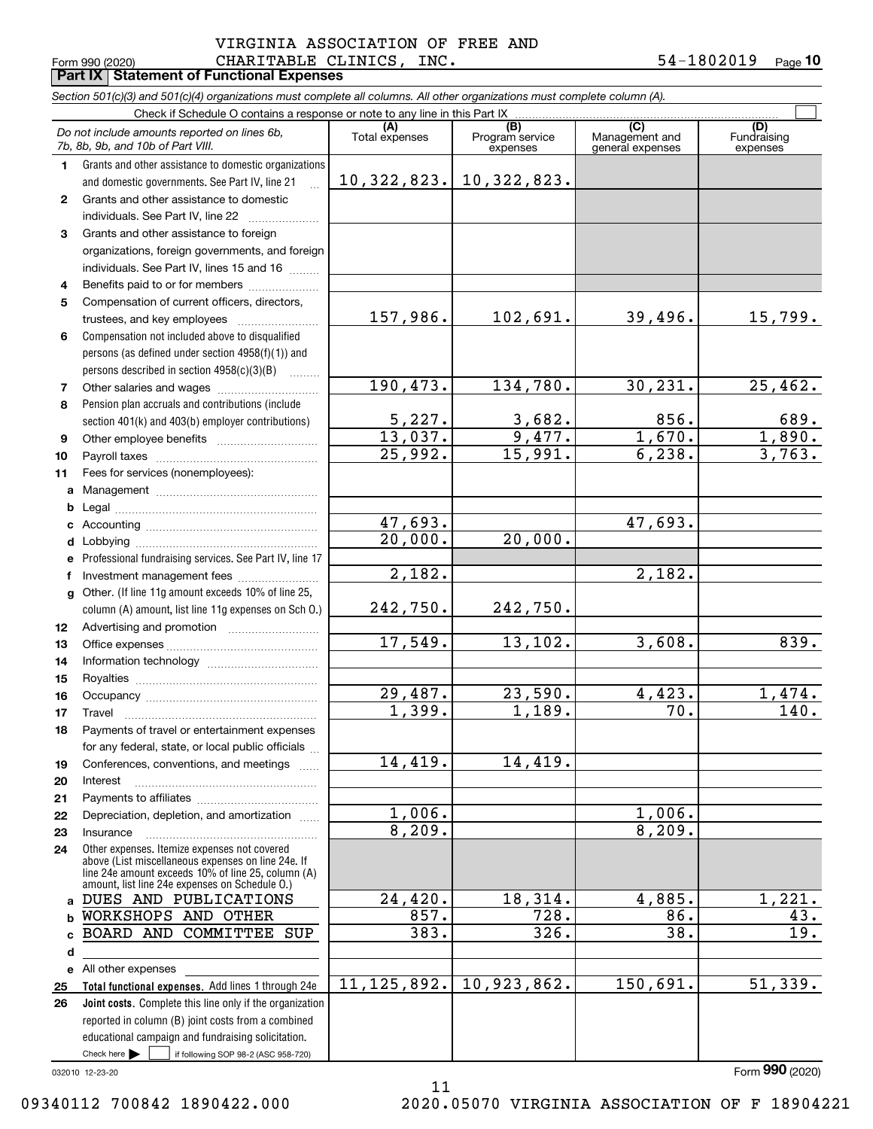### Form 990 (2020) Page **Part IX Statement of Functional Expenses** CHARITABLE CLINICS, INC. 54-1802019 VIRGINIA ASSOCIATION OF FREE AND

**10**

|              | Section 501(c)(3) and 501(c)(4) organizations must complete all columns. All other organizations must complete column (A). |                                  |                                    |                                                      |                                |
|--------------|----------------------------------------------------------------------------------------------------------------------------|----------------------------------|------------------------------------|------------------------------------------------------|--------------------------------|
|              | Check if Schedule O contains a response or note to any line in this Part IX                                                |                                  |                                    |                                                      |                                |
|              | Do not include amounts reported on lines 6b,<br>7b, 8b, 9b, and 10b of Part VIII.                                          | Total expenses                   | (B)<br>Program service<br>expenses | $\overline{C}$<br>Management and<br>general expenses | (D)<br>Fundraising<br>expenses |
| 1.           | Grants and other assistance to domestic organizations                                                                      |                                  |                                    |                                                      |                                |
|              | and domestic governments. See Part IV, line 21                                                                             | 10,322,823.                      | 10,322,823.                        |                                                      |                                |
| $\mathbf{2}$ | Grants and other assistance to domestic                                                                                    |                                  |                                    |                                                      |                                |
|              | individuals. See Part IV, line 22                                                                                          |                                  |                                    |                                                      |                                |
| 3            | Grants and other assistance to foreign                                                                                     |                                  |                                    |                                                      |                                |
|              | organizations, foreign governments, and foreign                                                                            |                                  |                                    |                                                      |                                |
|              | individuals. See Part IV, lines 15 and 16                                                                                  |                                  |                                    |                                                      |                                |
| 4            | Benefits paid to or for members                                                                                            |                                  |                                    |                                                      |                                |
| 5            | Compensation of current officers, directors,                                                                               |                                  |                                    |                                                      |                                |
|              | trustees, and key employees                                                                                                | 157,986.                         | 102,691.                           | 39,496.                                              | 15,799.                        |
| 6            | Compensation not included above to disqualified                                                                            |                                  |                                    |                                                      |                                |
|              | persons (as defined under section 4958(f)(1)) and                                                                          |                                  |                                    |                                                      |                                |
|              | persons described in section 4958(c)(3)(B)                                                                                 |                                  |                                    |                                                      |                                |
| 7            |                                                                                                                            | 190, 473.                        | 134,780.                           | 30, 231.                                             | 25,462.                        |
| 8            | Pension plan accruals and contributions (include                                                                           |                                  |                                    |                                                      |                                |
|              | section 401(k) and 403(b) employer contributions)                                                                          | 5,227.                           | 3,682.                             | 856.                                                 | 689.                           |
| 9            |                                                                                                                            | 13,037.                          | 9,477.                             | 1,670.                                               | 1,890.                         |
| 10           |                                                                                                                            | 25,992.                          | 15,991.                            | 6, 238.                                              | 3,763.                         |
| 11           | Fees for services (nonemployees):                                                                                          |                                  |                                    |                                                      |                                |
| a            |                                                                                                                            |                                  |                                    |                                                      |                                |
| b            |                                                                                                                            |                                  |                                    |                                                      |                                |
| c            |                                                                                                                            | 47,693.<br>$\overline{20,000}$ . |                                    | 47,693.                                              |                                |
| d            |                                                                                                                            |                                  | 20,000.                            |                                                      |                                |
| e            | Professional fundraising services. See Part IV, line 17                                                                    | 2,182.                           |                                    | 2,182.                                               |                                |
| f            | Investment management fees                                                                                                 |                                  |                                    |                                                      |                                |
| a            | Other. (If line 11g amount exceeds 10% of line 25,                                                                         |                                  | 242,750.                           |                                                      |                                |
|              | column (A) amount, list line 11g expenses on Sch O.)                                                                       | 242,750.                         |                                    |                                                      |                                |
| 12           |                                                                                                                            | 17,549.                          | 13, 102.                           | 3,608.                                               | 839.                           |
| 13           |                                                                                                                            |                                  |                                    |                                                      |                                |
| 14           |                                                                                                                            |                                  |                                    |                                                      |                                |
| 15           |                                                                                                                            | 29,487.                          | 23,590.                            | 4,423.                                               | 1,474.                         |
| 16           |                                                                                                                            | 1,399.                           | 1,189.                             | 70.                                                  | 140.                           |
| 17           | Payments of travel or entertainment expenses                                                                               |                                  |                                    |                                                      |                                |
| 18           | for any federal, state, or local public officials                                                                          |                                  |                                    |                                                      |                                |
| 19           | Conferences, conventions, and meetings                                                                                     | 14,419.                          | 14,419.                            |                                                      |                                |
| 20           | Interest                                                                                                                   |                                  |                                    |                                                      |                                |
| 21           |                                                                                                                            |                                  |                                    |                                                      |                                |
| 22           | Depreciation, depletion, and amortization                                                                                  | 1,006.                           |                                    | 1,006.                                               |                                |
| 23           | Insurance                                                                                                                  | 8,209.                           |                                    | 8,209.                                               |                                |
| 24           | Other expenses. Itemize expenses not covered<br>above (List miscellaneous expenses on line 24e. If                         |                                  |                                    |                                                      |                                |
|              | line 24e amount exceeds 10% of line 25, column (A)                                                                         |                                  |                                    |                                                      |                                |
|              | amount, list line 24e expenses on Schedule O.)                                                                             |                                  |                                    |                                                      |                                |
| a            | DUES AND PUBLICATIONS                                                                                                      | 24,420.                          | 18,314.                            | 4,885.                                               | 1,221.                         |
| b            | WORKSHOPS AND OTHER                                                                                                        | 857.                             | 728.                               | 86.                                                  | 43.                            |
| C            | BOARD AND COMMITTEE SUP                                                                                                    | 383.                             | 326.                               | 38.                                                  | 19.                            |
| d            |                                                                                                                            |                                  |                                    |                                                      |                                |
| е            | All other expenses                                                                                                         | 11, 125, 892.                    | 10,923,862.                        | 150,691.                                             | 51,339.                        |
| 25           | Total functional expenses. Add lines 1 through 24e<br><b>Joint costs.</b> Complete this line only if the organization      |                                  |                                    |                                                      |                                |
| 26           |                                                                                                                            |                                  |                                    |                                                      |                                |
|              | reported in column (B) joint costs from a combined<br>educational campaign and fundraising solicitation.                   |                                  |                                    |                                                      |                                |
|              | Check here $\blacktriangleright$<br>if following SOP 98-2 (ASC 958-720)                                                    |                                  |                                    |                                                      |                                |

11

032010 12-23-20

Form (2020) **990**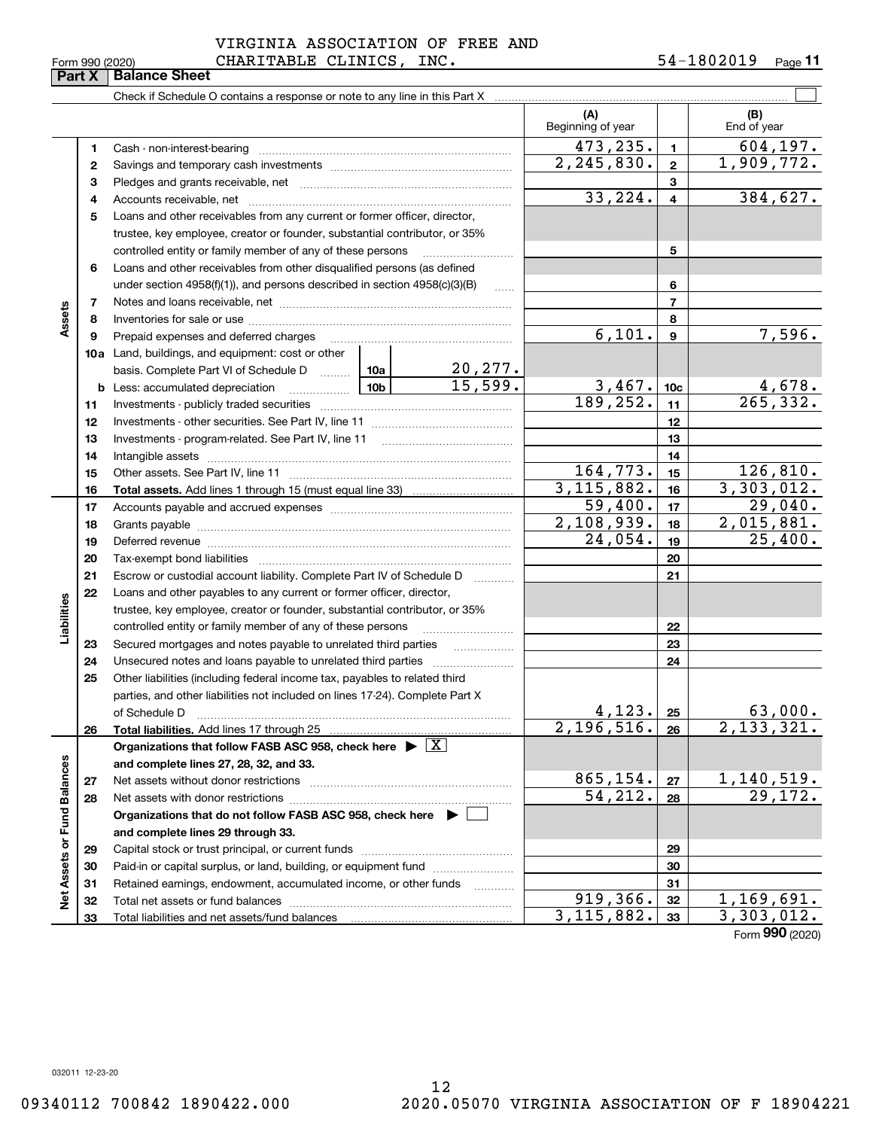|                 | VIRGINIA ASSOCIATION OF FREE AND |            |                     |
|-----------------|----------------------------------|------------|---------------------|
| Form 990 (2020) | CHARITABLE CLINICS, INC.         | 54-1802019 | $_{\text{Page}}$ 11 |

| (A)<br>(B)<br>Beginning of year<br>End of year<br>473,235.<br>$\blacksquare$<br>1<br>2, 245, 830.<br>$\mathbf{2}$<br>2<br>3<br>з<br>33,224.<br>384,627.<br>4<br>4<br>Loans and other receivables from any current or former officer, director,<br>5<br>trustee, key employee, creator or founder, substantial contributor, or 35%<br>5<br>controlled entity or family member of any of these persons<br>Loans and other receivables from other disqualified persons (as defined<br>6<br>under section 4958(f)(1)), and persons described in section 4958(c)(3)(B)<br>6<br>$\ldots$<br>$\overline{7}$<br>7<br>Assets<br>8<br>8<br>7,596.<br>6,101.<br>9<br>Prepaid expenses and deferred charges<br>9<br>10a Land, buildings, and equipment: cost or other<br>$\frac{20,277.}{15,599.}$<br>basis. Complete Part VI of Schedule D  10a<br>$\frac{3,467}{189,252}$<br>$\frac{4,678}{265,332}$<br>$\boxed{10b}$<br>10 <sub>c</sub><br><b>b</b> Less: accumulated depreciation<br>11<br>11<br>12<br>12<br>13<br>13<br>14<br>14<br>164,773.<br>126,810.<br>15<br>15<br>3, 115, 882.<br>3,303,012.<br>16<br>16<br>59,400.<br>29,040.<br>17<br>17<br>2,108,939.<br>2,015,881.<br>18<br>18<br>24,054.<br>25,400.<br>19<br>19<br>Deferred revenue information and contact the contract of the contract of the contract of the contract of the contract of the contract of the contract of the contract of the contract of the contract of the contract of the c<br>20<br>20<br>21<br>Escrow or custodial account liability. Complete Part IV of Schedule D<br>21<br>1.1.1.1.1.1.1.1.1<br>Loans and other payables to any current or former officer, director,<br>22<br>Liabilities<br>trustee, key employee, creator or founder, substantial contributor, or 35%<br>controlled entity or family member of any of these persons<br>22<br>Secured mortgages and notes payable to unrelated third parties<br>23<br>23<br>24<br>24<br>25<br>Other liabilities (including federal income tax, payables to related third<br>parties, and other liabilities not included on lines 17-24). Complete Part X<br>$\frac{4,123.}{2,196,516.}$<br>63,000.<br>25<br>of Schedule D<br>2, 133, 321.<br>26<br>Total liabilities. Add lines 17 through 25<br>26<br>Organizations that follow FASB ASC 958, check here $\blacktriangleright \boxed{X}$<br>Net Assets or Fund Balances<br>and complete lines 27, 28, 32, and 33.<br><u>865,154.</u><br>$\frac{1,140,519.}{29,172.}$<br>27<br>Net assets without donor restrictions<br>27<br>$\overline{54,212}$ .<br>Net assets with donor restrictions<br>28<br>28<br>Organizations that do not follow FASB ASC 958, check here $\blacktriangleright$<br>and complete lines 29 through 33.<br>29<br>29<br>Paid-in or capital surplus, or land, building, or equipment fund<br>30<br>30<br>Retained earnings, endowment, accumulated income, or other funds<br>31<br>31<br>1.1.1.1.1.1.1.1.1<br>919,366.<br>32<br>Total net assets or fund balances<br>32<br>3, 115, 882. |    | Check if Schedule O contains a response or note to any line in this Part X |  |  |  |    |                                 |  |
|---------------------------------------------------------------------------------------------------------------------------------------------------------------------------------------------------------------------------------------------------------------------------------------------------------------------------------------------------------------------------------------------------------------------------------------------------------------------------------------------------------------------------------------------------------------------------------------------------------------------------------------------------------------------------------------------------------------------------------------------------------------------------------------------------------------------------------------------------------------------------------------------------------------------------------------------------------------------------------------------------------------------------------------------------------------------------------------------------------------------------------------------------------------------------------------------------------------------------------------------------------------------------------------------------------------------------------------------------------------------------------------------------------------------------------------------------------------------------------------------------------------------------------------------------------------------------------------------------------------------------------------------------------------------------------------------------------------------------------------------------------------------------------------------------------------------------------------------------------------------------------------------------------------------------------------------------------------------------------------------------------------------------------------------------------------------------------------------------------------------------------------------------------------------------------------------------------------------------------------------------------------------------------------------------------------------------------------------------------------------------------------------------------------------------------------------------------------------------------------------------------------------------------------------------------------------------------------------------------------------------------------------------------------------------------------------------------------------------------------------------------------------------------------------------------------------------------------------------------------------------------------------------------------------------------------------------------------------------------------------|----|----------------------------------------------------------------------------|--|--|--|----|---------------------------------|--|
|                                                                                                                                                                                                                                                                                                                                                                                                                                                                                                                                                                                                                                                                                                                                                                                                                                                                                                                                                                                                                                                                                                                                                                                                                                                                                                                                                                                                                                                                                                                                                                                                                                                                                                                                                                                                                                                                                                                                                                                                                                                                                                                                                                                                                                                                                                                                                                                                                                                                                                                                                                                                                                                                                                                                                                                                                                                                                                                                                                                             |    |                                                                            |  |  |  |    |                                 |  |
|                                                                                                                                                                                                                                                                                                                                                                                                                                                                                                                                                                                                                                                                                                                                                                                                                                                                                                                                                                                                                                                                                                                                                                                                                                                                                                                                                                                                                                                                                                                                                                                                                                                                                                                                                                                                                                                                                                                                                                                                                                                                                                                                                                                                                                                                                                                                                                                                                                                                                                                                                                                                                                                                                                                                                                                                                                                                                                                                                                                             |    |                                                                            |  |  |  |    | 604,197.                        |  |
|                                                                                                                                                                                                                                                                                                                                                                                                                                                                                                                                                                                                                                                                                                                                                                                                                                                                                                                                                                                                                                                                                                                                                                                                                                                                                                                                                                                                                                                                                                                                                                                                                                                                                                                                                                                                                                                                                                                                                                                                                                                                                                                                                                                                                                                                                                                                                                                                                                                                                                                                                                                                                                                                                                                                                                                                                                                                                                                                                                                             |    |                                                                            |  |  |  |    | 1,909,772.                      |  |
|                                                                                                                                                                                                                                                                                                                                                                                                                                                                                                                                                                                                                                                                                                                                                                                                                                                                                                                                                                                                                                                                                                                                                                                                                                                                                                                                                                                                                                                                                                                                                                                                                                                                                                                                                                                                                                                                                                                                                                                                                                                                                                                                                                                                                                                                                                                                                                                                                                                                                                                                                                                                                                                                                                                                                                                                                                                                                                                                                                                             |    |                                                                            |  |  |  |    |                                 |  |
|                                                                                                                                                                                                                                                                                                                                                                                                                                                                                                                                                                                                                                                                                                                                                                                                                                                                                                                                                                                                                                                                                                                                                                                                                                                                                                                                                                                                                                                                                                                                                                                                                                                                                                                                                                                                                                                                                                                                                                                                                                                                                                                                                                                                                                                                                                                                                                                                                                                                                                                                                                                                                                                                                                                                                                                                                                                                                                                                                                                             |    |                                                                            |  |  |  |    |                                 |  |
|                                                                                                                                                                                                                                                                                                                                                                                                                                                                                                                                                                                                                                                                                                                                                                                                                                                                                                                                                                                                                                                                                                                                                                                                                                                                                                                                                                                                                                                                                                                                                                                                                                                                                                                                                                                                                                                                                                                                                                                                                                                                                                                                                                                                                                                                                                                                                                                                                                                                                                                                                                                                                                                                                                                                                                                                                                                                                                                                                                                             |    |                                                                            |  |  |  |    |                                 |  |
|                                                                                                                                                                                                                                                                                                                                                                                                                                                                                                                                                                                                                                                                                                                                                                                                                                                                                                                                                                                                                                                                                                                                                                                                                                                                                                                                                                                                                                                                                                                                                                                                                                                                                                                                                                                                                                                                                                                                                                                                                                                                                                                                                                                                                                                                                                                                                                                                                                                                                                                                                                                                                                                                                                                                                                                                                                                                                                                                                                                             |    |                                                                            |  |  |  |    |                                 |  |
|                                                                                                                                                                                                                                                                                                                                                                                                                                                                                                                                                                                                                                                                                                                                                                                                                                                                                                                                                                                                                                                                                                                                                                                                                                                                                                                                                                                                                                                                                                                                                                                                                                                                                                                                                                                                                                                                                                                                                                                                                                                                                                                                                                                                                                                                                                                                                                                                                                                                                                                                                                                                                                                                                                                                                                                                                                                                                                                                                                                             |    |                                                                            |  |  |  |    |                                 |  |
|                                                                                                                                                                                                                                                                                                                                                                                                                                                                                                                                                                                                                                                                                                                                                                                                                                                                                                                                                                                                                                                                                                                                                                                                                                                                                                                                                                                                                                                                                                                                                                                                                                                                                                                                                                                                                                                                                                                                                                                                                                                                                                                                                                                                                                                                                                                                                                                                                                                                                                                                                                                                                                                                                                                                                                                                                                                                                                                                                                                             |    |                                                                            |  |  |  |    |                                 |  |
|                                                                                                                                                                                                                                                                                                                                                                                                                                                                                                                                                                                                                                                                                                                                                                                                                                                                                                                                                                                                                                                                                                                                                                                                                                                                                                                                                                                                                                                                                                                                                                                                                                                                                                                                                                                                                                                                                                                                                                                                                                                                                                                                                                                                                                                                                                                                                                                                                                                                                                                                                                                                                                                                                                                                                                                                                                                                                                                                                                                             |    |                                                                            |  |  |  |    |                                 |  |
|                                                                                                                                                                                                                                                                                                                                                                                                                                                                                                                                                                                                                                                                                                                                                                                                                                                                                                                                                                                                                                                                                                                                                                                                                                                                                                                                                                                                                                                                                                                                                                                                                                                                                                                                                                                                                                                                                                                                                                                                                                                                                                                                                                                                                                                                                                                                                                                                                                                                                                                                                                                                                                                                                                                                                                                                                                                                                                                                                                                             |    |                                                                            |  |  |  |    |                                 |  |
|                                                                                                                                                                                                                                                                                                                                                                                                                                                                                                                                                                                                                                                                                                                                                                                                                                                                                                                                                                                                                                                                                                                                                                                                                                                                                                                                                                                                                                                                                                                                                                                                                                                                                                                                                                                                                                                                                                                                                                                                                                                                                                                                                                                                                                                                                                                                                                                                                                                                                                                                                                                                                                                                                                                                                                                                                                                                                                                                                                                             |    |                                                                            |  |  |  |    |                                 |  |
|                                                                                                                                                                                                                                                                                                                                                                                                                                                                                                                                                                                                                                                                                                                                                                                                                                                                                                                                                                                                                                                                                                                                                                                                                                                                                                                                                                                                                                                                                                                                                                                                                                                                                                                                                                                                                                                                                                                                                                                                                                                                                                                                                                                                                                                                                                                                                                                                                                                                                                                                                                                                                                                                                                                                                                                                                                                                                                                                                                                             |    |                                                                            |  |  |  |    |                                 |  |
|                                                                                                                                                                                                                                                                                                                                                                                                                                                                                                                                                                                                                                                                                                                                                                                                                                                                                                                                                                                                                                                                                                                                                                                                                                                                                                                                                                                                                                                                                                                                                                                                                                                                                                                                                                                                                                                                                                                                                                                                                                                                                                                                                                                                                                                                                                                                                                                                                                                                                                                                                                                                                                                                                                                                                                                                                                                                                                                                                                                             |    |                                                                            |  |  |  |    |                                 |  |
|                                                                                                                                                                                                                                                                                                                                                                                                                                                                                                                                                                                                                                                                                                                                                                                                                                                                                                                                                                                                                                                                                                                                                                                                                                                                                                                                                                                                                                                                                                                                                                                                                                                                                                                                                                                                                                                                                                                                                                                                                                                                                                                                                                                                                                                                                                                                                                                                                                                                                                                                                                                                                                                                                                                                                                                                                                                                                                                                                                                             |    |                                                                            |  |  |  |    |                                 |  |
|                                                                                                                                                                                                                                                                                                                                                                                                                                                                                                                                                                                                                                                                                                                                                                                                                                                                                                                                                                                                                                                                                                                                                                                                                                                                                                                                                                                                                                                                                                                                                                                                                                                                                                                                                                                                                                                                                                                                                                                                                                                                                                                                                                                                                                                                                                                                                                                                                                                                                                                                                                                                                                                                                                                                                                                                                                                                                                                                                                                             |    |                                                                            |  |  |  |    |                                 |  |
|                                                                                                                                                                                                                                                                                                                                                                                                                                                                                                                                                                                                                                                                                                                                                                                                                                                                                                                                                                                                                                                                                                                                                                                                                                                                                                                                                                                                                                                                                                                                                                                                                                                                                                                                                                                                                                                                                                                                                                                                                                                                                                                                                                                                                                                                                                                                                                                                                                                                                                                                                                                                                                                                                                                                                                                                                                                                                                                                                                                             |    |                                                                            |  |  |  |    |                                 |  |
|                                                                                                                                                                                                                                                                                                                                                                                                                                                                                                                                                                                                                                                                                                                                                                                                                                                                                                                                                                                                                                                                                                                                                                                                                                                                                                                                                                                                                                                                                                                                                                                                                                                                                                                                                                                                                                                                                                                                                                                                                                                                                                                                                                                                                                                                                                                                                                                                                                                                                                                                                                                                                                                                                                                                                                                                                                                                                                                                                                                             |    |                                                                            |  |  |  |    |                                 |  |
|                                                                                                                                                                                                                                                                                                                                                                                                                                                                                                                                                                                                                                                                                                                                                                                                                                                                                                                                                                                                                                                                                                                                                                                                                                                                                                                                                                                                                                                                                                                                                                                                                                                                                                                                                                                                                                                                                                                                                                                                                                                                                                                                                                                                                                                                                                                                                                                                                                                                                                                                                                                                                                                                                                                                                                                                                                                                                                                                                                                             |    |                                                                            |  |  |  |    |                                 |  |
|                                                                                                                                                                                                                                                                                                                                                                                                                                                                                                                                                                                                                                                                                                                                                                                                                                                                                                                                                                                                                                                                                                                                                                                                                                                                                                                                                                                                                                                                                                                                                                                                                                                                                                                                                                                                                                                                                                                                                                                                                                                                                                                                                                                                                                                                                                                                                                                                                                                                                                                                                                                                                                                                                                                                                                                                                                                                                                                                                                                             |    |                                                                            |  |  |  |    |                                 |  |
|                                                                                                                                                                                                                                                                                                                                                                                                                                                                                                                                                                                                                                                                                                                                                                                                                                                                                                                                                                                                                                                                                                                                                                                                                                                                                                                                                                                                                                                                                                                                                                                                                                                                                                                                                                                                                                                                                                                                                                                                                                                                                                                                                                                                                                                                                                                                                                                                                                                                                                                                                                                                                                                                                                                                                                                                                                                                                                                                                                                             |    |                                                                            |  |  |  |    |                                 |  |
|                                                                                                                                                                                                                                                                                                                                                                                                                                                                                                                                                                                                                                                                                                                                                                                                                                                                                                                                                                                                                                                                                                                                                                                                                                                                                                                                                                                                                                                                                                                                                                                                                                                                                                                                                                                                                                                                                                                                                                                                                                                                                                                                                                                                                                                                                                                                                                                                                                                                                                                                                                                                                                                                                                                                                                                                                                                                                                                                                                                             |    |                                                                            |  |  |  |    |                                 |  |
|                                                                                                                                                                                                                                                                                                                                                                                                                                                                                                                                                                                                                                                                                                                                                                                                                                                                                                                                                                                                                                                                                                                                                                                                                                                                                                                                                                                                                                                                                                                                                                                                                                                                                                                                                                                                                                                                                                                                                                                                                                                                                                                                                                                                                                                                                                                                                                                                                                                                                                                                                                                                                                                                                                                                                                                                                                                                                                                                                                                             |    |                                                                            |  |  |  |    |                                 |  |
|                                                                                                                                                                                                                                                                                                                                                                                                                                                                                                                                                                                                                                                                                                                                                                                                                                                                                                                                                                                                                                                                                                                                                                                                                                                                                                                                                                                                                                                                                                                                                                                                                                                                                                                                                                                                                                                                                                                                                                                                                                                                                                                                                                                                                                                                                                                                                                                                                                                                                                                                                                                                                                                                                                                                                                                                                                                                                                                                                                                             |    |                                                                            |  |  |  |    |                                 |  |
|                                                                                                                                                                                                                                                                                                                                                                                                                                                                                                                                                                                                                                                                                                                                                                                                                                                                                                                                                                                                                                                                                                                                                                                                                                                                                                                                                                                                                                                                                                                                                                                                                                                                                                                                                                                                                                                                                                                                                                                                                                                                                                                                                                                                                                                                                                                                                                                                                                                                                                                                                                                                                                                                                                                                                                                                                                                                                                                                                                                             |    |                                                                            |  |  |  |    |                                 |  |
|                                                                                                                                                                                                                                                                                                                                                                                                                                                                                                                                                                                                                                                                                                                                                                                                                                                                                                                                                                                                                                                                                                                                                                                                                                                                                                                                                                                                                                                                                                                                                                                                                                                                                                                                                                                                                                                                                                                                                                                                                                                                                                                                                                                                                                                                                                                                                                                                                                                                                                                                                                                                                                                                                                                                                                                                                                                                                                                                                                                             |    |                                                                            |  |  |  |    |                                 |  |
|                                                                                                                                                                                                                                                                                                                                                                                                                                                                                                                                                                                                                                                                                                                                                                                                                                                                                                                                                                                                                                                                                                                                                                                                                                                                                                                                                                                                                                                                                                                                                                                                                                                                                                                                                                                                                                                                                                                                                                                                                                                                                                                                                                                                                                                                                                                                                                                                                                                                                                                                                                                                                                                                                                                                                                                                                                                                                                                                                                                             |    |                                                                            |  |  |  |    |                                 |  |
|                                                                                                                                                                                                                                                                                                                                                                                                                                                                                                                                                                                                                                                                                                                                                                                                                                                                                                                                                                                                                                                                                                                                                                                                                                                                                                                                                                                                                                                                                                                                                                                                                                                                                                                                                                                                                                                                                                                                                                                                                                                                                                                                                                                                                                                                                                                                                                                                                                                                                                                                                                                                                                                                                                                                                                                                                                                                                                                                                                                             |    |                                                                            |  |  |  |    |                                 |  |
|                                                                                                                                                                                                                                                                                                                                                                                                                                                                                                                                                                                                                                                                                                                                                                                                                                                                                                                                                                                                                                                                                                                                                                                                                                                                                                                                                                                                                                                                                                                                                                                                                                                                                                                                                                                                                                                                                                                                                                                                                                                                                                                                                                                                                                                                                                                                                                                                                                                                                                                                                                                                                                                                                                                                                                                                                                                                                                                                                                                             |    |                                                                            |  |  |  |    |                                 |  |
|                                                                                                                                                                                                                                                                                                                                                                                                                                                                                                                                                                                                                                                                                                                                                                                                                                                                                                                                                                                                                                                                                                                                                                                                                                                                                                                                                                                                                                                                                                                                                                                                                                                                                                                                                                                                                                                                                                                                                                                                                                                                                                                                                                                                                                                                                                                                                                                                                                                                                                                                                                                                                                                                                                                                                                                                                                                                                                                                                                                             |    |                                                                            |  |  |  |    |                                 |  |
|                                                                                                                                                                                                                                                                                                                                                                                                                                                                                                                                                                                                                                                                                                                                                                                                                                                                                                                                                                                                                                                                                                                                                                                                                                                                                                                                                                                                                                                                                                                                                                                                                                                                                                                                                                                                                                                                                                                                                                                                                                                                                                                                                                                                                                                                                                                                                                                                                                                                                                                                                                                                                                                                                                                                                                                                                                                                                                                                                                                             |    |                                                                            |  |  |  |    |                                 |  |
|                                                                                                                                                                                                                                                                                                                                                                                                                                                                                                                                                                                                                                                                                                                                                                                                                                                                                                                                                                                                                                                                                                                                                                                                                                                                                                                                                                                                                                                                                                                                                                                                                                                                                                                                                                                                                                                                                                                                                                                                                                                                                                                                                                                                                                                                                                                                                                                                                                                                                                                                                                                                                                                                                                                                                                                                                                                                                                                                                                                             |    |                                                                            |  |  |  |    |                                 |  |
|                                                                                                                                                                                                                                                                                                                                                                                                                                                                                                                                                                                                                                                                                                                                                                                                                                                                                                                                                                                                                                                                                                                                                                                                                                                                                                                                                                                                                                                                                                                                                                                                                                                                                                                                                                                                                                                                                                                                                                                                                                                                                                                                                                                                                                                                                                                                                                                                                                                                                                                                                                                                                                                                                                                                                                                                                                                                                                                                                                                             |    |                                                                            |  |  |  |    |                                 |  |
|                                                                                                                                                                                                                                                                                                                                                                                                                                                                                                                                                                                                                                                                                                                                                                                                                                                                                                                                                                                                                                                                                                                                                                                                                                                                                                                                                                                                                                                                                                                                                                                                                                                                                                                                                                                                                                                                                                                                                                                                                                                                                                                                                                                                                                                                                                                                                                                                                                                                                                                                                                                                                                                                                                                                                                                                                                                                                                                                                                                             |    |                                                                            |  |  |  |    |                                 |  |
|                                                                                                                                                                                                                                                                                                                                                                                                                                                                                                                                                                                                                                                                                                                                                                                                                                                                                                                                                                                                                                                                                                                                                                                                                                                                                                                                                                                                                                                                                                                                                                                                                                                                                                                                                                                                                                                                                                                                                                                                                                                                                                                                                                                                                                                                                                                                                                                                                                                                                                                                                                                                                                                                                                                                                                                                                                                                                                                                                                                             |    |                                                                            |  |  |  |    |                                 |  |
|                                                                                                                                                                                                                                                                                                                                                                                                                                                                                                                                                                                                                                                                                                                                                                                                                                                                                                                                                                                                                                                                                                                                                                                                                                                                                                                                                                                                                                                                                                                                                                                                                                                                                                                                                                                                                                                                                                                                                                                                                                                                                                                                                                                                                                                                                                                                                                                                                                                                                                                                                                                                                                                                                                                                                                                                                                                                                                                                                                                             |    |                                                                            |  |  |  |    |                                 |  |
|                                                                                                                                                                                                                                                                                                                                                                                                                                                                                                                                                                                                                                                                                                                                                                                                                                                                                                                                                                                                                                                                                                                                                                                                                                                                                                                                                                                                                                                                                                                                                                                                                                                                                                                                                                                                                                                                                                                                                                                                                                                                                                                                                                                                                                                                                                                                                                                                                                                                                                                                                                                                                                                                                                                                                                                                                                                                                                                                                                                             |    |                                                                            |  |  |  |    |                                 |  |
|                                                                                                                                                                                                                                                                                                                                                                                                                                                                                                                                                                                                                                                                                                                                                                                                                                                                                                                                                                                                                                                                                                                                                                                                                                                                                                                                                                                                                                                                                                                                                                                                                                                                                                                                                                                                                                                                                                                                                                                                                                                                                                                                                                                                                                                                                                                                                                                                                                                                                                                                                                                                                                                                                                                                                                                                                                                                                                                                                                                             |    |                                                                            |  |  |  |    |                                 |  |
|                                                                                                                                                                                                                                                                                                                                                                                                                                                                                                                                                                                                                                                                                                                                                                                                                                                                                                                                                                                                                                                                                                                                                                                                                                                                                                                                                                                                                                                                                                                                                                                                                                                                                                                                                                                                                                                                                                                                                                                                                                                                                                                                                                                                                                                                                                                                                                                                                                                                                                                                                                                                                                                                                                                                                                                                                                                                                                                                                                                             |    |                                                                            |  |  |  |    |                                 |  |
|                                                                                                                                                                                                                                                                                                                                                                                                                                                                                                                                                                                                                                                                                                                                                                                                                                                                                                                                                                                                                                                                                                                                                                                                                                                                                                                                                                                                                                                                                                                                                                                                                                                                                                                                                                                                                                                                                                                                                                                                                                                                                                                                                                                                                                                                                                                                                                                                                                                                                                                                                                                                                                                                                                                                                                                                                                                                                                                                                                                             |    |                                                                            |  |  |  |    |                                 |  |
|                                                                                                                                                                                                                                                                                                                                                                                                                                                                                                                                                                                                                                                                                                                                                                                                                                                                                                                                                                                                                                                                                                                                                                                                                                                                                                                                                                                                                                                                                                                                                                                                                                                                                                                                                                                                                                                                                                                                                                                                                                                                                                                                                                                                                                                                                                                                                                                                                                                                                                                                                                                                                                                                                                                                                                                                                                                                                                                                                                                             |    |                                                                            |  |  |  |    |                                 |  |
|                                                                                                                                                                                                                                                                                                                                                                                                                                                                                                                                                                                                                                                                                                                                                                                                                                                                                                                                                                                                                                                                                                                                                                                                                                                                                                                                                                                                                                                                                                                                                                                                                                                                                                                                                                                                                                                                                                                                                                                                                                                                                                                                                                                                                                                                                                                                                                                                                                                                                                                                                                                                                                                                                                                                                                                                                                                                                                                                                                                             |    |                                                                            |  |  |  |    |                                 |  |
|                                                                                                                                                                                                                                                                                                                                                                                                                                                                                                                                                                                                                                                                                                                                                                                                                                                                                                                                                                                                                                                                                                                                                                                                                                                                                                                                                                                                                                                                                                                                                                                                                                                                                                                                                                                                                                                                                                                                                                                                                                                                                                                                                                                                                                                                                                                                                                                                                                                                                                                                                                                                                                                                                                                                                                                                                                                                                                                                                                                             |    |                                                                            |  |  |  |    |                                 |  |
|                                                                                                                                                                                                                                                                                                                                                                                                                                                                                                                                                                                                                                                                                                                                                                                                                                                                                                                                                                                                                                                                                                                                                                                                                                                                                                                                                                                                                                                                                                                                                                                                                                                                                                                                                                                                                                                                                                                                                                                                                                                                                                                                                                                                                                                                                                                                                                                                                                                                                                                                                                                                                                                                                                                                                                                                                                                                                                                                                                                             |    |                                                                            |  |  |  |    |                                 |  |
|                                                                                                                                                                                                                                                                                                                                                                                                                                                                                                                                                                                                                                                                                                                                                                                                                                                                                                                                                                                                                                                                                                                                                                                                                                                                                                                                                                                                                                                                                                                                                                                                                                                                                                                                                                                                                                                                                                                                                                                                                                                                                                                                                                                                                                                                                                                                                                                                                                                                                                                                                                                                                                                                                                                                                                                                                                                                                                                                                                                             |    |                                                                            |  |  |  |    | 1,169,691.                      |  |
|                                                                                                                                                                                                                                                                                                                                                                                                                                                                                                                                                                                                                                                                                                                                                                                                                                                                                                                                                                                                                                                                                                                                                                                                                                                                                                                                                                                                                                                                                                                                                                                                                                                                                                                                                                                                                                                                                                                                                                                                                                                                                                                                                                                                                                                                                                                                                                                                                                                                                                                                                                                                                                                                                                                                                                                                                                                                                                                                                                                             | 33 | Total liabilities and net assets/fund balances                             |  |  |  | 33 | 3,303,012.<br>$\sim$ 000 $\sim$ |  |

Form (2020) **990**

**Part X Balance Sheet**

 $\overline{\phantom{0}}$ 

 $\overline{\phantom{0}}$ 

032011 12-23-20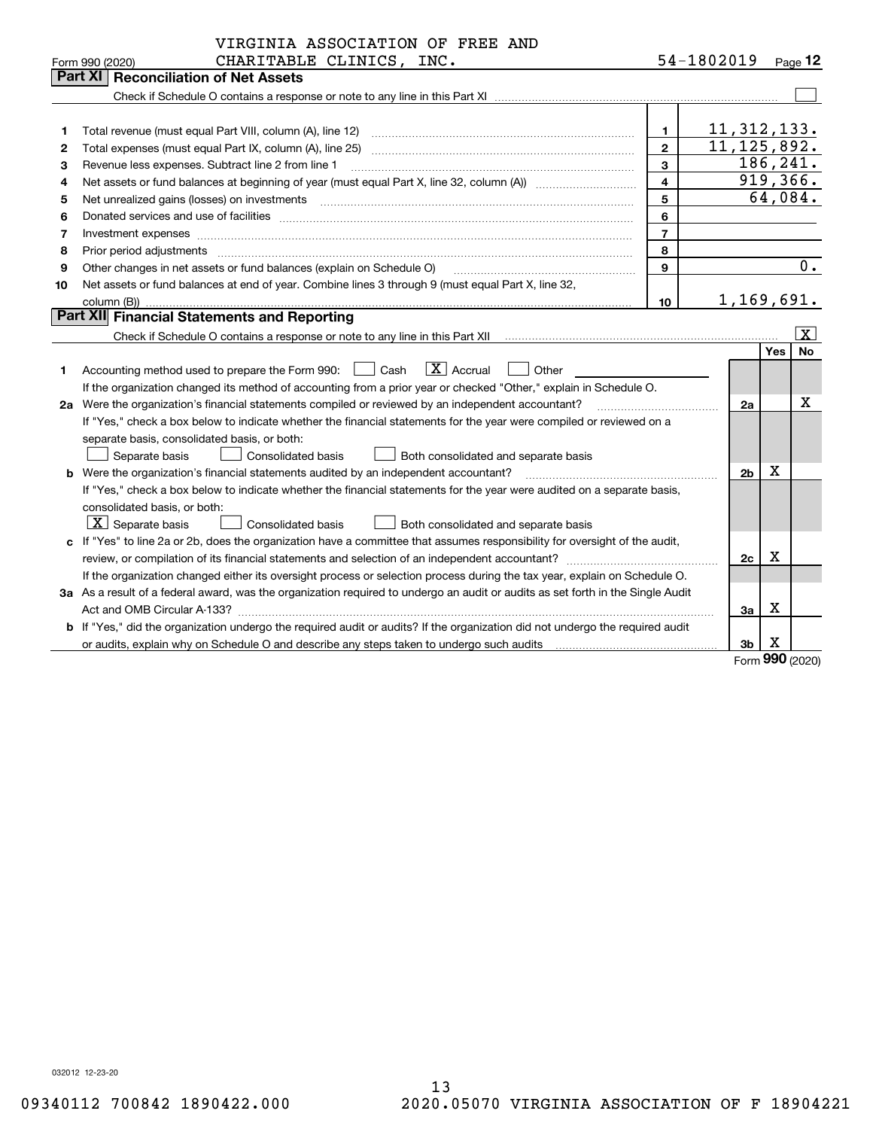|    | VIRGINIA ASSOCIATION OF FREE AND                                                                                                                                                                                               |                |               |                |     |                  |
|----|--------------------------------------------------------------------------------------------------------------------------------------------------------------------------------------------------------------------------------|----------------|---------------|----------------|-----|------------------|
|    | CHARITABLE CLINICS, INC.<br>Form 990 (2020)                                                                                                                                                                                    |                | 54-1802019    |                |     | Page 12          |
|    | Part XI<br><b>Reconciliation of Net Assets</b>                                                                                                                                                                                 |                |               |                |     |                  |
|    |                                                                                                                                                                                                                                |                |               |                |     |                  |
|    |                                                                                                                                                                                                                                |                |               |                |     |                  |
| 1  | Total revenue (must equal Part VIII, column (A), line 12)                                                                                                                                                                      | $\mathbf{1}$   | 11, 312, 133. |                |     |                  |
| 2  | Total expenses (must equal Part IX, column (A), line 25)                                                                                                                                                                       | $\mathbf{2}$   | 11, 125, 892. |                |     |                  |
| з  | Revenue less expenses. Subtract line 2 from line 1                                                                                                                                                                             | 3              |               |                |     | 186,241.         |
| 4  |                                                                                                                                                                                                                                | 4              |               |                |     | 919,366.         |
| 5  |                                                                                                                                                                                                                                | 5              |               |                |     | 64,084.          |
| 6  | Donated services and use of facilities [111] Donated and the service of facilities [11] Donated services and use of facilities [11] Donated and the service of the service of the service of the service of the service of the | 6              |               |                |     |                  |
| 7  | Investment expenses www.communication.com/www.communication.com/www.communication.com/www.com                                                                                                                                  | $\overline{7}$ |               |                |     |                  |
| 8  | Prior period adjustments                                                                                                                                                                                                       | 8              |               |                |     |                  |
| 9  | Other changes in net assets or fund balances (explain on Schedule O)                                                                                                                                                           | 9              |               |                |     | $\overline{0}$ . |
| 10 | Net assets or fund balances at end of year. Combine lines 3 through 9 (must equal Part X, line 32,                                                                                                                             |                |               |                |     |                  |
|    |                                                                                                                                                                                                                                | 10             |               |                |     | 1,169,691.       |
|    | Part XII Financial Statements and Reporting                                                                                                                                                                                    |                |               |                |     |                  |
|    |                                                                                                                                                                                                                                |                |               |                |     | $\vert X \vert$  |
|    |                                                                                                                                                                                                                                |                |               |                | Yes | No               |
| 1  | $\boxed{\text{X}}$ Accrual<br>Accounting method used to prepare the Form 990: <u>[16</u> ] Cash<br>Other                                                                                                                       |                |               |                |     |                  |
|    | If the organization changed its method of accounting from a prior year or checked "Other," explain in Schedule O.                                                                                                              |                |               |                |     |                  |
|    | 2a Were the organization's financial statements compiled or reviewed by an independent accountant?                                                                                                                             |                |               | 2a             |     | х                |
|    | If "Yes," check a box below to indicate whether the financial statements for the year were compiled or reviewed on a                                                                                                           |                |               |                |     |                  |
|    | separate basis, consolidated basis, or both:                                                                                                                                                                                   |                |               |                |     |                  |
|    | Separate basis<br><b>Consolidated basis</b><br>Both consolidated and separate basis                                                                                                                                            |                |               |                |     |                  |
|    | <b>b</b> Were the organization's financial statements audited by an independent accountant?                                                                                                                                    |                |               | 2 <sub>b</sub> | X   |                  |
|    | If "Yes," check a box below to indicate whether the financial statements for the year were audited on a separate basis,                                                                                                        |                |               |                |     |                  |
|    | consolidated basis, or both:                                                                                                                                                                                                   |                |               |                |     |                  |
|    | $X$ Separate basis<br><b>Consolidated basis</b><br>Both consolidated and separate basis                                                                                                                                        |                |               |                |     |                  |
|    | c If "Yes" to line 2a or 2b, does the organization have a committee that assumes responsibility for oversight of the audit,                                                                                                    |                |               |                |     |                  |
|    |                                                                                                                                                                                                                                |                |               | 2c             | х   |                  |
|    | If the organization changed either its oversight process or selection process during the tax year, explain on Schedule O.                                                                                                      |                |               |                |     |                  |
|    | 3a As a result of a federal award, was the organization required to undergo an audit or audits as set forth in the Single Audit                                                                                                |                |               |                |     |                  |
|    | Act and OMB Circular A-133?                                                                                                                                                                                                    |                |               | 3a             | X   |                  |
|    | <b>b</b> If "Yes," did the organization undergo the required audit or audits? If the organization did not undergo the required audit                                                                                           |                |               |                |     |                  |
|    |                                                                                                                                                                                                                                |                |               | 3 <sub>b</sub> | х   |                  |
|    |                                                                                                                                                                                                                                |                |               |                |     | Form 990 (2020)  |

Formym **990** (2020)

032012 12-23-20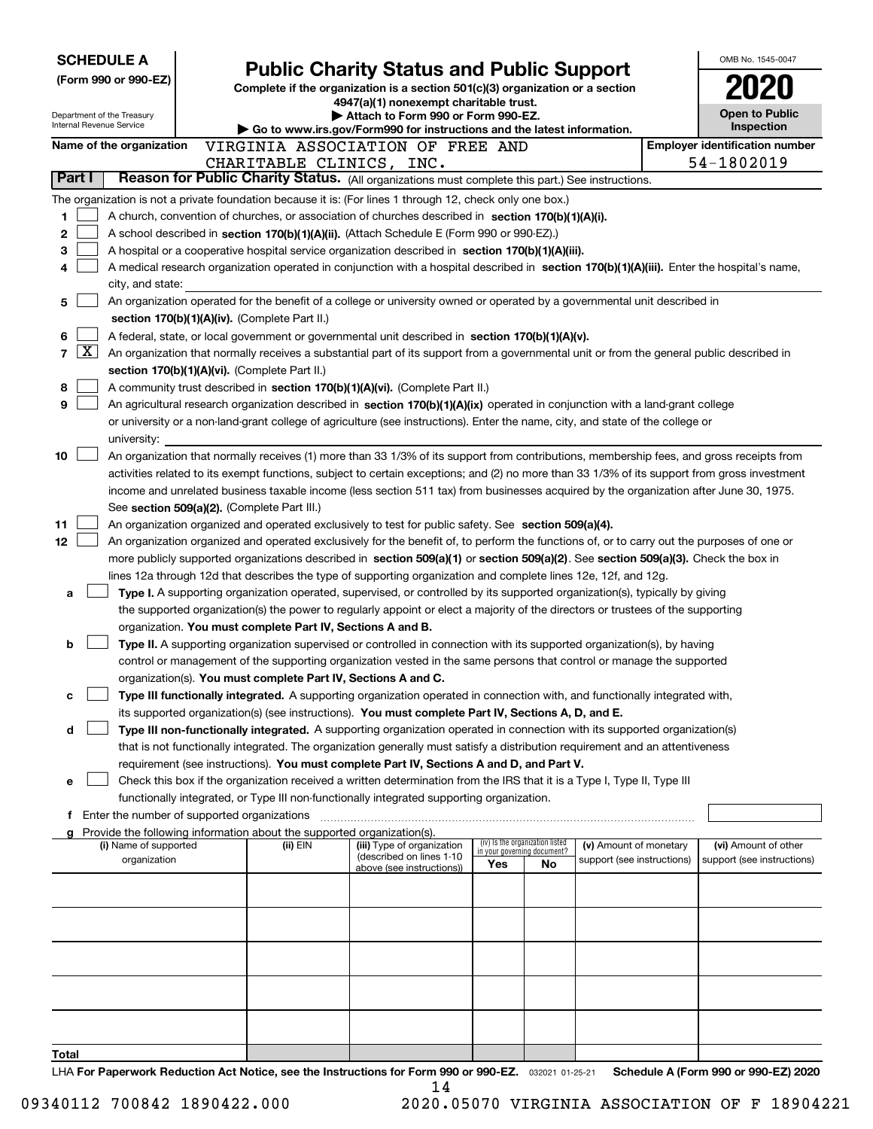| <b>SCHEDULE A</b>                                      |                                                                                                                                                                                                                                                                                          |                                                                                                                                  |                                                                |    |                            | OMB No. 1545-0047                     |
|--------------------------------------------------------|------------------------------------------------------------------------------------------------------------------------------------------------------------------------------------------------------------------------------------------------------------------------------------------|----------------------------------------------------------------------------------------------------------------------------------|----------------------------------------------------------------|----|----------------------------|---------------------------------------|
| (Form 990 or 990-EZ)                                   |                                                                                                                                                                                                                                                                                          | <b>Public Charity Status and Public Support</b><br>Complete if the organization is a section 501(c)(3) organization or a section |                                                                |    |                            |                                       |
|                                                        |                                                                                                                                                                                                                                                                                          | 4947(a)(1) nonexempt charitable trust.                                                                                           |                                                                |    |                            |                                       |
| Department of the Treasury<br>Internal Revenue Service |                                                                                                                                                                                                                                                                                          | Attach to Form 990 or Form 990-EZ.                                                                                               |                                                                |    |                            | Open to Public                        |
|                                                        |                                                                                                                                                                                                                                                                                          | Go to www.irs.gov/Form990 for instructions and the latest information.                                                           |                                                                |    |                            | Inspection                            |
| Name of the organization                               | VIRGINIA ASSOCIATION OF FREE AND                                                                                                                                                                                                                                                         |                                                                                                                                  |                                                                |    |                            | <b>Employer identification number</b> |
| Part I                                                 | CHARITABLE CLINICS, INC.<br>Reason for Public Charity Status. (All organizations must complete this part.) See instructions.                                                                                                                                                             |                                                                                                                                  |                                                                |    |                            | 54-1802019                            |
|                                                        | The organization is not a private foundation because it is: (For lines 1 through 12, check only one box.)                                                                                                                                                                                |                                                                                                                                  |                                                                |    |                            |                                       |
| 1                                                      | A church, convention of churches, or association of churches described in section 170(b)(1)(A)(i).                                                                                                                                                                                       |                                                                                                                                  |                                                                |    |                            |                                       |
| 2                                                      | A school described in section 170(b)(1)(A)(ii). (Attach Schedule E (Form 990 or 990-EZ).)                                                                                                                                                                                                |                                                                                                                                  |                                                                |    |                            |                                       |
| з                                                      | A hospital or a cooperative hospital service organization described in section 170(b)(1)(A)(iii).                                                                                                                                                                                        |                                                                                                                                  |                                                                |    |                            |                                       |
| 4                                                      | A medical research organization operated in conjunction with a hospital described in section 170(b)(1)(A)(iii). Enter the hospital's name,                                                                                                                                               |                                                                                                                                  |                                                                |    |                            |                                       |
| city, and state:                                       |                                                                                                                                                                                                                                                                                          |                                                                                                                                  |                                                                |    |                            |                                       |
| 5                                                      | An organization operated for the benefit of a college or university owned or operated by a governmental unit described in                                                                                                                                                                |                                                                                                                                  |                                                                |    |                            |                                       |
|                                                        | section 170(b)(1)(A)(iv). (Complete Part II.)                                                                                                                                                                                                                                            |                                                                                                                                  |                                                                |    |                            |                                       |
| 6                                                      | A federal, state, or local government or governmental unit described in section 170(b)(1)(A)(v).                                                                                                                                                                                         |                                                                                                                                  |                                                                |    |                            |                                       |
| <u>x</u><br>7                                          | An organization that normally receives a substantial part of its support from a governmental unit or from the general public described in                                                                                                                                                |                                                                                                                                  |                                                                |    |                            |                                       |
|                                                        | section 170(b)(1)(A)(vi). (Complete Part II.)                                                                                                                                                                                                                                            |                                                                                                                                  |                                                                |    |                            |                                       |
| 8                                                      | A community trust described in section 170(b)(1)(A)(vi). (Complete Part II.)                                                                                                                                                                                                             |                                                                                                                                  |                                                                |    |                            |                                       |
| 9                                                      | An agricultural research organization described in section 170(b)(1)(A)(ix) operated in conjunction with a land-grant college                                                                                                                                                            |                                                                                                                                  |                                                                |    |                            |                                       |
|                                                        | or university or a non-land-grant college of agriculture (see instructions). Enter the name, city, and state of the college or                                                                                                                                                           |                                                                                                                                  |                                                                |    |                            |                                       |
| university:<br>10                                      |                                                                                                                                                                                                                                                                                          |                                                                                                                                  |                                                                |    |                            |                                       |
|                                                        | An organization that normally receives (1) more than 33 1/3% of its support from contributions, membership fees, and gross receipts from<br>activities related to its exempt functions, subject to certain exceptions; and (2) no more than 33 1/3% of its support from gross investment |                                                                                                                                  |                                                                |    |                            |                                       |
|                                                        | income and unrelated business taxable income (less section 511 tax) from businesses acquired by the organization after June 30, 1975.                                                                                                                                                    |                                                                                                                                  |                                                                |    |                            |                                       |
|                                                        | See section 509(a)(2). (Complete Part III.)                                                                                                                                                                                                                                              |                                                                                                                                  |                                                                |    |                            |                                       |
| 11                                                     | An organization organized and operated exclusively to test for public safety. See section 509(a)(4).                                                                                                                                                                                     |                                                                                                                                  |                                                                |    |                            |                                       |
| 12                                                     | An organization organized and operated exclusively for the benefit of, to perform the functions of, or to carry out the purposes of one or                                                                                                                                               |                                                                                                                                  |                                                                |    |                            |                                       |
|                                                        | more publicly supported organizations described in section 509(a)(1) or section 509(a)(2). See section 509(a)(3). Check the box in                                                                                                                                                       |                                                                                                                                  |                                                                |    |                            |                                       |
|                                                        | lines 12a through 12d that describes the type of supporting organization and complete lines 12e, 12f, and 12g.                                                                                                                                                                           |                                                                                                                                  |                                                                |    |                            |                                       |
| a                                                      | Type I. A supporting organization operated, supervised, or controlled by its supported organization(s), typically by giving                                                                                                                                                              |                                                                                                                                  |                                                                |    |                            |                                       |
|                                                        | the supported organization(s) the power to regularly appoint or elect a majority of the directors or trustees of the supporting                                                                                                                                                          |                                                                                                                                  |                                                                |    |                            |                                       |
|                                                        | organization. You must complete Part IV, Sections A and B.                                                                                                                                                                                                                               |                                                                                                                                  |                                                                |    |                            |                                       |
| b                                                      | Type II. A supporting organization supervised or controlled in connection with its supported organization(s), by having                                                                                                                                                                  |                                                                                                                                  |                                                                |    |                            |                                       |
|                                                        | control or management of the supporting organization vested in the same persons that control or manage the supported                                                                                                                                                                     |                                                                                                                                  |                                                                |    |                            |                                       |
|                                                        | organization(s). You must complete Part IV, Sections A and C.                                                                                                                                                                                                                            |                                                                                                                                  |                                                                |    |                            |                                       |
| c                                                      | Type III functionally integrated. A supporting organization operated in connection with, and functionally integrated with,                                                                                                                                                               |                                                                                                                                  |                                                                |    |                            |                                       |
| d                                                      | its supported organization(s) (see instructions). You must complete Part IV, Sections A, D, and E.<br>Type III non-functionally integrated. A supporting organization operated in connection with its supported organization(s)                                                          |                                                                                                                                  |                                                                |    |                            |                                       |
|                                                        | that is not functionally integrated. The organization generally must satisfy a distribution requirement and an attentiveness                                                                                                                                                             |                                                                                                                                  |                                                                |    |                            |                                       |
|                                                        | requirement (see instructions). You must complete Part IV, Sections A and D, and Part V.                                                                                                                                                                                                 |                                                                                                                                  |                                                                |    |                            |                                       |
| е                                                      | Check this box if the organization received a written determination from the IRS that it is a Type I, Type II, Type III                                                                                                                                                                  |                                                                                                                                  |                                                                |    |                            |                                       |
|                                                        | functionally integrated, or Type III non-functionally integrated supporting organization.                                                                                                                                                                                                |                                                                                                                                  |                                                                |    |                            |                                       |
|                                                        | f Enter the number of supported organizations                                                                                                                                                                                                                                            |                                                                                                                                  |                                                                |    |                            |                                       |
|                                                        | Provide the following information about the supported organization(s).                                                                                                                                                                                                                   |                                                                                                                                  |                                                                |    |                            |                                       |
| (i) Name of supported                                  | (ii) EIN                                                                                                                                                                                                                                                                                 | (iii) Type of organization<br>(described on lines 1-10                                                                           | (iv) Is the organization listed<br>in your governing document? |    | (v) Amount of monetary     | (vi) Amount of other                  |
| organization                                           |                                                                                                                                                                                                                                                                                          | above (see instructions))                                                                                                        | Yes                                                            | No | support (see instructions) | support (see instructions)            |
|                                                        |                                                                                                                                                                                                                                                                                          |                                                                                                                                  |                                                                |    |                            |                                       |
|                                                        |                                                                                                                                                                                                                                                                                          |                                                                                                                                  |                                                                |    |                            |                                       |
|                                                        |                                                                                                                                                                                                                                                                                          |                                                                                                                                  |                                                                |    |                            |                                       |
|                                                        |                                                                                                                                                                                                                                                                                          |                                                                                                                                  |                                                                |    |                            |                                       |
|                                                        |                                                                                                                                                                                                                                                                                          |                                                                                                                                  |                                                                |    |                            |                                       |
|                                                        |                                                                                                                                                                                                                                                                                          |                                                                                                                                  |                                                                |    |                            |                                       |
|                                                        |                                                                                                                                                                                                                                                                                          |                                                                                                                                  |                                                                |    |                            |                                       |
|                                                        |                                                                                                                                                                                                                                                                                          |                                                                                                                                  |                                                                |    |                            |                                       |
|                                                        |                                                                                                                                                                                                                                                                                          |                                                                                                                                  |                                                                |    |                            |                                       |
| Total                                                  |                                                                                                                                                                                                                                                                                          |                                                                                                                                  |                                                                |    |                            |                                       |
|                                                        | $\mu \sim 100$ For Panorwork Poduction Act Notice, see the Instructions for Form 000 or 000-F7 $\sim 20001.010$ Sebedule A (Form 000 or 000-F7) 2020                                                                                                                                     |                                                                                                                                  |                                                                |    |                            |                                       |

032021 01-25-21 **For Paperwork Reduction Act Notice, see the Instructions for Form 990 or 990-EZ. Schedule A (Form 990 or 990-EZ) 2020 LHA For Paperwork Reduction Act Notice,** see the Instructions for Form 990<br>14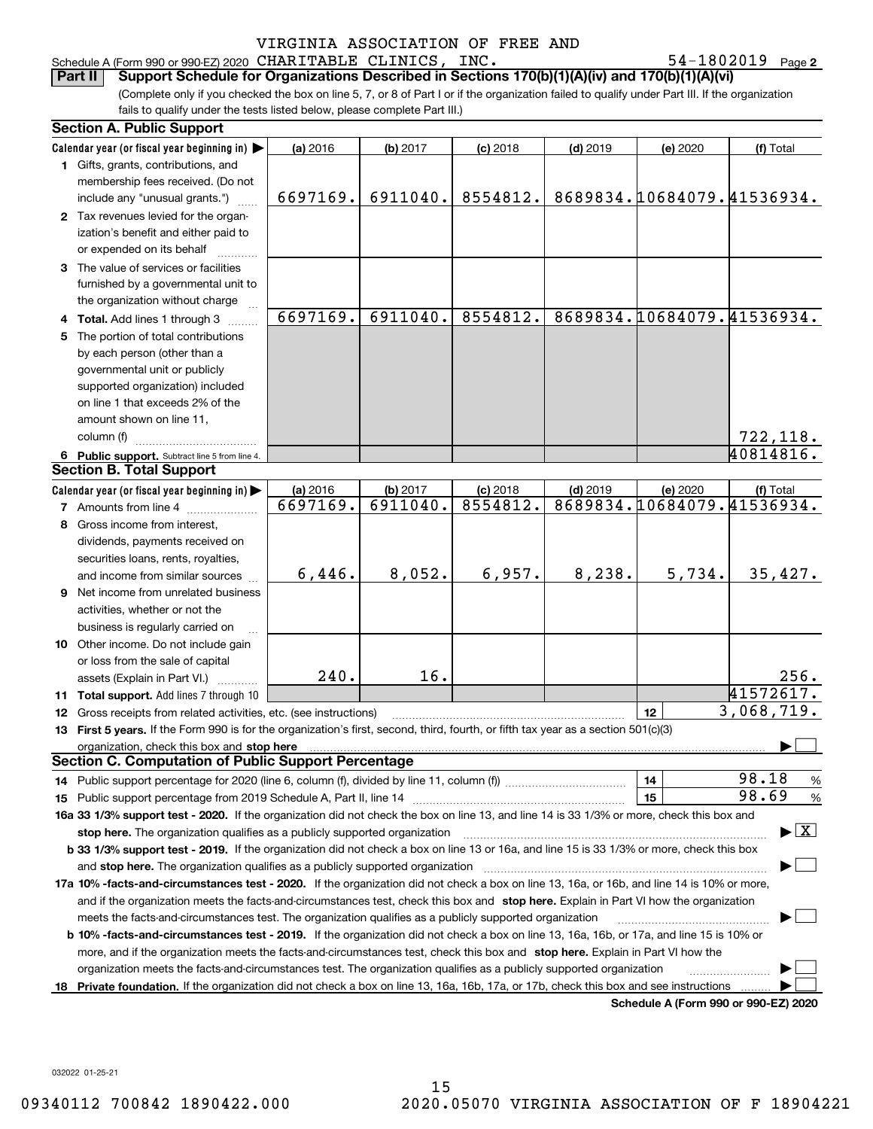### Schedule A (Form 990 or 990-EZ) 2020 Page CHARITABLE CLINICS, INC. 54-1802019

54-1802019 Page 2

(Complete only if you checked the box on line 5, 7, or 8 of Part I or if the organization failed to qualify under Part III. If the organization fails to qualify under the tests listed below, please complete Part III.) **Part II Support Schedule for Organizations Described in Sections 170(b)(1)(A)(iv) and 170(b)(1)(A)(vi)**

|    | <b>Section A. Public Support</b>                                                                                                               |          |          |            |            |          |                                         |
|----|------------------------------------------------------------------------------------------------------------------------------------------------|----------|----------|------------|------------|----------|-----------------------------------------|
|    | Calendar year (or fiscal year beginning in)                                                                                                    | (a) 2016 | (b) 2017 | $(c)$ 2018 | $(d)$ 2019 | (e) 2020 | (f) Total                               |
|    | 1 Gifts, grants, contributions, and                                                                                                            |          |          |            |            |          |                                         |
|    | membership fees received. (Do not                                                                                                              |          |          |            |            |          |                                         |
|    | include any "unusual grants.")                                                                                                                 | 6697169. | 6911040. | 8554812.   |            |          | 8689834.10684079.41536934.              |
|    | 2 Tax revenues levied for the organ-                                                                                                           |          |          |            |            |          |                                         |
|    | ization's benefit and either paid to                                                                                                           |          |          |            |            |          |                                         |
|    | or expended on its behalf                                                                                                                      |          |          |            |            |          |                                         |
|    | 3 The value of services or facilities                                                                                                          |          |          |            |            |          |                                         |
|    | furnished by a governmental unit to                                                                                                            |          |          |            |            |          |                                         |
|    | the organization without charge                                                                                                                |          |          |            |            |          |                                         |
|    | 4 Total. Add lines 1 through 3                                                                                                                 | 6697169. | 6911040. | 8554812.   |            |          | 8689834.10684079.41536934.              |
|    | 5 The portion of total contributions                                                                                                           |          |          |            |            |          |                                         |
|    | by each person (other than a                                                                                                                   |          |          |            |            |          |                                         |
|    | governmental unit or publicly                                                                                                                  |          |          |            |            |          |                                         |
|    | supported organization) included                                                                                                               |          |          |            |            |          |                                         |
|    | on line 1 that exceeds 2% of the                                                                                                               |          |          |            |            |          |                                         |
|    | amount shown on line 11,                                                                                                                       |          |          |            |            |          |                                         |
|    | column (f)                                                                                                                                     |          |          |            |            |          | 722,118.                                |
|    | 6 Public support. Subtract line 5 from line 4.                                                                                                 |          |          |            |            |          | 40814816.                               |
|    | <b>Section B. Total Support</b>                                                                                                                |          |          |            |            |          |                                         |
|    | Calendar year (or fiscal year beginning in)                                                                                                    | (a) 2016 | (b) 2017 | $(c)$ 2018 | $(d)$ 2019 | (e) 2020 | (f) Total                               |
|    | <b>7</b> Amounts from line 4                                                                                                                   | 6697169. | 6911040. | 8554812.   |            |          | 8689834.10684079.41536934.              |
|    | 8 Gross income from interest,                                                                                                                  |          |          |            |            |          |                                         |
|    | dividends, payments received on                                                                                                                |          |          |            |            |          |                                         |
|    | securities loans, rents, royalties,                                                                                                            |          |          |            |            |          |                                         |
|    | and income from similar sources                                                                                                                | 6,446.   | 8,052.   | 6,957.     | 8,238.     | 5,734.   | 35,427.                                 |
|    | <b>9</b> Net income from unrelated business                                                                                                    |          |          |            |            |          |                                         |
|    | activities, whether or not the                                                                                                                 |          |          |            |            |          |                                         |
|    | business is regularly carried on                                                                                                               |          |          |            |            |          |                                         |
|    | 10 Other income. Do not include gain                                                                                                           |          |          |            |            |          |                                         |
|    | or loss from the sale of capital                                                                                                               |          |          |            |            |          |                                         |
|    | assets (Explain in Part VI.)                                                                                                                   | 240.     | 16.      |            |            |          | 256.                                    |
|    | 11 Total support. Add lines 7 through 10                                                                                                       |          |          |            |            |          | 41572617.                               |
|    | 12 Gross receipts from related activities, etc. (see instructions)                                                                             |          |          |            |            | 12       | 3,068,719.                              |
|    | 13 First 5 years. If the Form 990 is for the organization's first, second, third, fourth, or fifth tax year as a section 501(c)(3)             |          |          |            |            |          |                                         |
|    | organization, check this box and stop here                                                                                                     |          |          |            |            |          |                                         |
|    | <b>Section C. Computation of Public Support Percentage</b>                                                                                     |          |          |            |            |          |                                         |
|    |                                                                                                                                                |          |          |            |            | 14       | 98.18<br>$\frac{9}{6}$                  |
|    |                                                                                                                                                |          |          |            |            | 15       | 98.69<br>%                              |
|    | 16a 33 1/3% support test - 2020. If the organization did not check the box on line 13, and line 14 is 33 1/3% or more, check this box and      |          |          |            |            |          |                                         |
|    | stop here. The organization qualifies as a publicly supported organization                                                                     |          |          |            |            |          | $\blacktriangleright$ $\vert$ X $\vert$ |
|    | b 33 1/3% support test - 2019. If the organization did not check a box on line 13 or 16a, and line 15 is 33 1/3% or more, check this box       |          |          |            |            |          |                                         |
|    | and stop here. The organization qualifies as a publicly supported organization                                                                 |          |          |            |            |          |                                         |
|    | 17a 10% -facts-and-circumstances test - 2020. If the organization did not check a box on line 13, 16a, or 16b, and line 14 is 10% or more,     |          |          |            |            |          |                                         |
|    | and if the organization meets the facts-and-circumstances test, check this box and stop here. Explain in Part VI how the organization          |          |          |            |            |          |                                         |
|    | meets the facts-and-circumstances test. The organization qualifies as a publicly supported organization                                        |          |          |            |            |          |                                         |
|    | <b>b 10% -facts-and-circumstances test - 2019.</b> If the organization did not check a box on line 13, 16a, 16b, or 17a, and line 15 is 10% or |          |          |            |            |          |                                         |
|    | more, and if the organization meets the facts-and-circumstances test, check this box and stop here. Explain in Part VI how the                 |          |          |            |            |          |                                         |
|    | organization meets the facts-and-circumstances test. The organization qualifies as a publicly supported organization                           |          |          |            |            |          |                                         |
| 18 | Private foundation. If the organization did not check a box on line 13, 16a, 16b, 17a, or 17b, check this box and see instructions             |          |          |            |            |          |                                         |
|    |                                                                                                                                                |          |          |            |            |          | Schedule A (Form 990 or 990-F7) 2020    |

**Schedule A (Form 990 or 990-EZ) 2020**

032022 01-25-21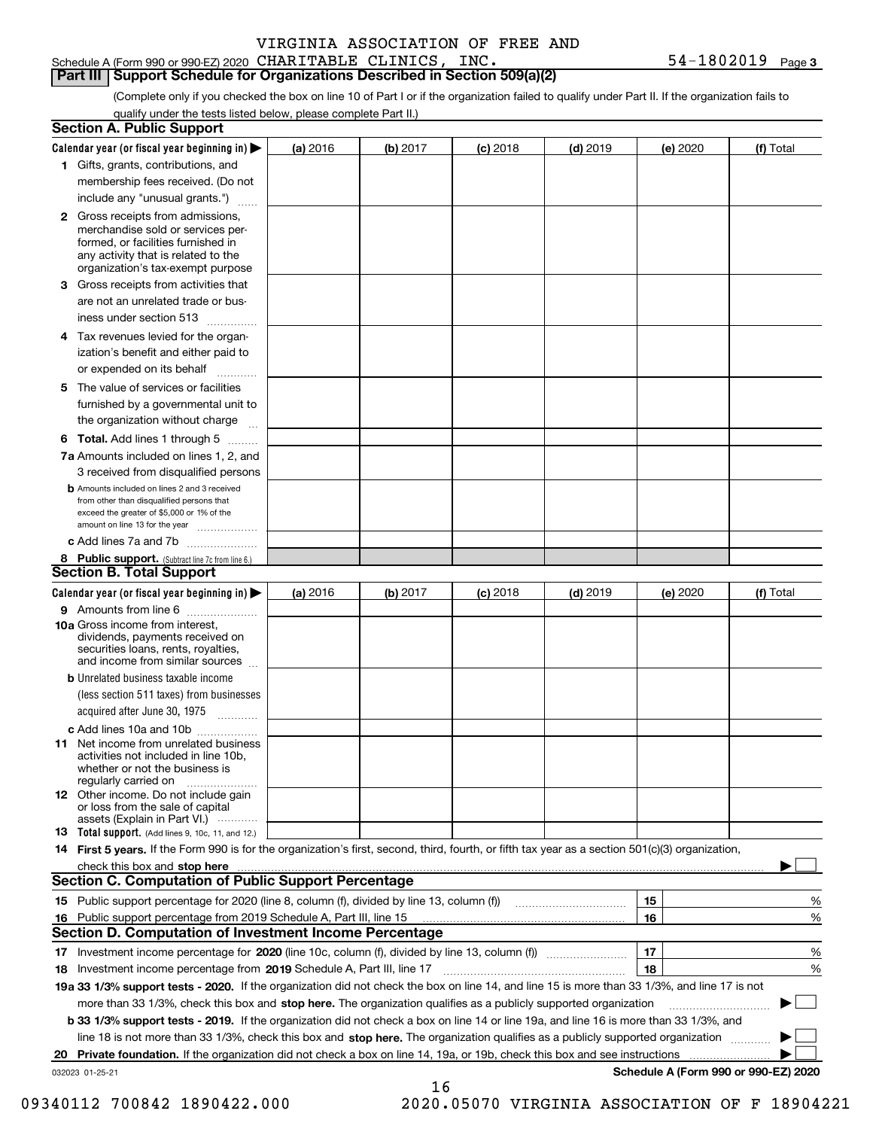### Schedule A (Form 990 or 990-EZ) 2020 Page CHARITABLE CLINICS, INC. 54-1802019

**Part III Support Schedule for Organizations Described in Section 509(a)(2)** 

**3**

(Complete only if you checked the box on line 10 of Part I or if the organization failed to qualify under Part II. If the organization fails to qualify under the tests listed below, please complete Part II.)

|     | <b>Section A. Public Support</b>                                                                                                                                                                                                    |          |          |            |            |          |                                      |
|-----|-------------------------------------------------------------------------------------------------------------------------------------------------------------------------------------------------------------------------------------|----------|----------|------------|------------|----------|--------------------------------------|
|     | Calendar year (or fiscal year beginning in) $\blacktriangleright$                                                                                                                                                                   | (a) 2016 | (b) 2017 | $(c)$ 2018 | $(d)$ 2019 | (e) 2020 | (f) Total                            |
|     | 1 Gifts, grants, contributions, and                                                                                                                                                                                                 |          |          |            |            |          |                                      |
|     | membership fees received. (Do not                                                                                                                                                                                                   |          |          |            |            |          |                                      |
|     | include any "unusual grants.")                                                                                                                                                                                                      |          |          |            |            |          |                                      |
|     | <b>2</b> Gross receipts from admissions,<br>merchandise sold or services per-<br>formed, or facilities furnished in<br>any activity that is related to the<br>organization's tax-exempt purpose                                     |          |          |            |            |          |                                      |
|     | 3 Gross receipts from activities that<br>are not an unrelated trade or bus-                                                                                                                                                         |          |          |            |            |          |                                      |
|     | iness under section 513                                                                                                                                                                                                             |          |          |            |            |          |                                      |
|     | 4 Tax revenues levied for the organ-<br>ization's benefit and either paid to                                                                                                                                                        |          |          |            |            |          |                                      |
|     | or expended on its behalf                                                                                                                                                                                                           |          |          |            |            |          |                                      |
|     | 5 The value of services or facilities<br>furnished by a governmental unit to                                                                                                                                                        |          |          |            |            |          |                                      |
|     | the organization without charge                                                                                                                                                                                                     |          |          |            |            |          |                                      |
|     | <b>6 Total.</b> Add lines 1 through 5                                                                                                                                                                                               |          |          |            |            |          |                                      |
|     | 7a Amounts included on lines 1, 2, and<br>3 received from disqualified persons                                                                                                                                                      |          |          |            |            |          |                                      |
|     | <b>b</b> Amounts included on lines 2 and 3 received<br>from other than disqualified persons that<br>exceed the greater of \$5,000 or 1% of the<br>amount on line 13 for the year                                                    |          |          |            |            |          |                                      |
|     | c Add lines 7a and 7b                                                                                                                                                                                                               |          |          |            |            |          |                                      |
|     | 8 Public support. (Subtract line 7c from line 6.)<br><b>Section B. Total Support</b>                                                                                                                                                |          |          |            |            |          |                                      |
|     | Calendar year (or fiscal year beginning in)                                                                                                                                                                                         | (a) 2016 | (b) 2017 | $(c)$ 2018 | $(d)$ 2019 | (e) 2020 | (f) Total                            |
|     | 9 Amounts from line 6                                                                                                                                                                                                               |          |          |            |            |          |                                      |
|     | <b>10a</b> Gross income from interest,<br>dividends, payments received on<br>securities loans, rents, royalties,<br>and income from similar sources                                                                                 |          |          |            |            |          |                                      |
|     | <b>b</b> Unrelated business taxable income<br>(less section 511 taxes) from businesses                                                                                                                                              |          |          |            |            |          |                                      |
|     | acquired after June 30, 1975                                                                                                                                                                                                        |          |          |            |            |          |                                      |
|     | c Add lines 10a and 10b<br>11 Net income from unrelated business<br>activities not included in line 10b,<br>whether or not the business is<br>regularly carried on                                                                  |          |          |            |            |          |                                      |
|     | <b>12</b> Other income. Do not include gain<br>or loss from the sale of capital<br>assets (Explain in Part VI.)                                                                                                                     |          |          |            |            |          |                                      |
|     | 13 Total support. (Add lines 9, 10c, 11, and 12.)                                                                                                                                                                                   |          |          |            |            |          |                                      |
|     | 14 First 5 years. If the Form 990 is for the organization's first, second, third, fourth, or fifth tax year as a section 501(c)(3) organization,                                                                                    |          |          |            |            |          |                                      |
|     | check this box and <b>stop here</b> with the continuum continuum continuum continuum continuum continuum continuum continuum continuum continuum continuum continuum continuum continuum continuum continuum continuum continuum co |          |          |            |            |          |                                      |
|     | <b>Section C. Computation of Public Support Percentage</b>                                                                                                                                                                          |          |          |            |            |          |                                      |
|     |                                                                                                                                                                                                                                     |          |          |            |            | 15       | %                                    |
| 16. | Public support percentage from 2019 Schedule A, Part III, line 15                                                                                                                                                                   |          |          |            |            | 16       | %                                    |
|     | Section D. Computation of Investment Income Percentage                                                                                                                                                                              |          |          |            |            |          |                                      |
|     | 17 Investment income percentage for 2020 (line 10c, column (f), divided by line 13, column (f))<br>18 Investment income percentage from 2019 Schedule A, Part III, line 17                                                          |          |          |            |            | 17<br>18 | %<br>%                               |
|     | 19a 33 1/3% support tests - 2020. If the organization did not check the box on line 14, and line 15 is more than 33 1/3%, and line 17 is not                                                                                        |          |          |            |            |          |                                      |
|     | more than 33 1/3%, check this box and stop here. The organization qualifies as a publicly supported organization                                                                                                                    |          |          |            |            |          |                                      |
|     | b 33 1/3% support tests - 2019. If the organization did not check a box on line 14 or line 19a, and line 16 is more than 33 1/3%, and                                                                                               |          |          |            |            |          |                                      |
|     | line 18 is not more than 33 1/3%, check this box and stop here. The organization qualifies as a publicly supported organization                                                                                                     |          |          |            |            |          |                                      |
| 20  | <b>Private foundation.</b> If the organization did not check a box on line 14, 19a, or 19b, check this box and see instructions                                                                                                     |          |          |            |            |          | .                                    |
|     | 032023 01-25-21                                                                                                                                                                                                                     |          |          |            |            |          | Schedule A (Form 990 or 990-EZ) 2020 |
|     |                                                                                                                                                                                                                                     |          | 16       |            |            |          |                                      |

09340112 700842 1890422.000 2020.05070 VIRGINIA ASSOCIATION OF F 18904221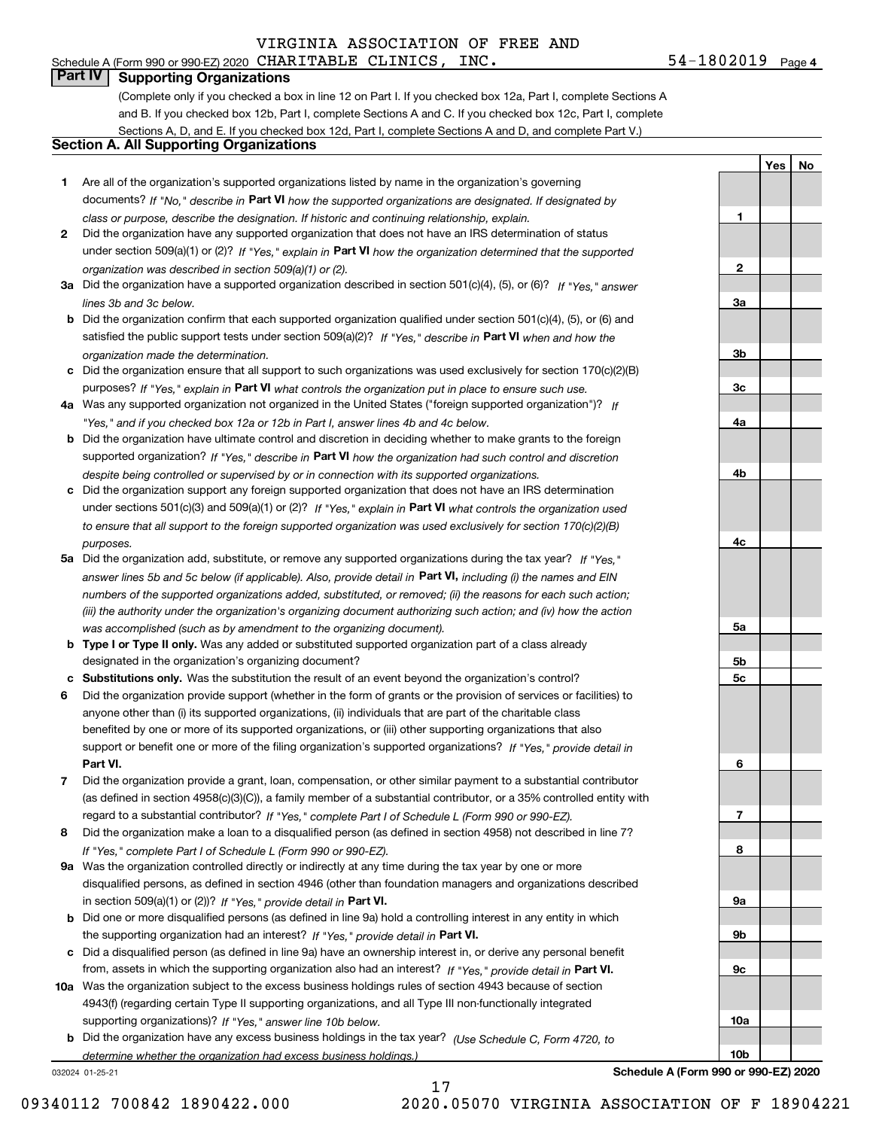### Schedule A (Form 990 or 990-EZ) 2020 Page CHARITABLE CLINICS, INC. 54-1802019 **Part IV Supporting Organizations**

(Complete only if you checked a box in line 12 on Part I. If you checked box 12a, Part I, complete Sections A and B. If you checked box 12b, Part I, complete Sections A and C. If you checked box 12c, Part I, complete Sections A, D, and E. If you checked box 12d, Part I, complete Sections A and D, and complete Part V.)

### **Section A. All Supporting Organizations**

- **1** Are all of the organization's supported organizations listed by name in the organization's governing documents? If "No," describe in **Part VI** how the supported organizations are designated. If designated by *class or purpose, describe the designation. If historic and continuing relationship, explain.*
- **2** Did the organization have any supported organization that does not have an IRS determination of status under section 509(a)(1) or (2)? If "Yes," explain in Part VI how the organization determined that the supported *organization was described in section 509(a)(1) or (2).*
- **3a** Did the organization have a supported organization described in section 501(c)(4), (5), or (6)? If "Yes," answer *lines 3b and 3c below.*
- **b** Did the organization confirm that each supported organization qualified under section 501(c)(4), (5), or (6) and satisfied the public support tests under section 509(a)(2)? If "Yes," describe in **Part VI** when and how the *organization made the determination.*
- **c**Did the organization ensure that all support to such organizations was used exclusively for section 170(c)(2)(B) purposes? If "Yes," explain in **Part VI** what controls the organization put in place to ensure such use.
- **4a***If* Was any supported organization not organized in the United States ("foreign supported organization")? *"Yes," and if you checked box 12a or 12b in Part I, answer lines 4b and 4c below.*
- **b** Did the organization have ultimate control and discretion in deciding whether to make grants to the foreign supported organization? If "Yes," describe in **Part VI** how the organization had such control and discretion *despite being controlled or supervised by or in connection with its supported organizations.*
- **c** Did the organization support any foreign supported organization that does not have an IRS determination under sections 501(c)(3) and 509(a)(1) or (2)? If "Yes," explain in **Part VI** what controls the organization used *to ensure that all support to the foreign supported organization was used exclusively for section 170(c)(2)(B) purposes.*
- **5a** Did the organization add, substitute, or remove any supported organizations during the tax year? If "Yes," answer lines 5b and 5c below (if applicable). Also, provide detail in **Part VI,** including (i) the names and EIN *numbers of the supported organizations added, substituted, or removed; (ii) the reasons for each such action; (iii) the authority under the organization's organizing document authorizing such action; and (iv) how the action was accomplished (such as by amendment to the organizing document).*
- **b** Type I or Type II only. Was any added or substituted supported organization part of a class already designated in the organization's organizing document?
- **cSubstitutions only.**  Was the substitution the result of an event beyond the organization's control?
- **6** Did the organization provide support (whether in the form of grants or the provision of services or facilities) to **Part VI.** *If "Yes," provide detail in* support or benefit one or more of the filing organization's supported organizations? anyone other than (i) its supported organizations, (ii) individuals that are part of the charitable class benefited by one or more of its supported organizations, or (iii) other supporting organizations that also
- **7**Did the organization provide a grant, loan, compensation, or other similar payment to a substantial contributor *If "Yes," complete Part I of Schedule L (Form 990 or 990-EZ).* regard to a substantial contributor? (as defined in section 4958(c)(3)(C)), a family member of a substantial contributor, or a 35% controlled entity with
- **8** Did the organization make a loan to a disqualified person (as defined in section 4958) not described in line 7? *If "Yes," complete Part I of Schedule L (Form 990 or 990-EZ).*
- **9a** Was the organization controlled directly or indirectly at any time during the tax year by one or more in section 509(a)(1) or (2))? If "Yes," *provide detail in* <code>Part VI.</code> disqualified persons, as defined in section 4946 (other than foundation managers and organizations described
- **b** Did one or more disqualified persons (as defined in line 9a) hold a controlling interest in any entity in which the supporting organization had an interest? If "Yes," provide detail in P**art VI**.
- **c**Did a disqualified person (as defined in line 9a) have an ownership interest in, or derive any personal benefit from, assets in which the supporting organization also had an interest? If "Yes," provide detail in P**art VI.**
- **10a** Was the organization subject to the excess business holdings rules of section 4943 because of section supporting organizations)? If "Yes," answer line 10b below. 4943(f) (regarding certain Type II supporting organizations, and all Type III non-functionally integrated
- **b** Did the organization have any excess business holdings in the tax year? (Use Schedule C, Form 4720, to *determine whether the organization had excess business holdings.)*

17

032024 01-25-21

**Schedule A (Form 990 or 990-EZ) 2020**

**YesNo**

**1**

**2**

**3a**

**3b**

**3c**

**4a**

**4b**

**4c**

**5a**

**5b5c**

**6**

**7**

**8**

**9a**

**9b**

**9c**

**10a**

**10b**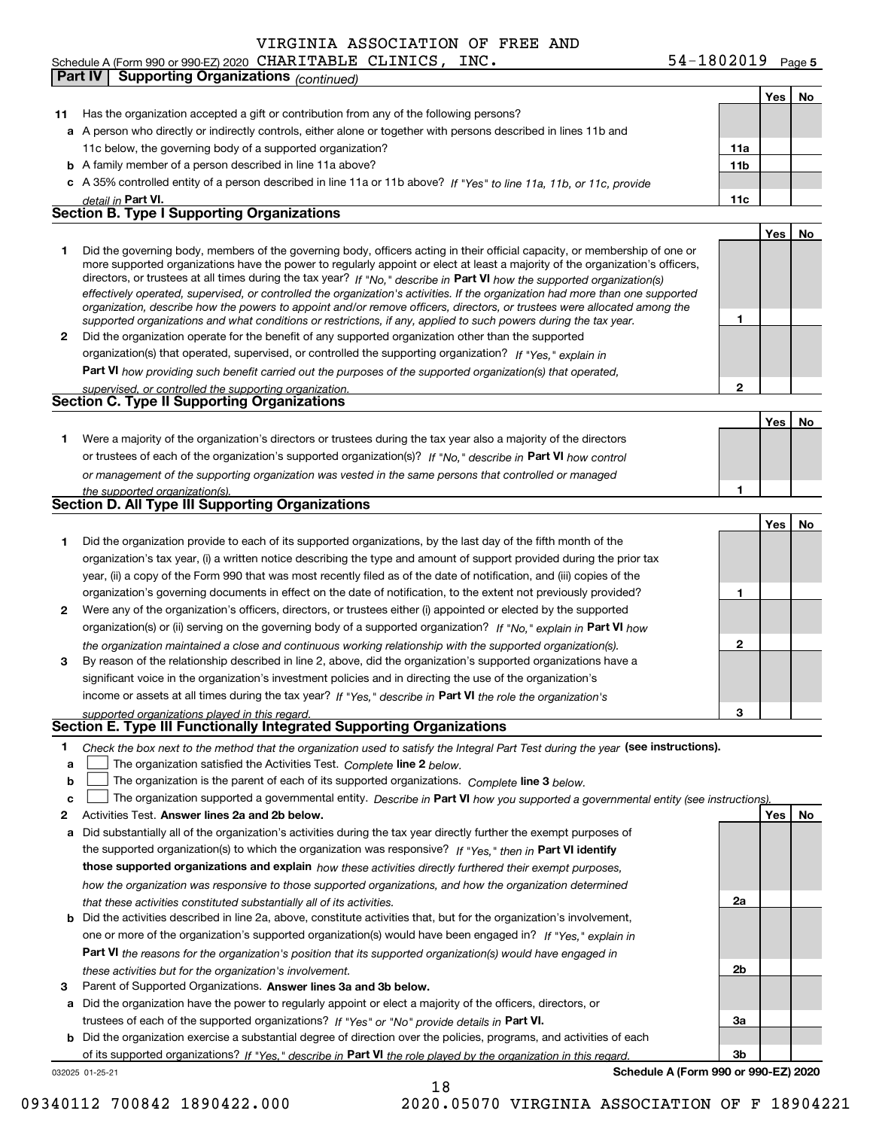### **Yes No 11** Has the organization accepted a gift or contribution from any of the following persons? **a**A person who directly or indirectly controls, either alone or together with persons described in lines 11b and **b** A family member of a person described in line 11a above? **c** A 35% controlled entity of a person described in line 11a or 11b above? If "Yes" to line 11a, 11b, or 11c, provide **11a11bPart VI. 11c Yes No 12** Did the organization operate for the benefit of any supported organization other than the supported directors, or trustees at all times during the tax year? If "No," describe in **Part VI** how the supported organization(s) **12Part VI**  *how providing such benefit carried out the purposes of the supported organization(s) that operated,* **Yes No 1**or trustees of each of the organization's supported organization(s)? If "No," describe in **Part VI** how control **1Yes No 123123Part VI Part VI 12Answer lines 2a and 2b below. Yes No** Activities Test. Check the box next to the method that the organization used to satisfy the Integral Part Test during the year (see instructions). **abclinupy** The organization satisfied the Activities Test. Complete line 2 below. The organization is the parent of each of its supported organizations. *Complete* line 3 *below.* The organization supported a governmental entity. *Describe in* Part **VI** *how you supported a governmental entity (see instruction<u>s).</u>* **a** Did substantially all of the organization's activities during the tax year directly further the exempt purposes of **b** Did the activities described in line 2a, above, constitute activities that, but for the organization's involvement, the supported organization(s) to which the organization was responsive? If "Yes," then in **Part VI identify those supported organizations and explain**  *how these activities directly furthered their exempt purposes,* **2a 2bPart VI**  *the reasons for the organization's position that its supported organization(s) would have engaged in detail in effectively operated, supervised, or controlled the organization's activities. If the organization had more than one supported organization, describe how the powers to appoint and/or remove officers, directors, or trustees were allocated among the supported organizations and what conditions or restrictions, if any, applied to such powers during the tax year. If "Yes," explain in* organization(s) that operated, supervised, or controlled the supporting organization? *supervised, or controlled the supporting organization. or management of the supporting organization was vested in the same persons that controlled or managed the supported organization(s). If "No," explain in Part VI how the organization maintained a close and continuous working relationship with the supported organization(s). If "Yes," describe in the role the organization's supported organizations played in this regard.* **Section E. Type III Functionally Integrated Supporting Organizations** *how the organization was responsive to those supported organizations, and how the organization determined that these activities constituted substantially all of its activities.* one or more of the organization's supported organization(s) would have been engaged in? If "Yes," e*xplain in* 11c below, the governing body of a supported organization? Did the governing body, members of the governing body, officers acting in their official capacity, or membership of one or more supported organizations have the power to regularly appoint or elect at least a majority of the organization's officers, Were a majority of the organization's directors or trustees during the tax year also a majority of the directors Did the organization provide to each of its supported organizations, by the last day of the fifth month of the organization's tax year, (i) a written notice describing the type and amount of support provided during the prior tax year, (ii) a copy of the Form 990 that was most recently filed as of the date of notification, and (iii) copies of the organization's governing documents in effect on the date of notification, to the extent not previously provided? Were any of the organization's officers, directors, or trustees either (i) appointed or elected by the supported organization(s) or (ii) serving on the governing body of a supported organization? By reason of the relationship described in line 2, above, did the organization's supported organizations have a significant voice in the organization's investment policies and in directing the use of the organization's income or assets at all times during the tax year? **Part IV Supporting Organizations** *(continued)* **Section B. Type I Supporting Organizations Section C. Type II Supporting Organizations**  $\mathcal{L}^{\text{max}}$  $\mathcal{L}^{\text{max}}$

**3**Parent of Supported Organizations. Answer lines 3a and 3b below.

**a** Did the organization have the power to regularly appoint or elect a majority of the officers, directors, or trustees of each of the supported organizations? If "Yes" or "No" provide details in P**art VI.** 

**b** Did the organization exercise a substantial degree of direction over the policies, programs, and activities of each of its supported organizations? If "Yes," describe in Part VI the role played by the organization in this regard.

032025 01-25-21

**Schedule A (Form 990 or 990-EZ) 2020**

**3a**

**3b**

|  | <b>Section D. All Type III Supporting Organizations</b> |
|--|---------------------------------------------------------|

|                |                                                                                                                        |   | Yes I | - No |
|----------------|------------------------------------------------------------------------------------------------------------------------|---|-------|------|
|                | Did the organization provide to each of its supported organizations, by the last day of the fifth month of the         |   |       |      |
|                | organization's tax year, (i) a written notice describing the type and amount of support provided during the prior tax  |   |       |      |
|                | year, (ii) a copy of the Form 990 that was most recently filed as of the date of notification, and (iii) copies of the |   |       |      |
|                | organization's governing documents in effect on the date of notification, to the extent not previously provided?       |   |       |      |
| $\overline{2}$ | Were any of the organization's officers, directors, or trustees either (i) appointed or elected by the supported       |   |       |      |
|                | organization(s) or (ii) serving on the governing body of a supported organization? If "No." explain in Part VI how     |   |       |      |
|                | the organization maintained a close and continuous working relationship with the supported organization(s).            | 2 |       |      |
| 3              | By reason of the relationship described in line 2, above, did the organization's supported organizations have a        |   |       |      |
|                | significant voice in the organization's investment policies and in directing the use of the organization's             |   |       |      |
|                | income or assets at all times during the tax year? If "Yes," describe in Part VI the role the organization's           |   |       |      |
|                | supported organizations played in this regard.                                                                         | з |       |      |

- *these activities but for the organization's involvement.*
- 

18

09340112 700842 1890422.000 2020.05070 VIRGINIA ASSOCIATION OF F 18904221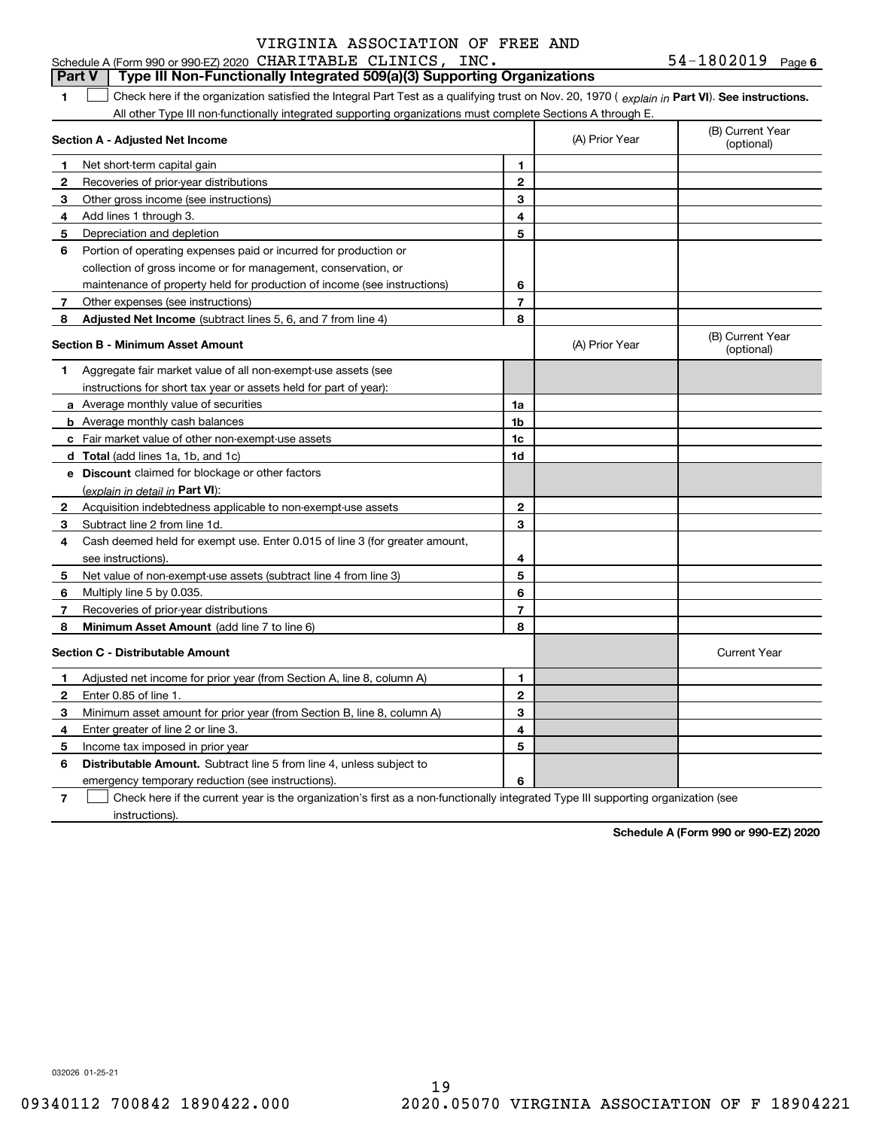| $54 - 1802019$ Page 6 |  |
|-----------------------|--|
|-----------------------|--|

### **1Part VI** Check here if the organization satisfied the Integral Part Test as a qualifying trust on Nov. 20, 1970 ( explain in Part **VI**). See instructions. **Section A - Adjusted Net Income 123** Other gross income (see instructions) **456** Portion of operating expenses paid or incurred for production or **7** Other expenses (see instructions) **8** Adjusted Net Income (subtract lines 5, 6, and 7 from line 4) **8 8 1234567Section B - Minimum Asset Amount 1**Aggregate fair market value of all non-exempt-use assets (see **2**Acquisition indebtedness applicable to non-exempt-use assets **3** Subtract line 2 from line 1d. **4**Cash deemed held for exempt use. Enter 0.015 of line 3 (for greater amount, **5** Net value of non-exempt-use assets (subtract line 4 from line 3) **678a** Average monthly value of securities **b** Average monthly cash balances **c**Fair market value of other non-exempt-use assets **dTotal**  (add lines 1a, 1b, and 1c) **eDiscount** claimed for blockage or other factors **1a1b1c1d2345678**(explain in detail in Part VI): **Minimum Asset Amount**  (add line 7 to line 6) **Section C - Distributable Amount 12**Enter 0.85 of line 1. **3456123456Distributable Amount.** Subtract line 5 from line 4, unless subject to Schedule A (Form 990 or 990-EZ) 2020 Page CHARITABLE CLINICS, INC. 54-1802019 All other Type III non-functionally integrated supporting organizations must complete Sections A through E. (B) Current Year (optional)(A) Prior Year Net short-term capital gain Recoveries of prior-year distributions Add lines 1 through 3. Depreciation and depletion collection of gross income or for management, conservation, or maintenance of property held for production of income (see instructions) (B) Current Year (optional)(A) Prior Year instructions for short tax year or assets held for part of year): see instructions). Multiply line 5 by 0.035. Recoveries of prior-year distributions Current Year Adjusted net income for prior year (from Section A, line 8, column A) Minimum asset amount for prior year (from Section B, line 8, column A) Enter greater of line 2 or line 3. Income tax imposed in prior year emergency temporary reduction (see instructions). **Part V Type III Non-Functionally Integrated 509(a)(3) Supporting Organizations**   $\mathcal{L}^{\text{max}}$

**7**Check here if the current year is the organization's first as a non-functionally integrated Type III supporting organization (see instructions). $\mathcal{L}^{\text{max}}$ 

**Schedule A (Form 990 or 990-EZ) 2020**

032026 01-25-21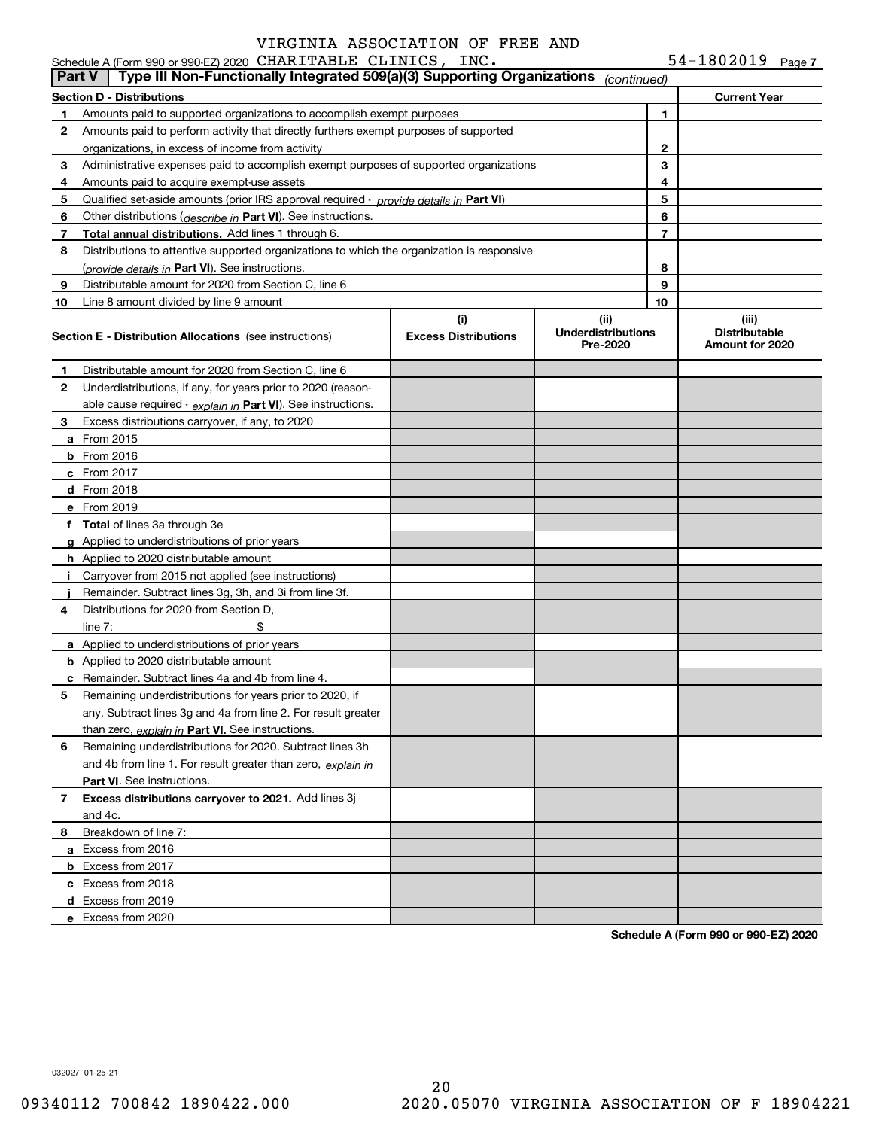| $54-1802019$ Page 7 |  |
|---------------------|--|
|---------------------|--|

|               | Schedule A (Form 990 or 990-EZ) 2020 CHARITABLE CLINICS, INC.                              |                                    |                                               |                | $54 - 1802019$ Page 7                            |  |
|---------------|--------------------------------------------------------------------------------------------|------------------------------------|-----------------------------------------------|----------------|--------------------------------------------------|--|
| <b>Part V</b> | Type III Non-Functionally Integrated 509(a)(3) Supporting Organizations                    |                                    | (continued)                                   |                |                                                  |  |
|               | <b>Section D - Distributions</b>                                                           |                                    |                                               |                | <b>Current Year</b>                              |  |
| 1.            | Amounts paid to supported organizations to accomplish exempt purposes                      |                                    |                                               | 1              |                                                  |  |
| 2             | Amounts paid to perform activity that directly furthers exempt purposes of supported       |                                    |                                               |                |                                                  |  |
|               | organizations, in excess of income from activity                                           |                                    | $\mathbf{2}$                                  |                |                                                  |  |
| 3             | Administrative expenses paid to accomplish exempt purposes of supported organizations      |                                    |                                               | 3              |                                                  |  |
| 4             | Amounts paid to acquire exempt-use assets                                                  |                                    |                                               | 4              |                                                  |  |
| 5             | Qualified set-aside amounts (prior IRS approval required - provide details in Part VI)     |                                    |                                               | 5              |                                                  |  |
| 6             | Other distributions ( <i>describe in</i> Part VI). See instructions.                       |                                    |                                               | 6              |                                                  |  |
| 7             | Total annual distributions. Add lines 1 through 6.                                         |                                    |                                               | $\overline{7}$ |                                                  |  |
| 8             | Distributions to attentive supported organizations to which the organization is responsive |                                    |                                               |                |                                                  |  |
|               | (provide details in Part VI). See instructions.                                            |                                    |                                               | 8              |                                                  |  |
| 9             | Distributable amount for 2020 from Section C, line 6                                       |                                    |                                               | 9              |                                                  |  |
| 10            | Line 8 amount divided by line 9 amount                                                     |                                    |                                               | 10             |                                                  |  |
|               | <b>Section E - Distribution Allocations</b> (see instructions)                             | (i)<br><b>Excess Distributions</b> | (ii)<br><b>Underdistributions</b><br>Pre-2020 |                | (iii)<br><b>Distributable</b><br>Amount for 2020 |  |
| 1             | Distributable amount for 2020 from Section C, line 6                                       |                                    |                                               |                |                                                  |  |
| 2             | Underdistributions, if any, for years prior to 2020 (reason-                               |                                    |                                               |                |                                                  |  |
|               | able cause required $\cdot$ explain in Part VI). See instructions.                         |                                    |                                               |                |                                                  |  |
| З.            | Excess distributions carryover, if any, to 2020                                            |                                    |                                               |                |                                                  |  |
|               | <b>a</b> From 2015                                                                         |                                    |                                               |                |                                                  |  |
|               | <b>b</b> From 2016                                                                         |                                    |                                               |                |                                                  |  |
|               | $c$ From 2017                                                                              |                                    |                                               |                |                                                  |  |
|               | d From 2018                                                                                |                                    |                                               |                |                                                  |  |
|               | e From 2019                                                                                |                                    |                                               |                |                                                  |  |
|               | f Total of lines 3a through 3e                                                             |                                    |                                               |                |                                                  |  |
|               | g Applied to underdistributions of prior years                                             |                                    |                                               |                |                                                  |  |
|               | <b>h</b> Applied to 2020 distributable amount                                              |                                    |                                               |                |                                                  |  |
|               | Carryover from 2015 not applied (see instructions)                                         |                                    |                                               |                |                                                  |  |
|               | Remainder. Subtract lines 3g, 3h, and 3i from line 3f.                                     |                                    |                                               |                |                                                  |  |
| 4             | Distributions for 2020 from Section D.                                                     |                                    |                                               |                |                                                  |  |
|               | \$<br>line $7:$                                                                            |                                    |                                               |                |                                                  |  |
|               | a Applied to underdistributions of prior years                                             |                                    |                                               |                |                                                  |  |
|               | <b>b</b> Applied to 2020 distributable amount                                              |                                    |                                               |                |                                                  |  |
|               | <b>c</b> Remainder. Subtract lines 4a and 4b from line 4.                                  |                                    |                                               |                |                                                  |  |
|               | Remaining underdistributions for years prior to 2020, if                                   |                                    |                                               |                |                                                  |  |
|               | any. Subtract lines 3g and 4a from line 2. For result greater                              |                                    |                                               |                |                                                  |  |
|               | than zero, explain in Part VI. See instructions.                                           |                                    |                                               |                |                                                  |  |
| 6             | Remaining underdistributions for 2020. Subtract lines 3h                                   |                                    |                                               |                |                                                  |  |
|               | and 4b from line 1. For result greater than zero, explain in                               |                                    |                                               |                |                                                  |  |
|               | Part VI. See instructions.                                                                 |                                    |                                               |                |                                                  |  |
| $7^{\circ}$   | Excess distributions carryover to 2021. Add lines 3j                                       |                                    |                                               |                |                                                  |  |
|               | and 4c.                                                                                    |                                    |                                               |                |                                                  |  |
| 8             | Breakdown of line 7:                                                                       |                                    |                                               |                |                                                  |  |
|               | a Excess from 2016                                                                         |                                    |                                               |                |                                                  |  |
|               | <b>b</b> Excess from 2017                                                                  |                                    |                                               |                |                                                  |  |
|               | c Excess from 2018                                                                         |                                    |                                               |                |                                                  |  |
|               | d Excess from 2019                                                                         |                                    |                                               |                |                                                  |  |
|               | e Excess from 2020                                                                         |                                    |                                               |                |                                                  |  |
|               |                                                                                            |                                    |                                               |                |                                                  |  |

**Schedule A (Form 990 or 990-EZ) 2020**

032027 01-25-21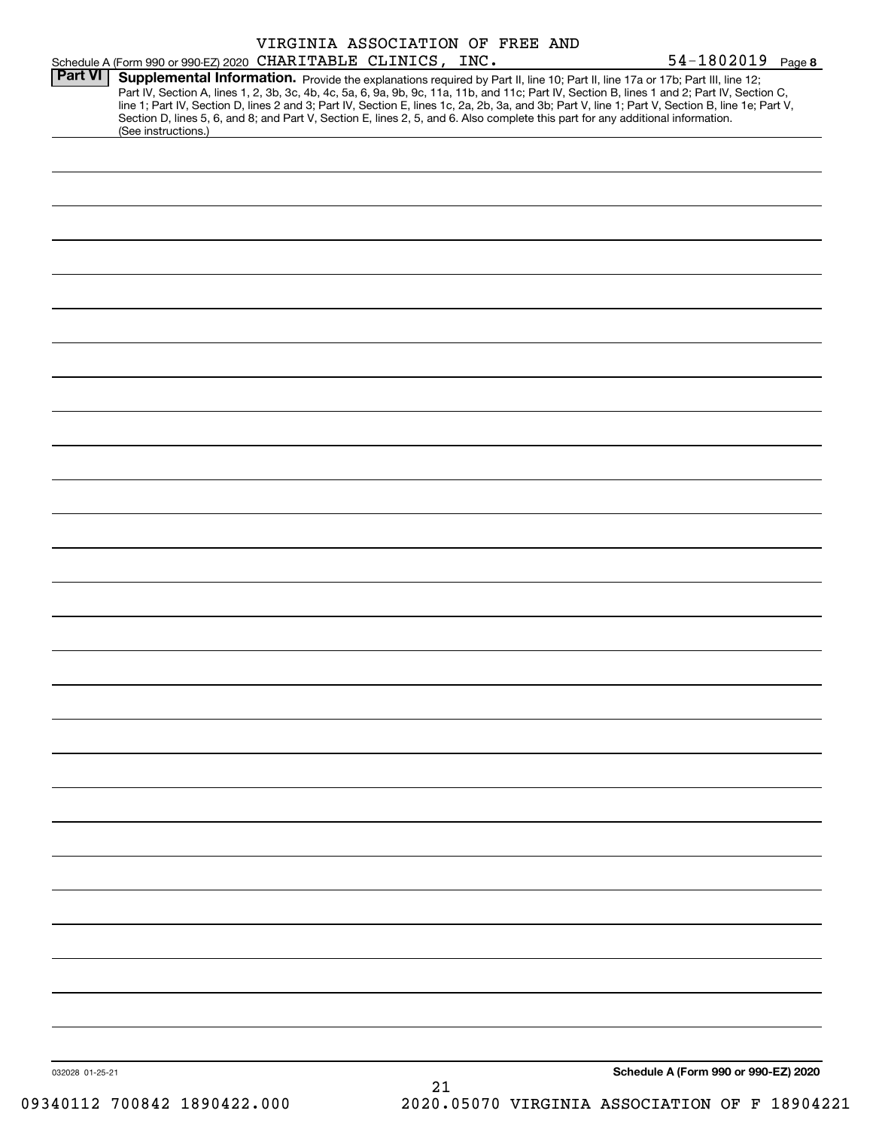|                 | VIRGINIA ASSOCIATION OF FREE AND                                                                                                                                                                                                                                                    |                                      |
|-----------------|-------------------------------------------------------------------------------------------------------------------------------------------------------------------------------------------------------------------------------------------------------------------------------------|--------------------------------------|
|                 | Schedule A (Form 990 or 990-EZ) 2020 CHARITABLE CLINICS, INC.                                                                                                                                                                                                                       | 54-1802019 Page 8                    |
| <b>Part VI</b>  | Supplemental Information. Provide the explanations required by Part II, line 10; Part II, line 17a or 17b; Part III, line 12;                                                                                                                                                       |                                      |
|                 | Part IV, Section A, lines 1, 2, 3b, 3c, 4b, 4c, 5a, 6, 9a, 9b, 9c, 11a, 11b, and 11c; Part IV, Section B, lines 1 and 2; Part IV, Section C,                                                                                                                                        |                                      |
|                 | line 1; Part IV, Section D, lines 2 and 3; Part IV, Section E, lines 1c, 2a, 2b, 3a, and 3b; Part V, line 1; Part V, Section B, line 1e; Part V,<br>Section D, lines 5, 6, and 8; and Part V, Section E, lines 2, 5, and 6. Also complete this part for any additional information. |                                      |
|                 | (See instructions.)                                                                                                                                                                                                                                                                 |                                      |
|                 |                                                                                                                                                                                                                                                                                     |                                      |
|                 |                                                                                                                                                                                                                                                                                     |                                      |
|                 |                                                                                                                                                                                                                                                                                     |                                      |
|                 |                                                                                                                                                                                                                                                                                     |                                      |
|                 |                                                                                                                                                                                                                                                                                     |                                      |
|                 |                                                                                                                                                                                                                                                                                     |                                      |
|                 |                                                                                                                                                                                                                                                                                     |                                      |
|                 |                                                                                                                                                                                                                                                                                     |                                      |
|                 |                                                                                                                                                                                                                                                                                     |                                      |
|                 |                                                                                                                                                                                                                                                                                     |                                      |
|                 |                                                                                                                                                                                                                                                                                     |                                      |
|                 |                                                                                                                                                                                                                                                                                     |                                      |
|                 |                                                                                                                                                                                                                                                                                     |                                      |
|                 |                                                                                                                                                                                                                                                                                     |                                      |
|                 |                                                                                                                                                                                                                                                                                     |                                      |
|                 |                                                                                                                                                                                                                                                                                     |                                      |
|                 |                                                                                                                                                                                                                                                                                     |                                      |
|                 |                                                                                                                                                                                                                                                                                     |                                      |
|                 |                                                                                                                                                                                                                                                                                     |                                      |
|                 |                                                                                                                                                                                                                                                                                     |                                      |
|                 |                                                                                                                                                                                                                                                                                     |                                      |
|                 |                                                                                                                                                                                                                                                                                     |                                      |
|                 |                                                                                                                                                                                                                                                                                     |                                      |
|                 |                                                                                                                                                                                                                                                                                     |                                      |
|                 |                                                                                                                                                                                                                                                                                     |                                      |
|                 |                                                                                                                                                                                                                                                                                     |                                      |
|                 |                                                                                                                                                                                                                                                                                     |                                      |
|                 |                                                                                                                                                                                                                                                                                     |                                      |
|                 |                                                                                                                                                                                                                                                                                     |                                      |
|                 |                                                                                                                                                                                                                                                                                     |                                      |
|                 |                                                                                                                                                                                                                                                                                     |                                      |
|                 |                                                                                                                                                                                                                                                                                     |                                      |
|                 |                                                                                                                                                                                                                                                                                     |                                      |
|                 |                                                                                                                                                                                                                                                                                     |                                      |
|                 |                                                                                                                                                                                                                                                                                     |                                      |
|                 |                                                                                                                                                                                                                                                                                     |                                      |
|                 |                                                                                                                                                                                                                                                                                     |                                      |
|                 |                                                                                                                                                                                                                                                                                     |                                      |
|                 |                                                                                                                                                                                                                                                                                     |                                      |
|                 |                                                                                                                                                                                                                                                                                     |                                      |
|                 |                                                                                                                                                                                                                                                                                     |                                      |
|                 |                                                                                                                                                                                                                                                                                     |                                      |
|                 |                                                                                                                                                                                                                                                                                     |                                      |
|                 |                                                                                                                                                                                                                                                                                     |                                      |
|                 |                                                                                                                                                                                                                                                                                     |                                      |
|                 |                                                                                                                                                                                                                                                                                     |                                      |
|                 |                                                                                                                                                                                                                                                                                     |                                      |
|                 |                                                                                                                                                                                                                                                                                     |                                      |
|                 |                                                                                                                                                                                                                                                                                     |                                      |
|                 |                                                                                                                                                                                                                                                                                     |                                      |
|                 |                                                                                                                                                                                                                                                                                     |                                      |
|                 |                                                                                                                                                                                                                                                                                     |                                      |
|                 |                                                                                                                                                                                                                                                                                     |                                      |
|                 |                                                                                                                                                                                                                                                                                     |                                      |
|                 |                                                                                                                                                                                                                                                                                     |                                      |
|                 |                                                                                                                                                                                                                                                                                     |                                      |
|                 |                                                                                                                                                                                                                                                                                     |                                      |
|                 |                                                                                                                                                                                                                                                                                     |                                      |
|                 |                                                                                                                                                                                                                                                                                     |                                      |
|                 |                                                                                                                                                                                                                                                                                     |                                      |
| 032028 01-25-21 |                                                                                                                                                                                                                                                                                     | Schedule A (Form 990 or 990-EZ) 2020 |
|                 | 21                                                                                                                                                                                                                                                                                  |                                      |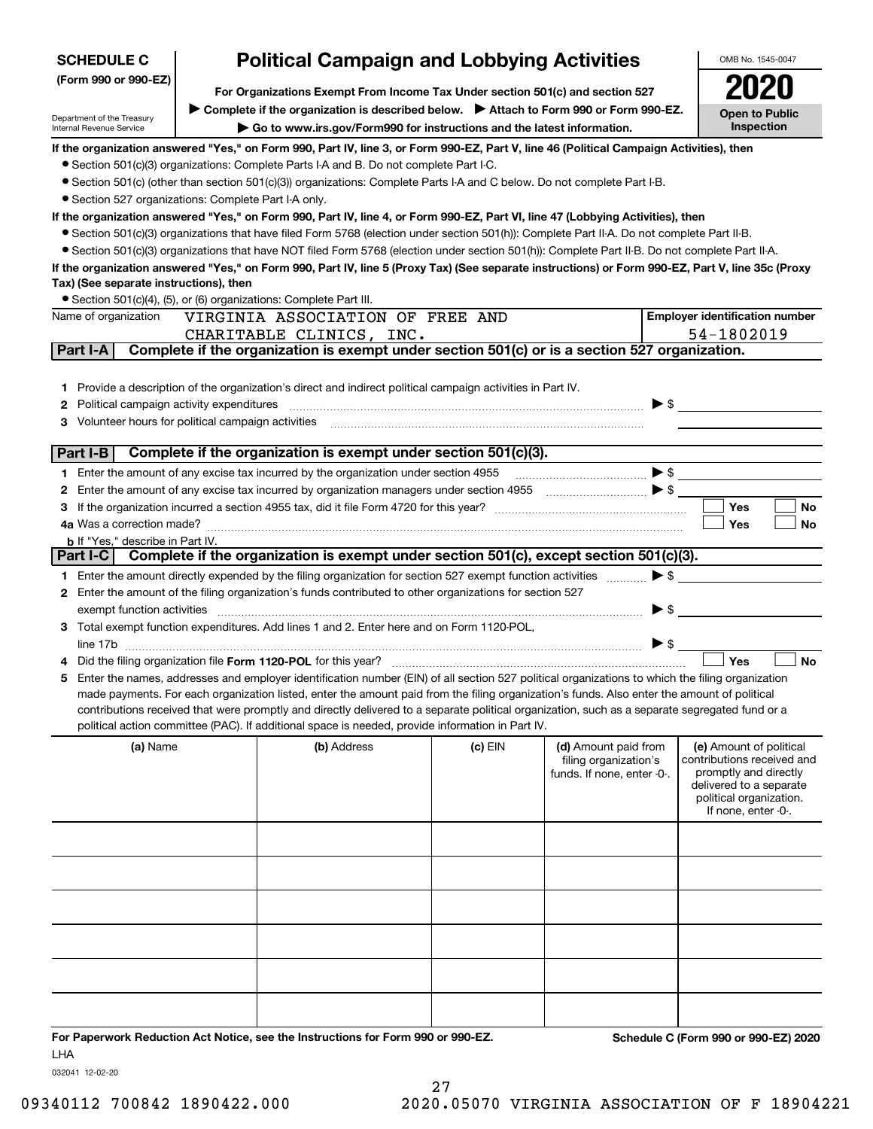| <b>SCHEDULE C</b>                                    | <b>Political Campaign and Lobbying Activities</b>                             |                                                                                                                                                                                                                    | OMB No. 1545-0047 |                                                                                                                                                                                                                                                                                                                                                                             |                                                  |
|------------------------------------------------------|-------------------------------------------------------------------------------|--------------------------------------------------------------------------------------------------------------------------------------------------------------------------------------------------------------------|-------------------|-----------------------------------------------------------------------------------------------------------------------------------------------------------------------------------------------------------------------------------------------------------------------------------------------------------------------------------------------------------------------------|--------------------------------------------------|
| (Form 990 or 990-EZ)                                 | For Organizations Exempt From Income Tax Under section 501(c) and section 527 |                                                                                                                                                                                                                    |                   |                                                                                                                                                                                                                                                                                                                                                                             |                                                  |
|                                                      |                                                                               |                                                                                                                                                                                                                    |                   |                                                                                                                                                                                                                                                                                                                                                                             |                                                  |
| Department of the Treasury                           |                                                                               | ► Complete if the organization is described below. ► Attach to Form 990 or Form 990-EZ.                                                                                                                            |                   |                                                                                                                                                                                                                                                                                                                                                                             | Open to Public<br>Inspection                     |
| Internal Revenue Service                             |                                                                               | Go to www.irs.gov/Form990 for instructions and the latest information.                                                                                                                                             |                   |                                                                                                                                                                                                                                                                                                                                                                             |                                                  |
|                                                      |                                                                               | If the organization answered "Yes," on Form 990, Part IV, line 3, or Form 990-EZ, Part V, line 46 (Political Campaign Activities), then                                                                            |                   |                                                                                                                                                                                                                                                                                                                                                                             |                                                  |
|                                                      |                                                                               | • Section 501(c)(3) organizations: Complete Parts I-A and B. Do not complete Part I-C.                                                                                                                             |                   |                                                                                                                                                                                                                                                                                                                                                                             |                                                  |
| • Section 527 organizations: Complete Part I-A only. |                                                                               | ● Section 501(c) (other than section 501(c)(3)) organizations: Complete Parts I-A and C below. Do not complete Part I-B.                                                                                           |                   |                                                                                                                                                                                                                                                                                                                                                                             |                                                  |
|                                                      |                                                                               | If the organization answered "Yes," on Form 990, Part IV, line 4, or Form 990-EZ, Part VI, line 47 (Lobbying Activities), then                                                                                     |                   |                                                                                                                                                                                                                                                                                                                                                                             |                                                  |
|                                                      |                                                                               | • Section 501(c)(3) organizations that have filed Form 5768 (election under section 501(h)): Complete Part II-A. Do not complete Part II-B.                                                                        |                   |                                                                                                                                                                                                                                                                                                                                                                             |                                                  |
|                                                      |                                                                               | • Section 501(c)(3) organizations that have NOT filed Form 5768 (election under section 501(h)): Complete Part II-B. Do not complete Part II-A.                                                                    |                   |                                                                                                                                                                                                                                                                                                                                                                             |                                                  |
|                                                      |                                                                               | If the organization answered "Yes," on Form 990, Part IV, line 5 (Proxy Tax) (See separate instructions) or Form 990-EZ, Part V, line 35c (Proxy                                                                   |                   |                                                                                                                                                                                                                                                                                                                                                                             |                                                  |
| Tax) (See separate instructions), then               |                                                                               |                                                                                                                                                                                                                    |                   |                                                                                                                                                                                                                                                                                                                                                                             |                                                  |
|                                                      |                                                                               | • Section 501(c)(4), (5), or (6) organizations: Complete Part III.                                                                                                                                                 |                   |                                                                                                                                                                                                                                                                                                                                                                             |                                                  |
| Name of organization                                 |                                                                               | VIRGINIA ASSOCIATION OF FREE AND                                                                                                                                                                                   |                   |                                                                                                                                                                                                                                                                                                                                                                             | <b>Employer identification number</b>            |
|                                                      |                                                                               | CHARITABLE CLINICS, INC.                                                                                                                                                                                           |                   |                                                                                                                                                                                                                                                                                                                                                                             | 54-1802019                                       |
| Part I-A                                             |                                                                               | Complete if the organization is exempt under section 501(c) or is a section 527 organization.                                                                                                                      |                   |                                                                                                                                                                                                                                                                                                                                                                             |                                                  |
|                                                      |                                                                               |                                                                                                                                                                                                                    |                   |                                                                                                                                                                                                                                                                                                                                                                             |                                                  |
|                                                      |                                                                               | 1 Provide a description of the organization's direct and indirect political campaign activities in Part IV.                                                                                                        |                   |                                                                                                                                                                                                                                                                                                                                                                             |                                                  |
| <b>2</b> Political campaign activity expenditures    |                                                                               |                                                                                                                                                                                                                    |                   |                                                                                                                                                                                                                                                                                                                                                                             | $\blacktriangleright$ \$                         |
|                                                      |                                                                               | 3 Volunteer hours for political campaign activities [11] [12] Content and Marian Marian Marian Marian Marian Ma                                                                                                    |                   |                                                                                                                                                                                                                                                                                                                                                                             |                                                  |
| Part I-B                                             |                                                                               | Complete if the organization is exempt under section 501(c)(3).                                                                                                                                                    |                   |                                                                                                                                                                                                                                                                                                                                                                             |                                                  |
|                                                      |                                                                               | 1 Enter the amount of any excise tax incurred by the organization under section 4955                                                                                                                               |                   | $\begin{picture}(20,10) \put(0,0){\vector(1,0){10}} \put(15,0){\vector(1,0){10}} \put(15,0){\vector(1,0){10}} \put(15,0){\vector(1,0){10}} \put(15,0){\vector(1,0){10}} \put(15,0){\vector(1,0){10}} \put(15,0){\vector(1,0){10}} \put(15,0){\vector(1,0){10}} \put(15,0){\vector(1,0){10}} \put(15,0){\vector(1,0){10}} \put(15,0){\vector(1,0){10}} \put(15,0){\vector(1$ |                                                  |
| 2                                                    |                                                                               | Enter the amount of any excise tax incurred by organization managers under section 4955                                                                                                                            |                   |                                                                                                                                                                                                                                                                                                                                                                             |                                                  |
|                                                      |                                                                               |                                                                                                                                                                                                                    |                   |                                                                                                                                                                                                                                                                                                                                                                             | Yes<br><b>No</b>                                 |
|                                                      |                                                                               |                                                                                                                                                                                                                    |                   |                                                                                                                                                                                                                                                                                                                                                                             | <b>Yes</b><br>No                                 |
| <b>b</b> If "Yes," describe in Part IV.              |                                                                               |                                                                                                                                                                                                                    |                   |                                                                                                                                                                                                                                                                                                                                                                             |                                                  |
| Part I-C                                             |                                                                               | Complete if the organization is exempt under section 501(c), except section 501(c)(3).                                                                                                                             |                   |                                                                                                                                                                                                                                                                                                                                                                             |                                                  |
|                                                      |                                                                               | 1 Enter the amount directly expended by the filing organization for section 527 exempt function activities                                                                                                         |                   | $\blacktriangleright$ \$                                                                                                                                                                                                                                                                                                                                                    |                                                  |
|                                                      |                                                                               | 2 Enter the amount of the filing organization's funds contributed to other organizations for section 527                                                                                                           |                   |                                                                                                                                                                                                                                                                                                                                                                             |                                                  |
| exempt function activities                           |                                                                               |                                                                                                                                                                                                                    |                   | $\blacktriangleright$ \$                                                                                                                                                                                                                                                                                                                                                    |                                                  |
|                                                      |                                                                               | 3 Total exempt function expenditures. Add lines 1 and 2. Enter here and on Form 1120-POL,                                                                                                                          |                   |                                                                                                                                                                                                                                                                                                                                                                             |                                                  |
|                                                      |                                                                               |                                                                                                                                                                                                                    |                   | $\blacktriangleright$ \$                                                                                                                                                                                                                                                                                                                                                    |                                                  |
|                                                      |                                                                               | Did the filing organization file Form 1120-POL for this year?<br>5 Enter the names, addresses and employer identification number (EIN) of all section 527 political organizations to which the filing organization |                   |                                                                                                                                                                                                                                                                                                                                                                             | Yes<br><b>No</b>                                 |
|                                                      |                                                                               | made payments. For each organization listed, enter the amount paid from the filing organization's funds. Also enter the amount of political                                                                        |                   |                                                                                                                                                                                                                                                                                                                                                                             |                                                  |
|                                                      |                                                                               | contributions received that were promptly and directly delivered to a separate political organization, such as a separate segregated fund or a                                                                     |                   |                                                                                                                                                                                                                                                                                                                                                                             |                                                  |
|                                                      |                                                                               | political action committee (PAC). If additional space is needed, provide information in Part IV.                                                                                                                   |                   |                                                                                                                                                                                                                                                                                                                                                                             |                                                  |
| (a) Name                                             |                                                                               | (b) Address                                                                                                                                                                                                        | $(c)$ EIN         | (d) Amount paid from                                                                                                                                                                                                                                                                                                                                                        | (e) Amount of political                          |
|                                                      |                                                                               |                                                                                                                                                                                                                    |                   | filing organization's                                                                                                                                                                                                                                                                                                                                                       | contributions received and                       |
|                                                      |                                                                               |                                                                                                                                                                                                                    |                   | funds. If none, enter -0-.                                                                                                                                                                                                                                                                                                                                                  | promptly and directly<br>delivered to a separate |
|                                                      |                                                                               |                                                                                                                                                                                                                    |                   |                                                                                                                                                                                                                                                                                                                                                                             | political organization.                          |
|                                                      |                                                                               |                                                                                                                                                                                                                    |                   |                                                                                                                                                                                                                                                                                                                                                                             | If none, enter -0-.                              |
|                                                      |                                                                               |                                                                                                                                                                                                                    |                   |                                                                                                                                                                                                                                                                                                                                                                             |                                                  |
|                                                      |                                                                               |                                                                                                                                                                                                                    |                   |                                                                                                                                                                                                                                                                                                                                                                             |                                                  |
|                                                      |                                                                               |                                                                                                                                                                                                                    |                   |                                                                                                                                                                                                                                                                                                                                                                             |                                                  |
|                                                      |                                                                               |                                                                                                                                                                                                                    |                   |                                                                                                                                                                                                                                                                                                                                                                             |                                                  |
|                                                      |                                                                               |                                                                                                                                                                                                                    |                   |                                                                                                                                                                                                                                                                                                                                                                             |                                                  |
|                                                      |                                                                               |                                                                                                                                                                                                                    |                   |                                                                                                                                                                                                                                                                                                                                                                             |                                                  |
|                                                      |                                                                               |                                                                                                                                                                                                                    |                   |                                                                                                                                                                                                                                                                                                                                                                             |                                                  |
|                                                      |                                                                               |                                                                                                                                                                                                                    |                   |                                                                                                                                                                                                                                                                                                                                                                             |                                                  |
|                                                      |                                                                               |                                                                                                                                                                                                                    |                   |                                                                                                                                                                                                                                                                                                                                                                             |                                                  |
|                                                      |                                                                               |                                                                                                                                                                                                                    |                   |                                                                                                                                                                                                                                                                                                                                                                             |                                                  |
|                                                      |                                                                               |                                                                                                                                                                                                                    |                   |                                                                                                                                                                                                                                                                                                                                                                             |                                                  |
|                                                      |                                                                               | For Paperwork Reduction Act Notice, see the Instructions for Form 990 or 990-EZ.                                                                                                                                   |                   |                                                                                                                                                                                                                                                                                                                                                                             | Schedule C (Form 990 or 990-EZ) 2020             |

032041 12-02-20

LHA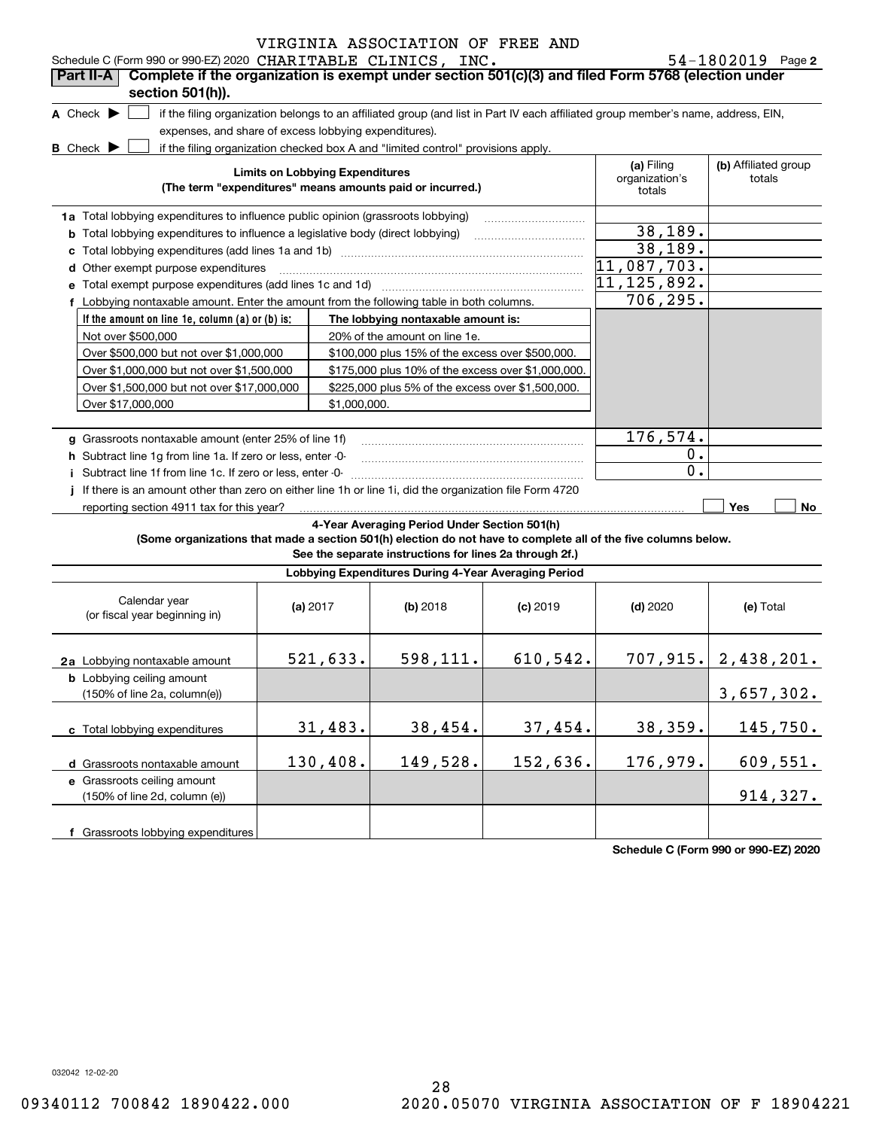|  | 54-1802019 | Page 2 |
|--|------------|--------|
|--|------------|--------|

| Schedule C (Form 990 or 990-EZ) 2020 CHARITABLE CLINICS, INC.                                                                       |                                        |              |                                                                                                         |            |                                                                                                                                   | $54 - 1802019$ Page 2          |
|-------------------------------------------------------------------------------------------------------------------------------------|----------------------------------------|--------------|---------------------------------------------------------------------------------------------------------|------------|-----------------------------------------------------------------------------------------------------------------------------------|--------------------------------|
| Complete if the organization is exempt under section 501(c)(3) and filed Form 5768 (election under<br>Part II-A<br>section 501(h)). |                                        |              |                                                                                                         |            |                                                                                                                                   |                                |
| A Check $\blacktriangleright$                                                                                                       |                                        |              |                                                                                                         |            | if the filing organization belongs to an affiliated group (and list in Part IV each affiliated group member's name, address, EIN, |                                |
| expenses, and share of excess lobbying expenditures).                                                                               |                                        |              |                                                                                                         |            |                                                                                                                                   |                                |
| <b>B</b> Check $\blacktriangleright$                                                                                                |                                        |              | if the filing organization checked box A and "limited control" provisions apply.                        |            |                                                                                                                                   |                                |
|                                                                                                                                     | <b>Limits on Lobbying Expenditures</b> |              | (The term "expenditures" means amounts paid or incurred.)                                               |            | (a) Filing<br>organization's<br>totals                                                                                            | (b) Affiliated group<br>totals |
| 1a Total lobbying expenditures to influence public opinion (grassroots lobbying)                                                    |                                        |              |                                                                                                         |            |                                                                                                                                   |                                |
| <b>b</b> Total lobbying expenditures to influence a legislative body (direct lobbying)                                              |                                        |              |                                                                                                         |            | 38,189.                                                                                                                           |                                |
| c                                                                                                                                   |                                        |              |                                                                                                         |            | 38,189.                                                                                                                           |                                |
| d Other exempt purpose expenditures                                                                                                 |                                        |              |                                                                                                         |            | 11,087,703.                                                                                                                       |                                |
|                                                                                                                                     |                                        |              |                                                                                                         |            | 11,125,892.                                                                                                                       |                                |
| f Lobbying nontaxable amount. Enter the amount from the following table in both columns.                                            |                                        |              |                                                                                                         |            | 706, 295.                                                                                                                         |                                |
| If the amount on line 1e, column $(a)$ or $(b)$ is:                                                                                 |                                        |              | The lobbying nontaxable amount is:                                                                      |            |                                                                                                                                   |                                |
| Not over \$500,000                                                                                                                  |                                        |              | 20% of the amount on line 1e.                                                                           |            |                                                                                                                                   |                                |
| Over \$500,000 but not over \$1,000,000                                                                                             |                                        |              | \$100,000 plus 15% of the excess over \$500,000.                                                        |            |                                                                                                                                   |                                |
| Over \$1,000,000 but not over \$1,500,000                                                                                           |                                        |              | \$175,000 plus 10% of the excess over \$1,000,000.                                                      |            |                                                                                                                                   |                                |
| Over \$1,500,000 but not over \$17,000,000                                                                                          |                                        |              | \$225,000 plus 5% of the excess over \$1,500,000.                                                       |            |                                                                                                                                   |                                |
| Over \$17,000,000                                                                                                                   |                                        | \$1,000,000. |                                                                                                         |            |                                                                                                                                   |                                |
|                                                                                                                                     |                                        |              |                                                                                                         |            |                                                                                                                                   |                                |
| g Grassroots nontaxable amount (enter 25% of line 1f)                                                                               |                                        |              |                                                                                                         |            | 176,574.                                                                                                                          |                                |
| h Subtract line 1q from line 1a. If zero or less, enter -0-                                                                         |                                        |              |                                                                                                         |            | $0$ .                                                                                                                             |                                |
| Subtract line 1f from line 1c. If zero or less, enter -0-                                                                           |                                        |              |                                                                                                         |            | 0.                                                                                                                                |                                |
| If there is an amount other than zero on either line 1h or line 1i, did the organization file Form 4720                             |                                        |              |                                                                                                         |            |                                                                                                                                   |                                |
| reporting section 4911 tax for this year?                                                                                           |                                        |              |                                                                                                         |            |                                                                                                                                   | Yes<br>No                      |
| (Some organizations that made a section 501(h) election do not have to complete all of the five columns below.                      |                                        |              | 4-Year Averaging Period Under Section 501(h)<br>See the separate instructions for lines 2a through 2f.) |            |                                                                                                                                   |                                |
|                                                                                                                                     |                                        |              | Lobbying Expenditures During 4-Year Averaging Period                                                    |            |                                                                                                                                   |                                |
| Calendar year<br>(or fiscal year beginning in)                                                                                      | (a) $2017$                             |              | $(b)$ 2018                                                                                              | $(c)$ 2019 | $(d)$ 2020                                                                                                                        | (e) Total                      |
| 2a Lobbying nontaxable amount                                                                                                       |                                        | 521,633.     | 598,111.                                                                                                | 610,542.   |                                                                                                                                   | 707, 915.   2, 438, 201.       |
| <b>b</b> Lobbying ceiling amount<br>(150% of line 2a, column(e))                                                                    |                                        |              |                                                                                                         |            |                                                                                                                                   | 3,657,302.                     |
| c Total lobbying expenditures                                                                                                       |                                        | 31,483.      | 38,454.                                                                                                 | 37,454.    | 38,359.                                                                                                                           | 145,750.                       |
| d Grassroots nontaxable amount                                                                                                      |                                        | 130,408.     | 149,528.                                                                                                | 152,636.   | 176,979.                                                                                                                          | 609,551.                       |
| e Grassroots ceiling amount<br>(150% of line 2d, column (e))                                                                        |                                        |              |                                                                                                         |            |                                                                                                                                   | 914,327.                       |
| f Grassroots lobbying expenditures                                                                                                  |                                        |              |                                                                                                         |            |                                                                                                                                   |                                |

**Schedule C (Form 990 or 990-EZ) 2020**

032042 12-02-20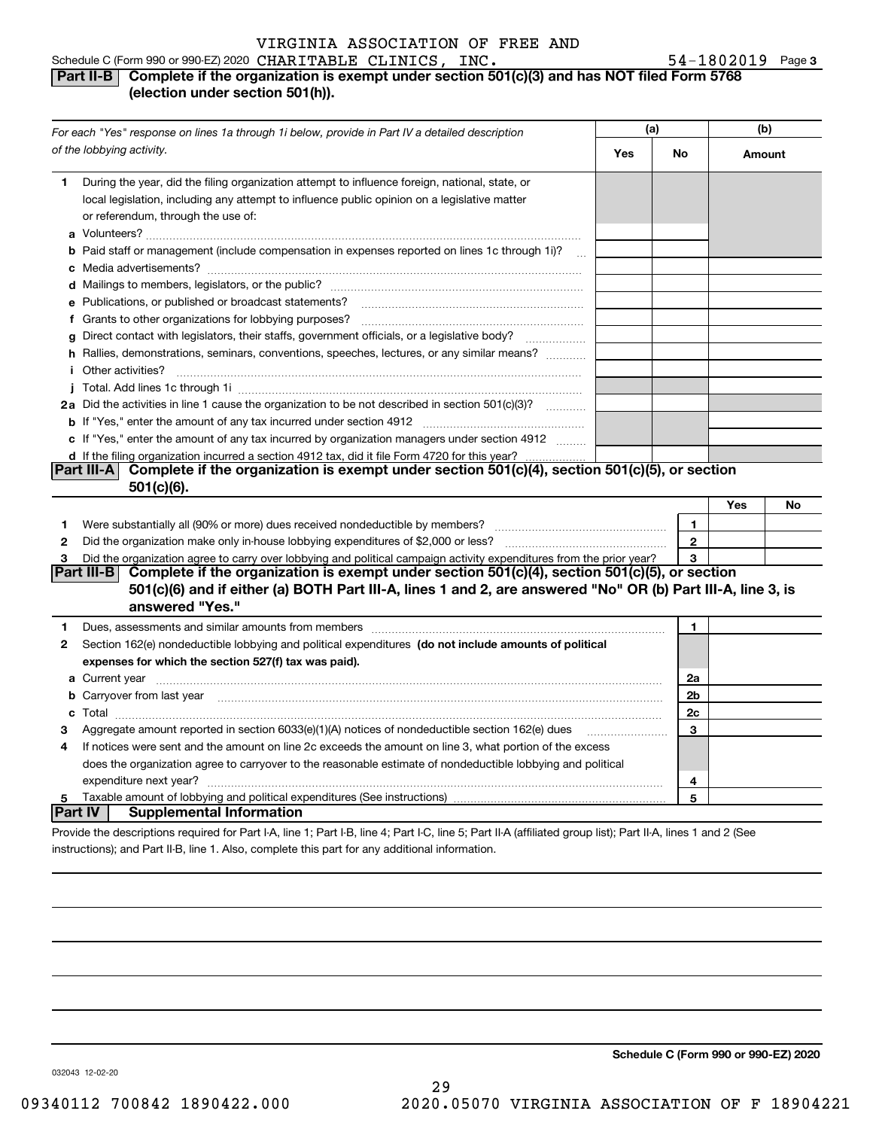### Schedule C (Form 990 or 990-EZ) 2020 Page CHARITABLE CLINICS, INC. 54-1802019 **Part II-B** Complete if the organization is exempt under section 501(c)(3) and has NOT filed Form 5768 **(election under section 501(h)).**

|              | For each "Yes" response on lines 1a through 1i below, provide in Part IV a detailed description                                                                                                                                      |     |                | (b)    |    |
|--------------|--------------------------------------------------------------------------------------------------------------------------------------------------------------------------------------------------------------------------------------|-----|----------------|--------|----|
|              | of the lobbying activity.                                                                                                                                                                                                            | Yes | No             | Amount |    |
| 1            | During the year, did the filing organization attempt to influence foreign, national, state, or<br>local legislation, including any attempt to influence public opinion on a legislative matter<br>or referendum, through the use of: |     |                |        |    |
|              | <b>b</b> Paid staff or management (include compensation in expenses reported on lines 1c through 1i)?<br>$\ddotsc$                                                                                                                   |     |                |        |    |
|              |                                                                                                                                                                                                                                      |     |                |        |    |
|              | e Publications, or published or broadcast statements?                                                                                                                                                                                |     |                |        |    |
|              | f Grants to other organizations for lobbying purposes?                                                                                                                                                                               |     |                |        |    |
|              | g Direct contact with legislators, their staffs, government officials, or a legislative body?<br>.                                                                                                                                   |     |                |        |    |
|              | h Rallies, demonstrations, seminars, conventions, speeches, lectures, or any similar means?<br><i>i</i> Other activities?                                                                                                            |     |                |        |    |
|              |                                                                                                                                                                                                                                      |     |                |        |    |
|              | 2a Did the activities in line 1 cause the organization to be not described in section 501(c)(3)?                                                                                                                                     |     |                |        |    |
|              |                                                                                                                                                                                                                                      |     |                |        |    |
|              | c If "Yes," enter the amount of any tax incurred by organization managers under section 4912                                                                                                                                         |     |                |        |    |
|              | d If the filing organization incurred a section 4912 tax, did it file Form 4720 for this year?                                                                                                                                       |     |                |        |    |
|              | Complete if the organization is exempt under section 501(c)(4), section 501(c)(5), or section<br> Part III-A                                                                                                                         |     |                |        |    |
|              | $501(c)(6)$ .                                                                                                                                                                                                                        |     |                |        |    |
|              |                                                                                                                                                                                                                                      |     |                | Yes    | No |
| 1            |                                                                                                                                                                                                                                      |     | 1              |        |    |
| $\mathbf{2}$ |                                                                                                                                                                                                                                      |     | $\overline{2}$ |        |    |
| 3            | Did the organization agree to carry over lobbying and political campaign activity expenditures from the prior year?                                                                                                                  |     | 3              |        |    |
|              | Complete if the organization is exempt under section 501(c)(4), section 501(c)(5), or section<br> Part III-B                                                                                                                         |     |                |        |    |
|              | 501(c)(6) and if either (a) BOTH Part III-A, lines 1 and 2, are answered "No" OR (b) Part III-A, line 3, is                                                                                                                          |     |                |        |    |
|              | answered "Yes."                                                                                                                                                                                                                      |     |                |        |    |
| 1            |                                                                                                                                                                                                                                      |     | 1              |        |    |
| 2            | Section 162(e) nondeductible lobbying and political expenditures (do not include amounts of political                                                                                                                                |     |                |        |    |
|              | expenses for which the section 527(f) tax was paid).                                                                                                                                                                                 |     |                |        |    |
|              |                                                                                                                                                                                                                                      |     | 2a             |        |    |
|              | <b>b</b> Carryover from last year manufactured and content to content the content of the content of the content of the content of the content of the content of the content of the content of the content of the content of the con  |     | 2 <sub>b</sub> |        |    |
|              |                                                                                                                                                                                                                                      |     | 2c             |        |    |
| 3            | Aggregate amount reported in section 6033(e)(1)(A) notices of nondeductible section 162(e) dues                                                                                                                                      |     | 3              |        |    |
| 4            | If notices were sent and the amount on line 2c exceeds the amount on line 3, what portion of the excess                                                                                                                              |     |                |        |    |
|              | does the organization agree to carryover to the reasonable estimate of nondeductible lobbying and political                                                                                                                          |     |                |        |    |
|              | expenditure next year?                                                                                                                                                                                                               |     | 4              |        |    |
| 5            | Taxable amount of lobbying and political expenditures (See instructions) manufactured content content of lobbying and political expenditures (See instructions)                                                                      |     | 5              |        |    |
| Part IV      | <b>Supplemental Information</b>                                                                                                                                                                                                      |     |                |        |    |
|              | Provide the descriptions required for Part I-A, line 1; Part I-B, line 4; Part I-C, line 5; Part II-A (affiliated group list); Part II-A, lines 1 and 2 (See                                                                         |     |                |        |    |

instructions); and Part II-B, line 1. Also, complete this part for any additional information.

**Schedule C (Form 990 or 990-EZ) 2020**

**3**

032043 12-02-20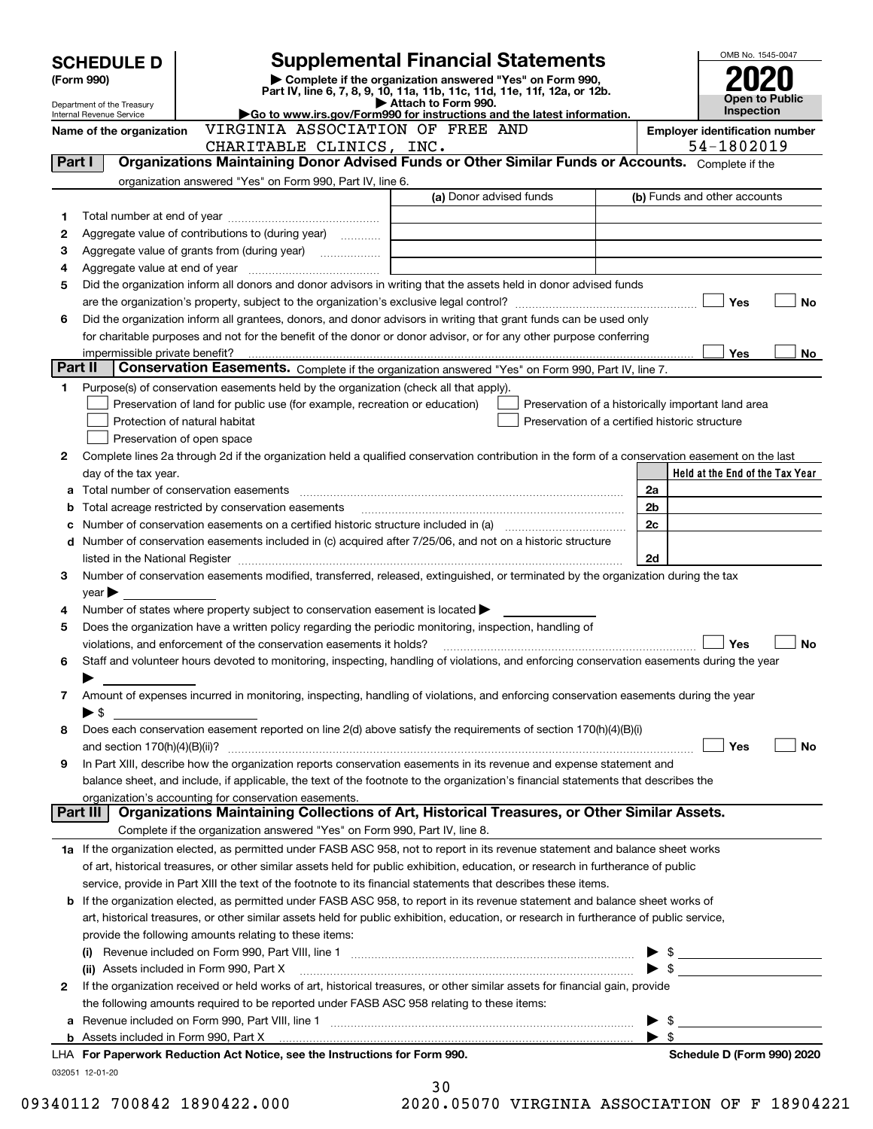|         | <b>SCHEDULE D</b>                  |                                                                                                                                                                                                                                | <b>Supplemental Financial Statements</b>                                                                                                                                                                                                                 |                                                     | OMB No. 1545-0047                                   |
|---------|------------------------------------|--------------------------------------------------------------------------------------------------------------------------------------------------------------------------------------------------------------------------------|----------------------------------------------------------------------------------------------------------------------------------------------------------------------------------------------------------------------------------------------------------|-----------------------------------------------------|-----------------------------------------------------|
|         | (Form 990)                         |                                                                                                                                                                                                                                | Complete if the organization answered "Yes" on Form 990,<br>Part IV, line 6, 7, 8, 9, 10, 11a, 11b, 11c, 11d, 11e, 11f, 12a, or 12b.                                                                                                                     |                                                     |                                                     |
|         | Department of the Treasury         |                                                                                                                                                                                                                                | Attach to Form 990.                                                                                                                                                                                                                                      |                                                     | <b>Open to Public</b><br><b>Inspection</b>          |
|         | Internal Revenue Service           | VIRGINIA ASSOCIATION OF FREE AND                                                                                                                                                                                               | Go to www.irs.gov/Form990 for instructions and the latest information.                                                                                                                                                                                   |                                                     |                                                     |
|         | Name of the organization           | CHARITABLE CLINICS, INC.                                                                                                                                                                                                       |                                                                                                                                                                                                                                                          |                                                     | <b>Employer identification number</b><br>54-1802019 |
| Part I  |                                    |                                                                                                                                                                                                                                | Organizations Maintaining Donor Advised Funds or Other Similar Funds or Accounts. Complete if the                                                                                                                                                        |                                                     |                                                     |
|         |                                    | organization answered "Yes" on Form 990, Part IV, line 6.                                                                                                                                                                      |                                                                                                                                                                                                                                                          |                                                     |                                                     |
|         |                                    |                                                                                                                                                                                                                                | (a) Donor advised funds                                                                                                                                                                                                                                  |                                                     | (b) Funds and other accounts                        |
| 1       |                                    |                                                                                                                                                                                                                                |                                                                                                                                                                                                                                                          |                                                     |                                                     |
| 2       |                                    | Aggregate value of contributions to (during year)                                                                                                                                                                              |                                                                                                                                                                                                                                                          |                                                     |                                                     |
| З       |                                    |                                                                                                                                                                                                                                |                                                                                                                                                                                                                                                          |                                                     |                                                     |
| 4       |                                    | Aggregate value at end of year memorial and the control of the state of the state of the state of the state of the state of the state of the state of the state of the state of the state of the state of the state of the sta |                                                                                                                                                                                                                                                          |                                                     |                                                     |
| 5       |                                    |                                                                                                                                                                                                                                | Did the organization inform all donors and donor advisors in writing that the assets held in donor advised funds                                                                                                                                         |                                                     |                                                     |
|         |                                    |                                                                                                                                                                                                                                |                                                                                                                                                                                                                                                          |                                                     | Yes<br>No                                           |
| 6       |                                    |                                                                                                                                                                                                                                | Did the organization inform all grantees, donors, and donor advisors in writing that grant funds can be used only                                                                                                                                        |                                                     |                                                     |
|         |                                    |                                                                                                                                                                                                                                | for charitable purposes and not for the benefit of the donor or donor advisor, or for any other purpose conferring                                                                                                                                       |                                                     |                                                     |
| Part II |                                    |                                                                                                                                                                                                                                | Conservation Easements. Complete if the organization answered "Yes" on Form 990, Part IV, line 7.                                                                                                                                                        |                                                     | <b>Yes</b><br>No                                    |
| 1       |                                    | Purpose(s) of conservation easements held by the organization (check all that apply).                                                                                                                                          |                                                                                                                                                                                                                                                          |                                                     |                                                     |
|         |                                    | Preservation of land for public use (for example, recreation or education)                                                                                                                                                     | Preservation of a historically important land area                                                                                                                                                                                                       |                                                     |                                                     |
|         |                                    | Protection of natural habitat                                                                                                                                                                                                  | Preservation of a certified historic structure                                                                                                                                                                                                           |                                                     |                                                     |
|         |                                    | Preservation of open space                                                                                                                                                                                                     |                                                                                                                                                                                                                                                          |                                                     |                                                     |
| 2       |                                    |                                                                                                                                                                                                                                | Complete lines 2a through 2d if the organization held a qualified conservation contribution in the form of a conservation easement on the last                                                                                                           |                                                     |                                                     |
|         | day of the tax year.               |                                                                                                                                                                                                                                |                                                                                                                                                                                                                                                          |                                                     | Held at the End of the Tax Year                     |
| а       |                                    |                                                                                                                                                                                                                                |                                                                                                                                                                                                                                                          | 2a                                                  |                                                     |
| b       |                                    |                                                                                                                                                                                                                                |                                                                                                                                                                                                                                                          | 2 <sub>b</sub>                                      |                                                     |
| c       |                                    |                                                                                                                                                                                                                                |                                                                                                                                                                                                                                                          | 2c                                                  |                                                     |
|         |                                    |                                                                                                                                                                                                                                | d Number of conservation easements included in (c) acquired after 7/25/06, and not on a historic structure                                                                                                                                               |                                                     |                                                     |
|         |                                    |                                                                                                                                                                                                                                |                                                                                                                                                                                                                                                          | 2d                                                  |                                                     |
| 3       |                                    |                                                                                                                                                                                                                                | Number of conservation easements modified, transferred, released, extinguished, or terminated by the organization during the tax                                                                                                                         |                                                     |                                                     |
| 4       | $\gamma$ ear $\blacktriangleright$ | Number of states where property subject to conservation easement is located $\blacktriangleright$                                                                                                                              |                                                                                                                                                                                                                                                          |                                                     |                                                     |
| 5       |                                    | Does the organization have a written policy regarding the periodic monitoring, inspection, handling of                                                                                                                         |                                                                                                                                                                                                                                                          |                                                     |                                                     |
|         |                                    | violations, and enforcement of the conservation easements it holds?                                                                                                                                                            |                                                                                                                                                                                                                                                          |                                                     | Yes<br>No                                           |
| 6       |                                    |                                                                                                                                                                                                                                | Staff and volunteer hours devoted to monitoring, inspecting, handling of violations, and enforcing conservation easements during the year                                                                                                                |                                                     |                                                     |
|         | ▶                                  |                                                                                                                                                                                                                                |                                                                                                                                                                                                                                                          |                                                     |                                                     |
| 7       |                                    |                                                                                                                                                                                                                                | Amount of expenses incurred in monitoring, inspecting, handling of violations, and enforcing conservation easements during the year                                                                                                                      |                                                     |                                                     |
|         | $\blacktriangleright$ \$           |                                                                                                                                                                                                                                |                                                                                                                                                                                                                                                          |                                                     |                                                     |
| 8       |                                    |                                                                                                                                                                                                                                | Does each conservation easement reported on line 2(d) above satisfy the requirements of section 170(h)(4)(B)(i)                                                                                                                                          |                                                     |                                                     |
|         |                                    |                                                                                                                                                                                                                                |                                                                                                                                                                                                                                                          |                                                     | Yes<br>No                                           |
| 9       |                                    |                                                                                                                                                                                                                                | In Part XIII, describe how the organization reports conservation easements in its revenue and expense statement and<br>balance sheet, and include, if applicable, the text of the footnote to the organization's financial statements that describes the |                                                     |                                                     |
|         |                                    | organization's accounting for conservation easements.                                                                                                                                                                          |                                                                                                                                                                                                                                                          |                                                     |                                                     |
|         | Part III                           |                                                                                                                                                                                                                                | Organizations Maintaining Collections of Art, Historical Treasures, or Other Similar Assets.                                                                                                                                                             |                                                     |                                                     |
|         |                                    | Complete if the organization answered "Yes" on Form 990, Part IV, line 8.                                                                                                                                                      |                                                                                                                                                                                                                                                          |                                                     |                                                     |
|         |                                    |                                                                                                                                                                                                                                | 1a If the organization elected, as permitted under FASB ASC 958, not to report in its revenue statement and balance sheet works                                                                                                                          |                                                     |                                                     |
|         |                                    |                                                                                                                                                                                                                                | of art, historical treasures, or other similar assets held for public exhibition, education, or research in furtherance of public                                                                                                                        |                                                     |                                                     |
|         |                                    |                                                                                                                                                                                                                                | service, provide in Part XIII the text of the footnote to its financial statements that describes these items.                                                                                                                                           |                                                     |                                                     |
|         |                                    |                                                                                                                                                                                                                                | <b>b</b> If the organization elected, as permitted under FASB ASC 958, to report in its revenue statement and balance sheet works of                                                                                                                     |                                                     |                                                     |
|         |                                    |                                                                                                                                                                                                                                | art, historical treasures, or other similar assets held for public exhibition, education, or research in furtherance of public service,                                                                                                                  |                                                     |                                                     |
|         |                                    | provide the following amounts relating to these items:                                                                                                                                                                         |                                                                                                                                                                                                                                                          |                                                     |                                                     |
|         |                                    |                                                                                                                                                                                                                                |                                                                                                                                                                                                                                                          |                                                     | $\triangleright$ \$                                 |
|         |                                    | (ii) Assets included in Form 990, Part X                                                                                                                                                                                       |                                                                                                                                                                                                                                                          | $\blacktriangleright$ \$                            |                                                     |
| 2       |                                    |                                                                                                                                                                                                                                | If the organization received or held works of art, historical treasures, or other similar assets for financial gain, provide                                                                                                                             |                                                     |                                                     |
|         |                                    | the following amounts required to be reported under FASB ASC 958 relating to these items:                                                                                                                                      |                                                                                                                                                                                                                                                          |                                                     |                                                     |
|         |                                    |                                                                                                                                                                                                                                |                                                                                                                                                                                                                                                          | $\blacktriangleright$ s<br>$\blacktriangleright$ \$ |                                                     |
|         |                                    | LHA For Paperwork Reduction Act Notice, see the Instructions for Form 990.                                                                                                                                                     |                                                                                                                                                                                                                                                          |                                                     | Schedule D (Form 990) 2020                          |
|         | 032051 12-01-20                    |                                                                                                                                                                                                                                |                                                                                                                                                                                                                                                          |                                                     |                                                     |
|         |                                    |                                                                                                                                                                                                                                | 30                                                                                                                                                                                                                                                       |                                                     |                                                     |

| 09340112 700842 1890422.00 |  |  |
|----------------------------|--|--|
|                            |  |  |

 <sup>09340112 700842 1890422.000 2020.05070</sup> VIRGINIA ASSOCIATION OF F 18904221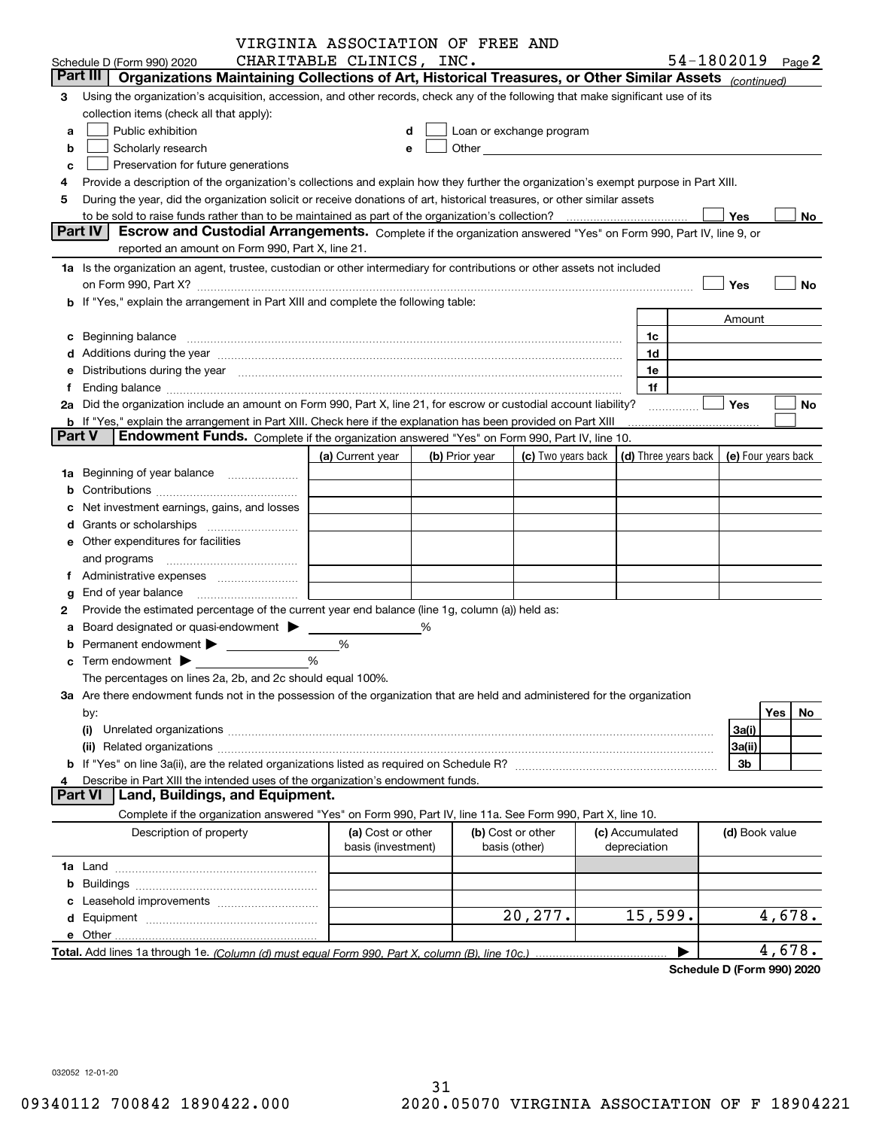|               |                                                                                                                                                                                                                                | VIRGINIA ASSOCIATION OF FREE AND        |   |                |                                                                                                                                                                                                                               |                                            |                        |           |
|---------------|--------------------------------------------------------------------------------------------------------------------------------------------------------------------------------------------------------------------------------|-----------------------------------------|---|----------------|-------------------------------------------------------------------------------------------------------------------------------------------------------------------------------------------------------------------------------|--------------------------------------------|------------------------|-----------|
|               | Schedule D (Form 990) 2020                                                                                                                                                                                                     | CHARITABLE CLINICS, INC.                |   |                |                                                                                                                                                                                                                               |                                            | 54-1802019 $_{Page}$ 2 |           |
|               | Part III<br>Organizations Maintaining Collections of Art, Historical Treasures, or Other Similar Assets (continued)                                                                                                            |                                         |   |                |                                                                                                                                                                                                                               |                                            |                        |           |
| 3             | Using the organization's acquisition, accession, and other records, check any of the following that make significant use of its                                                                                                |                                         |   |                |                                                                                                                                                                                                                               |                                            |                        |           |
|               | collection items (check all that apply):                                                                                                                                                                                       |                                         |   |                |                                                                                                                                                                                                                               |                                            |                        |           |
| a             | Public exhibition                                                                                                                                                                                                              |                                         |   |                | Loan or exchange program                                                                                                                                                                                                      |                                            |                        |           |
| b             | Scholarly research                                                                                                                                                                                                             |                                         |   |                | Other and the contract of the contract of the contract of the contract of the contract of the contract of the contract of the contract of the contract of the contract of the contract of the contract of the contract of the |                                            |                        |           |
| c             | Preservation for future generations                                                                                                                                                                                            |                                         |   |                |                                                                                                                                                                                                                               |                                            |                        |           |
|               | Provide a description of the organization's collections and explain how they further the organization's exempt purpose in Part XIII.                                                                                           |                                         |   |                |                                                                                                                                                                                                                               |                                            |                        |           |
| 5             | During the year, did the organization solicit or receive donations of art, historical treasures, or other similar assets                                                                                                       |                                         |   |                |                                                                                                                                                                                                                               |                                            |                        |           |
|               |                                                                                                                                                                                                                                |                                         |   |                |                                                                                                                                                                                                                               |                                            | Yes                    | No        |
|               | <b>Part IV</b><br>Escrow and Custodial Arrangements. Complete if the organization answered "Yes" on Form 990, Part IV, line 9, or                                                                                              |                                         |   |                |                                                                                                                                                                                                                               |                                            |                        |           |
|               | reported an amount on Form 990, Part X, line 21.                                                                                                                                                                               |                                         |   |                |                                                                                                                                                                                                                               |                                            |                        |           |
|               | 1a Is the organization an agent, trustee, custodian or other intermediary for contributions or other assets not included                                                                                                       |                                         |   |                |                                                                                                                                                                                                                               |                                            |                        |           |
|               | on Form 990, Part X? [11] matter contracts and contracts and contracts are contracted as a form 990, Part X?                                                                                                                   |                                         |   |                |                                                                                                                                                                                                                               |                                            | Yes                    | No        |
|               | <b>b</b> If "Yes," explain the arrangement in Part XIII and complete the following table:                                                                                                                                      |                                         |   |                |                                                                                                                                                                                                                               |                                            |                        |           |
|               |                                                                                                                                                                                                                                |                                         |   |                |                                                                                                                                                                                                                               |                                            | Amount                 |           |
|               | c Beginning balance measurements and the state of the state of the state of the state of the state of the state of the state of the state of the state of the state of the state of the state of the state of the state of the |                                         |   |                |                                                                                                                                                                                                                               | 1c                                         |                        |           |
|               | d Additions during the year measurements are all an according to the year.                                                                                                                                                     |                                         |   |                |                                                                                                                                                                                                                               | 1d                                         |                        |           |
|               | e Distributions during the year manufactured and continuum and contained and the year manufactured and contained and the year manufactured and contained and contained and contained and contained and contained and contained |                                         |   |                |                                                                                                                                                                                                                               | 1e                                         |                        |           |
| Ť.            |                                                                                                                                                                                                                                |                                         |   |                |                                                                                                                                                                                                                               | 1f                                         |                        |           |
|               | 2a Did the organization include an amount on Form 990, Part X, line 21, for escrow or custodial account liability?                                                                                                             |                                         |   |                |                                                                                                                                                                                                                               |                                            | <b>Yes</b>             | No        |
|               | <b>b</b> If "Yes," explain the arrangement in Part XIII. Check here if the explanation has been provided on Part XIII                                                                                                          |                                         |   |                |                                                                                                                                                                                                                               |                                            |                        |           |
| <b>Part V</b> | Endowment Funds. Complete if the organization answered "Yes" on Form 990, Part IV, line 10.                                                                                                                                    |                                         |   |                |                                                                                                                                                                                                                               |                                            |                        |           |
|               |                                                                                                                                                                                                                                | (a) Current year                        |   | (b) Prior year | (c) Two years back                                                                                                                                                                                                            | (d) Three years back   (e) Four years back |                        |           |
|               |                                                                                                                                                                                                                                |                                         |   |                |                                                                                                                                                                                                                               |                                            |                        |           |
|               |                                                                                                                                                                                                                                |                                         |   |                |                                                                                                                                                                                                                               |                                            |                        |           |
|               | c Net investment earnings, gains, and losses                                                                                                                                                                                   |                                         |   |                |                                                                                                                                                                                                                               |                                            |                        |           |
|               | d Grants or scholarships <i></i>                                                                                                                                                                                               |                                         |   |                |                                                                                                                                                                                                                               |                                            |                        |           |
|               | e Other expenditures for facilities                                                                                                                                                                                            |                                         |   |                |                                                                                                                                                                                                                               |                                            |                        |           |
|               | and programs                                                                                                                                                                                                                   |                                         |   |                |                                                                                                                                                                                                                               |                                            |                        |           |
|               | f Administrative expenses <i></i>                                                                                                                                                                                              |                                         |   |                |                                                                                                                                                                                                                               |                                            |                        |           |
|               | <b>g</b> End of year balance $\ldots$                                                                                                                                                                                          |                                         |   |                |                                                                                                                                                                                                                               |                                            |                        |           |
| 2             | Provide the estimated percentage of the current year end balance (line 1g, column (a)) held as:                                                                                                                                |                                         |   |                |                                                                                                                                                                                                                               |                                            |                        |           |
|               | a Board designated or quasi-endowment >                                                                                                                                                                                        |                                         | % |                |                                                                                                                                                                                                                               |                                            |                        |           |
|               |                                                                                                                                                                                                                                | %                                       |   |                |                                                                                                                                                                                                                               |                                            |                        |           |
|               | $\mathbf c$ Term endowment $\blacktriangleright$                                                                                                                                                                               | %                                       |   |                |                                                                                                                                                                                                                               |                                            |                        |           |
|               | The percentages on lines 2a, 2b, and 2c should equal 100%.                                                                                                                                                                     |                                         |   |                |                                                                                                                                                                                                                               |                                            |                        |           |
|               | 3a Are there endowment funds not in the possession of the organization that are held and administered for the organization                                                                                                     |                                         |   |                |                                                                                                                                                                                                                               |                                            |                        |           |
|               | by:                                                                                                                                                                                                                            |                                         |   |                |                                                                                                                                                                                                                               |                                            |                        | Yes<br>No |
|               | (i)                                                                                                                                                                                                                            |                                         |   |                |                                                                                                                                                                                                                               |                                            | 3a(i)                  |           |
|               |                                                                                                                                                                                                                                |                                         |   |                |                                                                                                                                                                                                                               |                                            | 3a(ii)                 |           |
|               |                                                                                                                                                                                                                                |                                         |   |                |                                                                                                                                                                                                                               |                                            | 3b                     |           |
| 4             | Describe in Part XIII the intended uses of the organization's endowment funds.                                                                                                                                                 |                                         |   |                |                                                                                                                                                                                                                               |                                            |                        |           |
|               | <b>Part VI</b><br>Land, Buildings, and Equipment.                                                                                                                                                                              |                                         |   |                |                                                                                                                                                                                                                               |                                            |                        |           |
|               | Complete if the organization answered "Yes" on Form 990, Part IV, line 11a. See Form 990, Part X, line 10.                                                                                                                     |                                         |   |                |                                                                                                                                                                                                                               |                                            |                        |           |
|               | Description of property                                                                                                                                                                                                        | (a) Cost or other<br>basis (investment) |   |                | (b) Cost or other<br>basis (other)                                                                                                                                                                                            | (c) Accumulated<br>depreciation            | (d) Book value         |           |
|               |                                                                                                                                                                                                                                |                                         |   |                |                                                                                                                                                                                                                               |                                            |                        |           |
|               |                                                                                                                                                                                                                                |                                         |   |                |                                                                                                                                                                                                                               |                                            |                        |           |
|               |                                                                                                                                                                                                                                |                                         |   |                |                                                                                                                                                                                                                               |                                            |                        |           |
|               |                                                                                                                                                                                                                                |                                         |   |                | 20,277.                                                                                                                                                                                                                       | 15,599.                                    |                        | 4,678.    |
|               |                                                                                                                                                                                                                                |                                         |   |                |                                                                                                                                                                                                                               |                                            |                        |           |
|               |                                                                                                                                                                                                                                |                                         |   |                |                                                                                                                                                                                                                               |                                            |                        | 4,678.    |
|               |                                                                                                                                                                                                                                |                                         |   |                |                                                                                                                                                                                                                               |                                            |                        |           |

**Schedule D (Form 990) 2020**

032052 12-01-20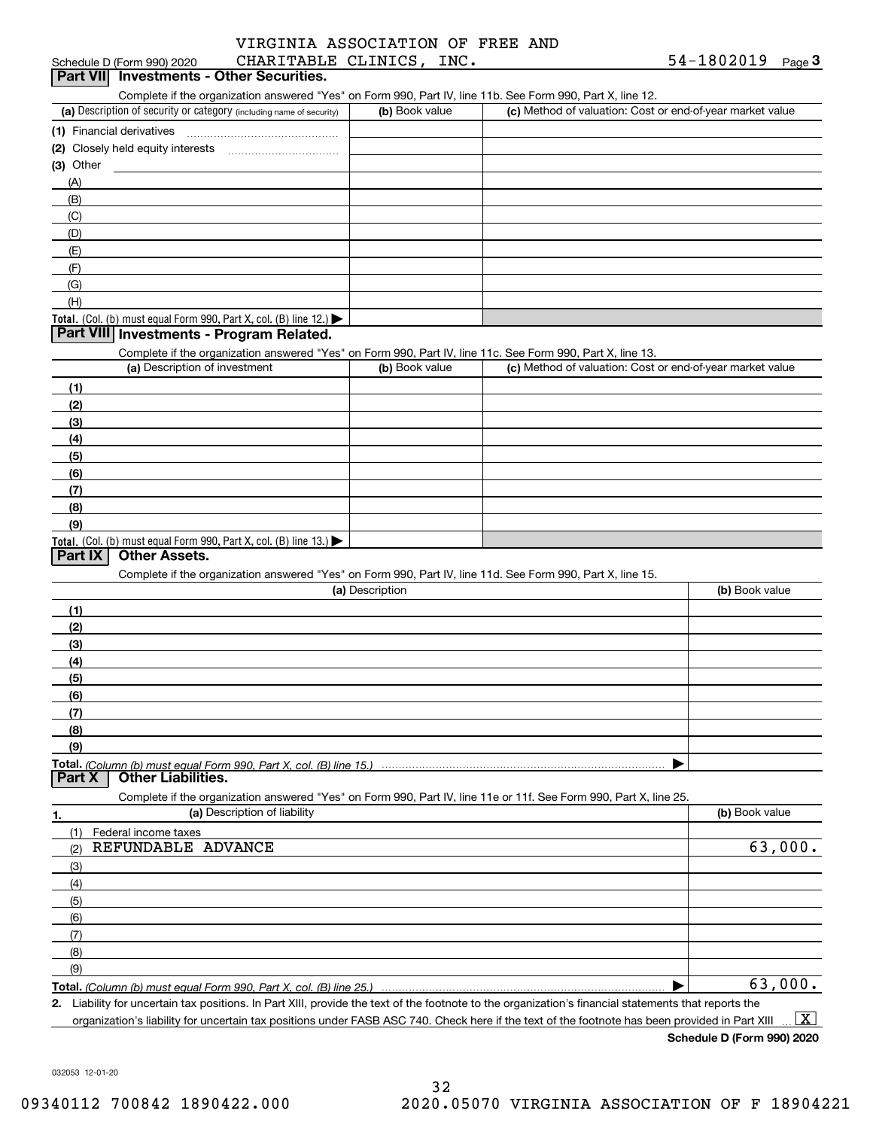### Schedule D (Form 990) 2020 Page CHARITABLE CLINICS, INC. VIRGINIA ASSOCIATION OF FREE AND

# Schedule D (Form 990) 2020 CHARITABLE CLINICS, INC<br>**Part VII** Investments - Other Securities.

Complete if the organization answered "Yes" on Form 990, Part IV, line 11b. See Form 990, Part X, line 12.

| (a) Description of security or category (including name of security)       | (b) Book value | (c) Method of valuation: Cost or end-of-year market value |
|----------------------------------------------------------------------------|----------------|-----------------------------------------------------------|
| (1) Financial derivatives                                                  |                |                                                           |
| (2) Closely held equity interests                                          |                |                                                           |
| $(3)$ Other                                                                |                |                                                           |
| (A)                                                                        |                |                                                           |
| (B)                                                                        |                |                                                           |
| (C)                                                                        |                |                                                           |
| (D)                                                                        |                |                                                           |
| (E)                                                                        |                |                                                           |
| (F)                                                                        |                |                                                           |
| (G)                                                                        |                |                                                           |
| (H)                                                                        |                |                                                           |
| <b>Total.</b> (Col. (b) must equal Form 990, Part X, col. (B) line $12$ .) |                |                                                           |

### **Part VIII Investments - Program Related.**

Complete if the organization answered "Yes" on Form 990, Part IV, line 11c. See Form 990, Part X, line 13.

| (a) Description of investment                                                          | (b) Book value | (c) Method of valuation: Cost or end-of-year market value |
|----------------------------------------------------------------------------------------|----------------|-----------------------------------------------------------|
| (1)                                                                                    |                |                                                           |
| (2)                                                                                    |                |                                                           |
| $\frac{1}{2}$                                                                          |                |                                                           |
| (4)                                                                                    |                |                                                           |
| $\frac{1}{2}$ (5)                                                                      |                |                                                           |
| (6)                                                                                    |                |                                                           |
| (7)                                                                                    |                |                                                           |
| (8)                                                                                    |                |                                                           |
| (9)                                                                                    |                |                                                           |
| Total. (Col. (b) must equal Form 990, Part X, col. (B) line 13.) $\blacktriangleright$ |                |                                                           |

### **Part IX Other Assets.**

Complete if the organization answered "Yes" on Form 990, Part IV, line 11d. See Form 990, Part X, line 15.

| (a) Description                                                                                                                       | (b) Book value |
|---------------------------------------------------------------------------------------------------------------------------------------|----------------|
|                                                                                                                                       |                |
| (2)                                                                                                                                   |                |
| (3)                                                                                                                                   |                |
| (4)                                                                                                                                   |                |
| (5)                                                                                                                                   |                |
| (6)                                                                                                                                   |                |
|                                                                                                                                       |                |
| (8)                                                                                                                                   |                |
| (9)                                                                                                                                   |                |
|                                                                                                                                       |                |
| Total. (Column (b) must equal Form 990, Part X, col. (B) line 15.) ………………………………………………………………………………………<br>  Part X   Other Liabilities. |                |

**1.(a)** Description of liability **Book value** Book value Book value Book value Book value **Total.**  *(Column (b) must equal Form 990, Part X, col. (B) line 25.)* Complete if the organization answered "Yes" on Form 990, Part IV, line 11e or 11f. See Form 990, Part X, line 25. (1)(2)(3)(4)(5) (6)(7)(8)(9)Federal income taxes  $\blacktriangleright$ REFUNDABLE ADVANCE 63,000. 63,000.

**2.**

Liability for uncertain tax positions. In Part XIII, provide the text of the footnote to the organization's financial statements that reports the organization's liability for uncertain tax positions under FASB ASC 740. Check here if the text of the footnote has been provided in Part XIII  $\boxed{\text{X}}$ 

**Schedule D (Form 990) 2020**

032053 12-01-20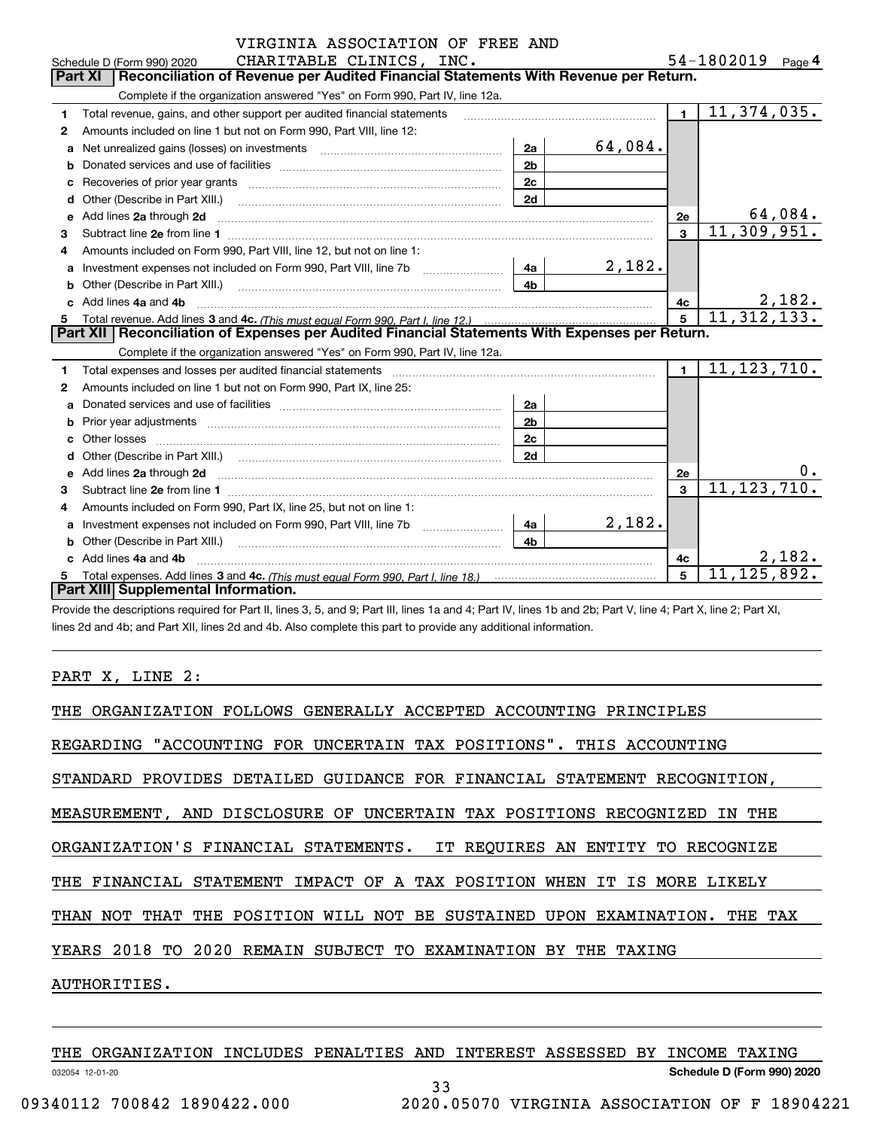|    | VIRGINIA ASSOCIATION OF FREE AND                                                                                                                                                                                                    |                |         |                         |                   |
|----|-------------------------------------------------------------------------------------------------------------------------------------------------------------------------------------------------------------------------------------|----------------|---------|-------------------------|-------------------|
|    | CHARITABLE CLINICS, INC.<br>Schedule D (Form 990) 2020                                                                                                                                                                              |                |         |                         | 54-1802019 Page 4 |
|    | Reconciliation of Revenue per Audited Financial Statements With Revenue per Return.<br><b>Part XI</b>                                                                                                                               |                |         |                         |                   |
|    | Complete if the organization answered "Yes" on Form 990, Part IV, line 12a.                                                                                                                                                         |                |         |                         |                   |
| 1  | Total revenue, gains, and other support per audited financial statements                                                                                                                                                            |                |         | $\mathbf{1}$            | 11, 374, 035.     |
| 2  | Amounts included on line 1 but not on Form 990, Part VIII, line 12:                                                                                                                                                                 |                |         |                         |                   |
| a  | Net unrealized gains (losses) on investments [11] matter contracts and the unrealized gains (losses) on investments                                                                                                                 | 2a             | 64,084. |                         |                   |
| b  |                                                                                                                                                                                                                                     | 2 <sub>b</sub> |         |                         |                   |
| c  |                                                                                                                                                                                                                                     | 2c             |         |                         |                   |
| d  |                                                                                                                                                                                                                                     | 2d             |         |                         |                   |
| e  | Add lines 2a through 2d                                                                                                                                                                                                             |                |         | 2е                      | 64,084.           |
| 3  |                                                                                                                                                                                                                                     |                |         | $\mathbf{3}$            | 11,309,951.       |
| 4  | Amounts included on Form 990, Part VIII, line 12, but not on line 1:                                                                                                                                                                |                |         |                         |                   |
| a  |                                                                                                                                                                                                                                     | 4a l           | 2,182.  |                         |                   |
| b  | Other (Describe in Part XIII.) <b>Construction Contract Construction</b> Chemistry Chemistry Chemistry Chemistry Chemistry                                                                                                          | 4 <sub>h</sub> |         |                         |                   |
| c. | Add lines 4a and 4b                                                                                                                                                                                                                 |                |         | 4c                      | 2,182.            |
| 5. |                                                                                                                                                                                                                                     |                |         | 5                       | 11, 312, 133.     |
|    | Part XII   Reconciliation of Expenses per Audited Financial Statements With Expenses per Return.                                                                                                                                    |                |         |                         |                   |
|    | Complete if the organization answered "Yes" on Form 990, Part IV, line 12a.                                                                                                                                                         |                |         |                         |                   |
| 1  |                                                                                                                                                                                                                                     |                |         | $\mathbf{1}$            | 11, 123, 710.     |
| 2  | Amounts included on line 1 but not on Form 990, Part IX, line 25:                                                                                                                                                                   |                |         |                         |                   |
| a  |                                                                                                                                                                                                                                     | 2a             |         |                         |                   |
| b  |                                                                                                                                                                                                                                     | 2 <sub>b</sub> |         |                         |                   |
| c  |                                                                                                                                                                                                                                     | 2c             |         |                         |                   |
| d  |                                                                                                                                                                                                                                     | 2d             |         |                         |                   |
| е  | Add lines 2a through 2d <b>contained a contained a contained a contained a</b> contained a contact the state of the state of the state of the state of the state of the state of the state of the state of the state of the state o |                |         | <b>2e</b>               | 0.                |
| 3  |                                                                                                                                                                                                                                     |                |         | $\overline{\mathbf{3}}$ | 11, 123, 710.     |
| 4  | Amounts included on Form 990, Part IX, line 25, but not on line 1:                                                                                                                                                                  |                |         |                         |                   |
| a  |                                                                                                                                                                                                                                     | 4a             | 2,182.  |                         |                   |
| b  | Other (Describe in Part XIII.)                                                                                                                                                                                                      | 4 <sub>b</sub> |         |                         |                   |
|    | c Add lines 4a and 4b                                                                                                                                                                                                               |                |         | 4c                      | 2,182.            |
|    |                                                                                                                                                                                                                                     |                |         | 5                       | 11, 125, 892.     |
|    | Part XIII Supplemental Information.                                                                                                                                                                                                 |                |         |                         |                   |

Provide the descriptions required for Part II, lines 3, 5, and 9; Part III, lines 1a and 4; Part IV, lines 1b and 2b; Part V, line 4; Part X, line 2; Part XI, lines 2d and 4b; and Part XII, lines 2d and 4b. Also complete this part to provide any additional information.

### PART X, LINE 2:

| THE ORGANIZATION FOLLOWS GENERALLY ACCEPTED ACCOUNTING PRINCIPLES             |
|-------------------------------------------------------------------------------|
| REGARDING "ACCOUNTING FOR UNCERTAIN TAX POSITIONS". THIS ACCOUNTING           |
| STANDARD PROVIDES DETAILED GUIDANCE FOR FINANCIAL STATEMENT RECOGNITION,      |
| MEASUREMENT, AND DISCLOSURE OF UNCERTAIN TAX POSITIONS RECOGNIZED IN THE      |
| ORGANIZATION'S FINANCIAL STATEMENTS. IT REOUIRES AN ENTITY TO RECOGNIZE       |
| THE FINANCIAL STATEMENT IMPACT OF A TAX POSITION WHEN IT IS MORE LIKELY       |
| THAN NOT THAT THE POSITION WILL NOT BE SUSTAINED UPON EXAMINATION.<br>THE TAX |
| YEARS 2018 TO 2020 REMAIN SUBJECT TO EXAMINATION BY THE TAXING                |
| AUTHORITIES.                                                                  |
|                                                                               |

032054 12-01-20 **Schedule D (Form 990) 2020** THE ORGANIZATION INCLUDES PENALTIES AND INTEREST ASSESSED BY INCOME TAXING 33 09340112 700842 1890422.000 2020.05070 VIRGINIA ASSOCIATION OF F 18904221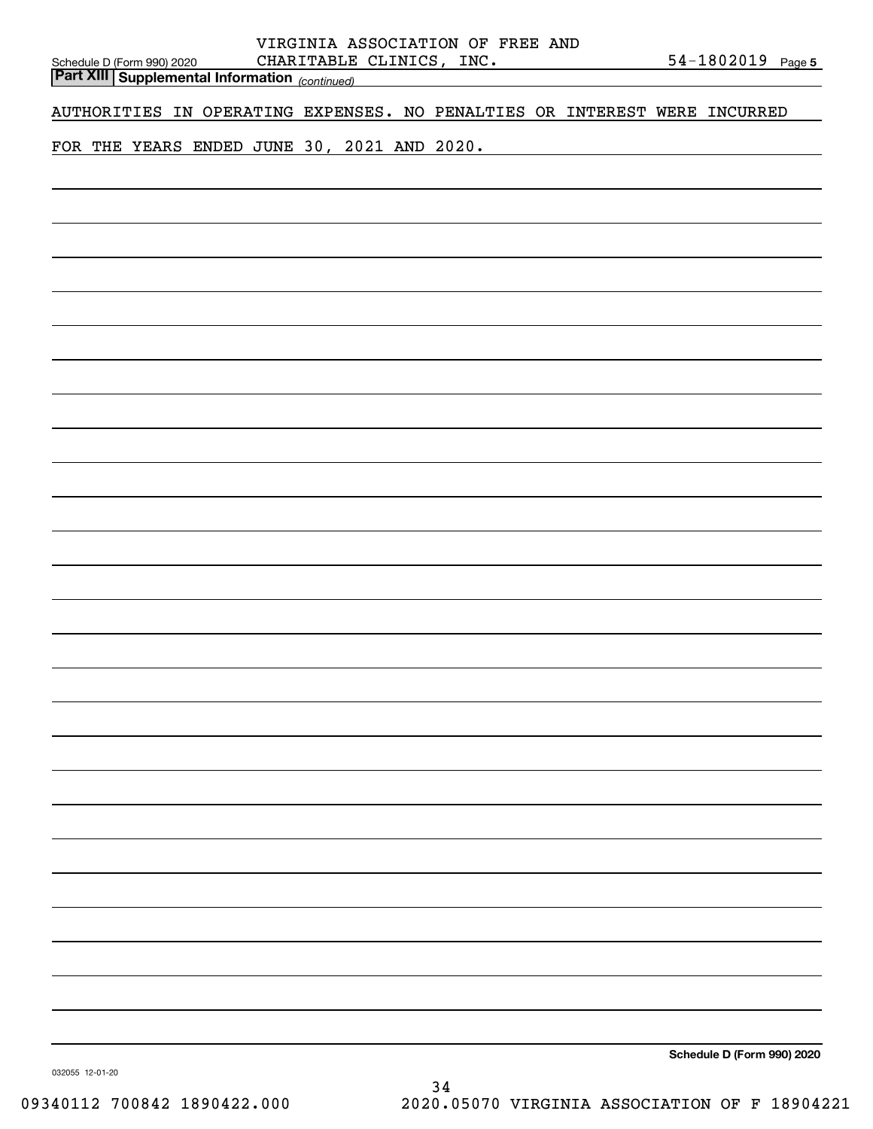|                                                                                              |                                             | VIRGINIA ASSOCIATION OF FREE AND                                          |  |                            |
|----------------------------------------------------------------------------------------------|---------------------------------------------|---------------------------------------------------------------------------|--|----------------------------|
| Schedule D (Form 990) 2020 CHARITABLE CI<br>Part XIII   Supplemental Information (continued) | CHARITABLE CLINICS, INC.                    |                                                                           |  | $54 - 1802019$ Page 5      |
|                                                                                              |                                             |                                                                           |  |                            |
|                                                                                              |                                             | AUTHORITIES IN OPERATING EXPENSES. NO PENALTIES OR INTEREST WERE INCURRED |  |                            |
|                                                                                              | FOR THE YEARS ENDED JUNE 30, 2021 AND 2020. |                                                                           |  |                            |
|                                                                                              |                                             |                                                                           |  |                            |
|                                                                                              |                                             |                                                                           |  |                            |
|                                                                                              |                                             |                                                                           |  |                            |
|                                                                                              |                                             |                                                                           |  |                            |
|                                                                                              |                                             |                                                                           |  |                            |
|                                                                                              |                                             |                                                                           |  |                            |
|                                                                                              |                                             |                                                                           |  |                            |
|                                                                                              |                                             |                                                                           |  |                            |
|                                                                                              |                                             |                                                                           |  |                            |
|                                                                                              |                                             |                                                                           |  |                            |
|                                                                                              |                                             |                                                                           |  |                            |
|                                                                                              |                                             |                                                                           |  |                            |
|                                                                                              |                                             |                                                                           |  |                            |
|                                                                                              |                                             |                                                                           |  |                            |
|                                                                                              |                                             |                                                                           |  |                            |
|                                                                                              |                                             |                                                                           |  |                            |
|                                                                                              |                                             |                                                                           |  |                            |
|                                                                                              |                                             |                                                                           |  |                            |
|                                                                                              |                                             |                                                                           |  |                            |
|                                                                                              |                                             |                                                                           |  |                            |
|                                                                                              |                                             |                                                                           |  |                            |
|                                                                                              |                                             |                                                                           |  |                            |
|                                                                                              |                                             |                                                                           |  |                            |
|                                                                                              |                                             |                                                                           |  |                            |
|                                                                                              |                                             |                                                                           |  |                            |
|                                                                                              |                                             |                                                                           |  |                            |
|                                                                                              |                                             |                                                                           |  |                            |
|                                                                                              |                                             |                                                                           |  |                            |
|                                                                                              |                                             |                                                                           |  |                            |
|                                                                                              |                                             |                                                                           |  |                            |
|                                                                                              |                                             |                                                                           |  |                            |
|                                                                                              |                                             |                                                                           |  |                            |
|                                                                                              |                                             |                                                                           |  |                            |
|                                                                                              |                                             |                                                                           |  |                            |
|                                                                                              |                                             |                                                                           |  |                            |
|                                                                                              |                                             |                                                                           |  |                            |
|                                                                                              |                                             |                                                                           |  |                            |
|                                                                                              |                                             |                                                                           |  |                            |
|                                                                                              |                                             |                                                                           |  |                            |
|                                                                                              |                                             |                                                                           |  | Schedule D (Form 990) 2020 |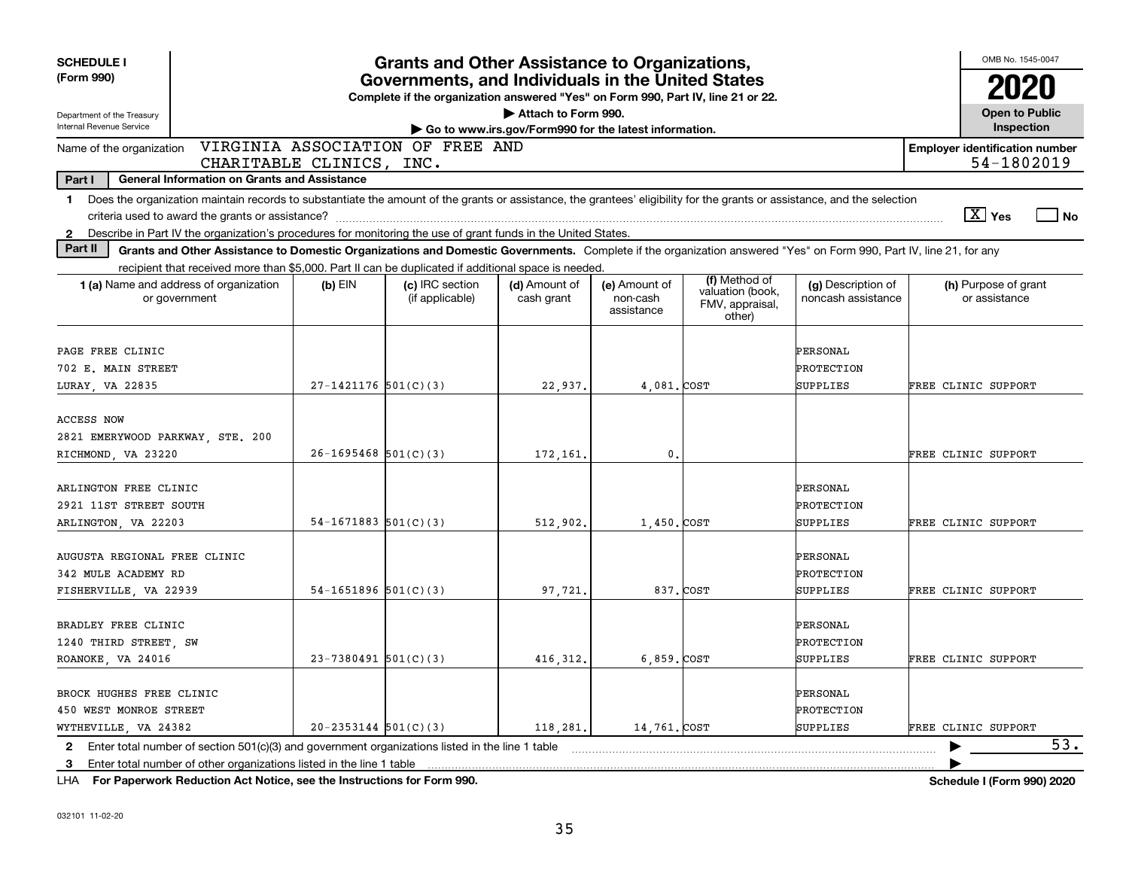| <b>SCHEDULE I</b>                                                                                                                                                                                                                                                                                              |                          | <b>Grants and Other Assistance to Organizations,</b>                                                                                  |                                                                              |                                         |                                                                |                                           |                     | OMB No. 1545-0047                                   |        |
|----------------------------------------------------------------------------------------------------------------------------------------------------------------------------------------------------------------------------------------------------------------------------------------------------------------|--------------------------|---------------------------------------------------------------------------------------------------------------------------------------|------------------------------------------------------------------------------|-----------------------------------------|----------------------------------------------------------------|-------------------------------------------|---------------------|-----------------------------------------------------|--------|
| (Form 990)                                                                                                                                                                                                                                                                                                     |                          | Governments, and Individuals in the United States<br>Complete if the organization answered "Yes" on Form 990, Part IV, line 21 or 22. |                                                                              |                                         |                                                                |                                           |                     |                                                     |        |
| Department of the Treasury<br>Internal Revenue Service                                                                                                                                                                                                                                                         |                          |                                                                                                                                       | Attach to Form 990.<br>Go to www.irs.gov/Form990 for the latest information. |                                         |                                                                |                                           |                     | <b>Open to Public</b><br>Inspection                 |        |
| Name of the organization<br>CHARITABLE CLINICS, INC.                                                                                                                                                                                                                                                           |                          | VIRGINIA ASSOCIATION OF FREE AND                                                                                                      |                                                                              |                                         |                                                                |                                           |                     | <b>Employer identification number</b><br>54-1802019 |        |
| Part I<br><b>General Information on Grants and Assistance</b>                                                                                                                                                                                                                                                  |                          |                                                                                                                                       |                                                                              |                                         |                                                                |                                           |                     |                                                     |        |
| Does the organization maintain records to substantiate the amount of the grants or assistance, the grantees' eligibility for the grants or assistance, and the selection<br>$\mathbf 1$                                                                                                                        |                          |                                                                                                                                       |                                                                              |                                         |                                                                |                                           |                     | $\boxed{\text{X}}$ Yes                              | $ $ No |
| Describe in Part IV the organization's procedures for monitoring the use of grant funds in the United States.<br>$\mathbf{2}$<br>Part II<br>Grants and Other Assistance to Domestic Organizations and Domestic Governments. Complete if the organization answered "Yes" on Form 990, Part IV, line 21, for any |                          |                                                                                                                                       |                                                                              |                                         |                                                                |                                           |                     |                                                     |        |
| recipient that received more than \$5,000. Part II can be duplicated if additional space is needed.                                                                                                                                                                                                            |                          |                                                                                                                                       |                                                                              |                                         |                                                                |                                           |                     |                                                     |        |
| 1 (a) Name and address of organization<br>or government                                                                                                                                                                                                                                                        | $(b)$ EIN                | (c) IRC section<br>(if applicable)                                                                                                    | (d) Amount of<br>cash grant                                                  | (e) Amount of<br>non-cash<br>assistance | (f) Method of<br>valuation (book,<br>FMV, appraisal,<br>other) | (g) Description of<br>noncash assistance  |                     | (h) Purpose of grant<br>or assistance               |        |
| PAGE FREE CLINIC<br>702 E. MAIN STREET                                                                                                                                                                                                                                                                         |                          |                                                                                                                                       |                                                                              |                                         |                                                                | PERSONAL<br>PROTECTION                    |                     |                                                     |        |
| LURAY  VA 22835                                                                                                                                                                                                                                                                                                | $27-1421176$ 501(C)(3)   |                                                                                                                                       | 22,937.                                                                      | 4,081.COST                              |                                                                | <b>SUPPLIES</b>                           | FREE CLINIC SUPPORT |                                                     |        |
| <b>ACCESS NOW</b><br>2821 EMERYWOOD PARKWAY, STE. 200<br>RICHMOND, VA 23220                                                                                                                                                                                                                                    | $26 - 1695468$ 501(C)(3) |                                                                                                                                       | 172,161                                                                      | 0.                                      |                                                                |                                           | FREE CLINIC SUPPORT |                                                     |        |
| ARLINGTON FREE CLINIC<br>2921 11ST STREET SOUTH<br>ARLINGTON, VA 22203                                                                                                                                                                                                                                         | $54-1671883$ $501(C)(3)$ |                                                                                                                                       | 512,902.                                                                     | 1,450. COST                             |                                                                | PERSONAL<br>PROTECTION<br>SUPPLIES        | FREE CLINIC SUPPORT |                                                     |        |
| AUGUSTA REGIONAL FREE CLINIC<br>342 MULE ACADEMY RD<br>FISHERVILLE, VA 22939                                                                                                                                                                                                                                   | $54-1651896$ $501(C)(3)$ |                                                                                                                                       | 97,721                                                                       |                                         | 837. COST                                                      | PERSONAL<br>PROTECTION<br>SUPPLIES        | FREE CLINIC SUPPORT |                                                     |        |
| BRADLEY FREE CLINIC<br>1240 THIRD STREET, SW<br>ROANOKE, VA 24016                                                                                                                                                                                                                                              | $23-7380491$ 501(C)(3)   |                                                                                                                                       | 416, 312.                                                                    | 6,859. COST                             |                                                                | PERSONAL<br>PROTECTION<br>SUPPLIES        | FREE CLINIC SUPPORT |                                                     |        |
| BROCK HUGHES FREE CLINIC<br>450 WEST MONROE STREET<br>WYTHEVILLE, VA 24382                                                                                                                                                                                                                                     | $20-2353144$ $501(C)(3)$ |                                                                                                                                       | 118,281.                                                                     | 14.761.COST                             |                                                                | PERSONAL<br>PROTECTION<br><b>SUPPLIES</b> | FREE CLINIC SUPPORT |                                                     |        |
| Enter total number of section $501(c)(3)$ and government organizations listed in the line 1 table<br>$\mathbf{2}$<br>Enter total number of other organizations listed in the line 1 table<br>3                                                                                                                 |                          |                                                                                                                                       |                                                                              |                                         |                                                                |                                           |                     |                                                     | 53.    |

**For Paperwork Reduction Act Notice, see the Instructions for Form 990. Schedule I (Form 990) 2020** LHA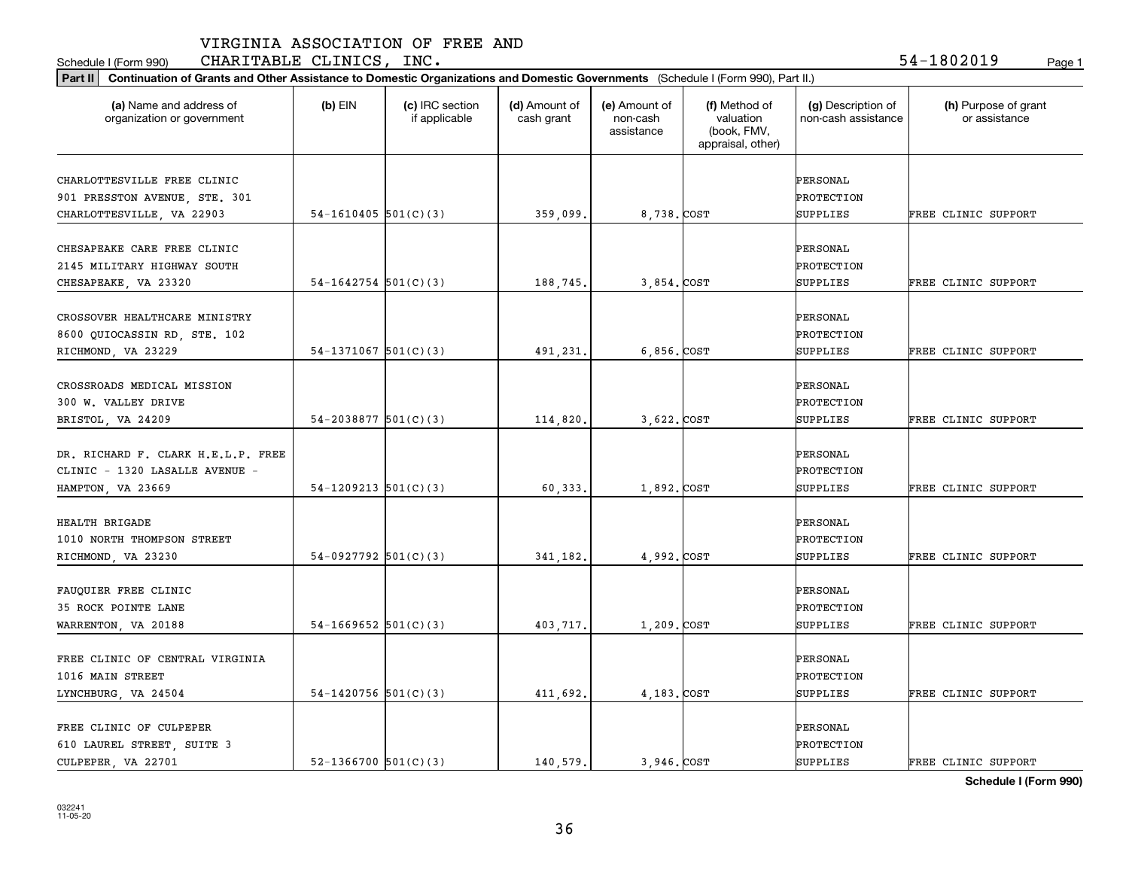Schedule I (Form 990) **CHARITABLE CLINICS, INC.** 54-1802019 <sub>Page 1</sub>

| (a) Name and address of            | $(b)$ EIN                  | (c) IRC section | (d) Amount of | (e) Amount of          | (f) Method of                                 | (g) Description of  | (h) Purpose of grant |
|------------------------------------|----------------------------|-----------------|---------------|------------------------|-----------------------------------------------|---------------------|----------------------|
| organization or government         |                            | if applicable   | cash grant    | non-cash<br>assistance | valuation<br>(book, FMV,<br>appraisal, other) | non-cash assistance | or assistance        |
| CHARLOTTESVILLE FREE CLINIC        |                            |                 |               |                        |                                               | PERSONAL            |                      |
| 901 PRESSTON AVENUE, STE. 301      |                            |                 |               |                        |                                               | PROTECTION          |                      |
| CHARLOTTESVILLE, VA 22903          | $54-1610405$ 501(C)(3)     |                 | 359,099.      | 8,738. COST            |                                               | SUPPLIES            | FREE CLINIC SUPPORT  |
|                                    |                            |                 |               |                        |                                               |                     |                      |
| CHESAPEAKE CARE FREE CLINIC        |                            |                 |               |                        |                                               | PERSONAL            |                      |
| 2145 MILITARY HIGHWAY SOUTH        |                            |                 |               |                        |                                               | PROTECTION          |                      |
| CHESAPEAKE, VA 23320               | $54-1642754$ 501(C)(3)     |                 | 188,745.      | 3,854. COST            |                                               | SUPPLIES            | FREE CLINIC SUPPORT  |
| CROSSOVER HEALTHCARE MINISTRY      |                            |                 |               |                        |                                               | PERSONAL            |                      |
| 8600 QUIOCASSIN RD, STE. 102       |                            |                 |               |                        |                                               | PROTECTION          |                      |
| RICHMOND, VA 23229                 | $54-1371067$ 501(C)(3)     |                 | 491,231.      | 6,856. COST            |                                               | SUPPLIES            | FREE CLINIC SUPPORT  |
|                                    |                            |                 |               |                        |                                               |                     |                      |
| CROSSROADS MEDICAL MISSION         |                            |                 |               |                        |                                               | PERSONAL            |                      |
| 300 W. VALLEY DRIVE                |                            |                 |               |                        |                                               | PROTECTION          |                      |
| BRISTOL, VA 24209                  | $54 - 2038877$ 501(C)(3)   |                 | 114,820.      | 3,622. COST            |                                               | SUPPLIES            | FREE CLINIC SUPPORT  |
|                                    |                            |                 |               |                        |                                               |                     |                      |
| DR. RICHARD F. CLARK H.E.L.P. FREE |                            |                 |               |                        |                                               | PERSONAL            |                      |
| CLINIC - 1320 LASALLE AVENUE -     |                            |                 |               |                        |                                               | PROTECTION          |                      |
| HAMPTON, VA 23669                  | $54-1209213$ $501(C)(3)$   |                 | 60,333.       | 1,892. COST            |                                               | SUPPLIES            | FREE CLINIC SUPPORT  |
| <b>HEALTH BRIGADE</b>              |                            |                 |               |                        |                                               | PERSONAL            |                      |
| 1010 NORTH THOMPSON STREET         |                            |                 |               |                        |                                               | PROTECTION          |                      |
| RICHMOND, VA 23230                 | 54-0927792 $501(C)(3)$     |                 | 341,182.      | 4,992. COST            |                                               | SUPPLIES            | FREE CLINIC SUPPORT  |
|                                    |                            |                 |               |                        |                                               |                     |                      |
| FAUQUIER FREE CLINIC               |                            |                 |               |                        |                                               | PERSONAL            |                      |
| 35 ROCK POINTE LANE                |                            |                 |               |                        |                                               | PROTECTION          |                      |
| WARRENTON, VA 20188                | $54-1669652$ $501(C)(3)$   |                 | 403,717.      | 1,209. COST            |                                               | SUPPLIES            | FREE CLINIC SUPPORT  |
|                                    |                            |                 |               |                        |                                               |                     |                      |
| FREE CLINIC OF CENTRAL VIRGINIA    |                            |                 |               |                        |                                               | PERSONAL            |                      |
| 1016 MAIN STREET                   |                            |                 |               |                        |                                               | PROTECTION          |                      |
| LYNCHBURG, VA 24504                | 54-1420756 $501(C)(3)$     |                 | 411,692.      | 4,183. COST            |                                               | SUPPLIES            | FREE CLINIC SUPPORT  |
| FREE CLINIC OF CULPEPER            |                            |                 |               |                        |                                               | PERSONAL            |                      |
| 610 LAUREL STREET, SUITE 3         |                            |                 |               |                        |                                               | PROTECTION          |                      |
| CULPEPER, VA 22701                 | $52 - 1366700$ $501(C)(3)$ |                 | 140.579.      | 3.946.COST             |                                               | SUPPLIES            | FREE CLINIC SUPPORT  |
|                                    |                            |                 |               |                        |                                               |                     |                      |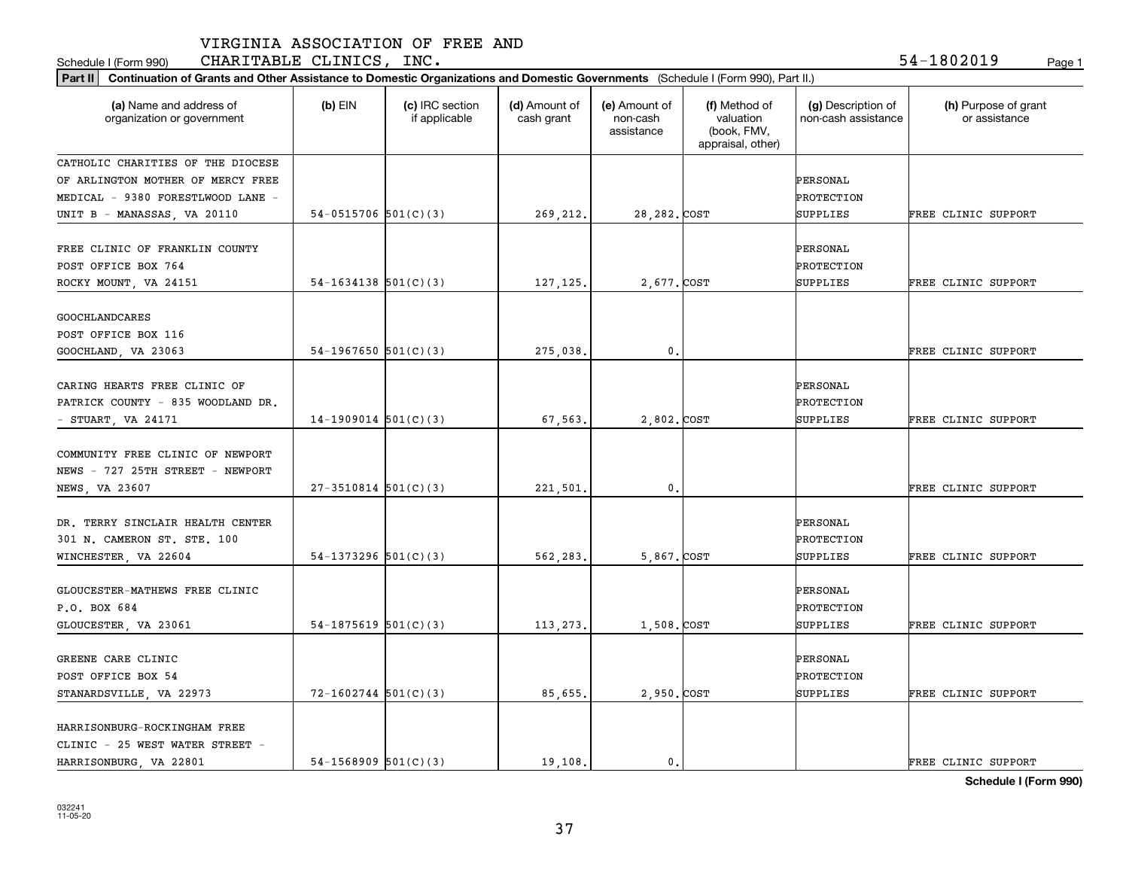Schedule I (Form 990) **CHARITABLE CLINICS, INC.** 54-1802019 <sub>Page 1</sub>

| Part II   Continuation of Grants and Other Assistance to Domestic Organizations and Domestic Governments (Schedule I (Form 990), Part II.) |                          |                                  |                             |                                         |                                                                |                                           |                                       |
|--------------------------------------------------------------------------------------------------------------------------------------------|--------------------------|----------------------------------|-----------------------------|-----------------------------------------|----------------------------------------------------------------|-------------------------------------------|---------------------------------------|
| (a) Name and address of<br>organization or government                                                                                      | $(b)$ EIN                | (c) IRC section<br>if applicable | (d) Amount of<br>cash grant | (e) Amount of<br>non-cash<br>assistance | (f) Method of<br>valuation<br>(book, FMV,<br>appraisal, other) | (g) Description of<br>non-cash assistance | (h) Purpose of grant<br>or assistance |
| CATHOLIC CHARITIES OF THE DIOCESE                                                                                                          |                          |                                  |                             |                                         |                                                                |                                           |                                       |
| OF ARLINGTON MOTHER OF MERCY FREE                                                                                                          |                          |                                  |                             |                                         |                                                                | PERSONAL                                  |                                       |
| MEDICAL - 9380 FORESTLWOOD LANE -                                                                                                          |                          |                                  |                             |                                         |                                                                | PROTECTION                                |                                       |
| UNIT B - MANASSAS, VA 20110                                                                                                                | 54-0515706 $501(C)(3)$   |                                  | 269,212.                    | 28, 282. COST                           |                                                                | SUPPLIES                                  | FREE CLINIC SUPPORT                   |
| FREE CLINIC OF FRANKLIN COUNTY<br>POST OFFICE BOX 764<br>ROCKY MOUNT, VA 24151                                                             | $54-1634138$ $501(C)(3)$ |                                  | 127, 125.                   | 2,677. COST                             |                                                                | PERSONAL<br>PROTECTION<br>SUPPLIES        | FREE CLINIC SUPPORT                   |
|                                                                                                                                            |                          |                                  |                             |                                         |                                                                |                                           |                                       |
| GOOCHLANDCARES<br>POST OFFICE BOX 116                                                                                                      |                          |                                  |                             |                                         |                                                                |                                           |                                       |
| GOOCHLAND, VA 23063                                                                                                                        | 54-1967650 $501(C)(3)$   |                                  | 275,038.                    | $\mathbf{0}$ .                          |                                                                |                                           | FREE CLINIC SUPPORT                   |
| CARING HEARTS FREE CLINIC OF<br>PATRICK COUNTY - 835 WOODLAND DR.<br>- STUART, VA $24171$                                                  | $14-1909014$ 501(C)(3)   |                                  | 67,563.                     | 2,802. COST                             |                                                                | PERSONAL<br>PROTECTION<br>SUPPLIES        | FREE CLINIC SUPPORT                   |
| COMMUNITY FREE CLINIC OF NEWPORT<br>NEWS - 727 25TH STREET - NEWPORT<br>NEWS, VA 23607                                                     | $27-3510814$ $501(C)(3)$ |                                  | 221,501.                    | 0.                                      |                                                                |                                           | FREE CLINIC SUPPORT                   |
|                                                                                                                                            |                          |                                  |                             |                                         |                                                                |                                           |                                       |
| DR. TERRY SINCLAIR HEALTH CENTER                                                                                                           |                          |                                  |                             |                                         |                                                                | PERSONAL                                  |                                       |
| 301 N. CAMERON ST. STE. 100                                                                                                                |                          |                                  |                             |                                         |                                                                | PROTECTION                                |                                       |
| WINCHESTER, VA 22604                                                                                                                       | $54-1373296$ $501(C)(3)$ |                                  | 562,283.                    | 5,867.COST                              |                                                                | SUPPLIES                                  | FREE CLINIC SUPPORT                   |
| GLOUCESTER-MATHEWS FREE CLINIC<br>P.O. BOX 684                                                                                             |                          |                                  |                             |                                         |                                                                | PERSONAL<br>PROTECTION                    |                                       |
| GLOUCESTER, VA 23061                                                                                                                       | $54-1875619$ $501(C)(3)$ |                                  | 113,273.                    | 1,508.COST                              |                                                                | SUPPLIES                                  | FREE CLINIC SUPPORT                   |
| GREENE CARE CLINIC<br>POST OFFICE BOX 54<br>STANARDSVILLE, VA 22973                                                                        | $72 - 1602744$ 501(C)(3) |                                  | 85,655.                     | 2,950. COST                             |                                                                | PERSONAL<br>PROTECTION<br>SUPPLIES        | FREE CLINIC SUPPORT                   |
| HARRISONBURG-ROCKINGHAM FREE<br>CLINIC - 25 WEST WATER STREET -<br>HARRISONBURG, VA 22801                                                  | $54-1568909$ $501(C)(3)$ |                                  | 19,108.                     | $\mathfrak{o}$ .                        |                                                                |                                           | FREE CLINIC SUPPORT                   |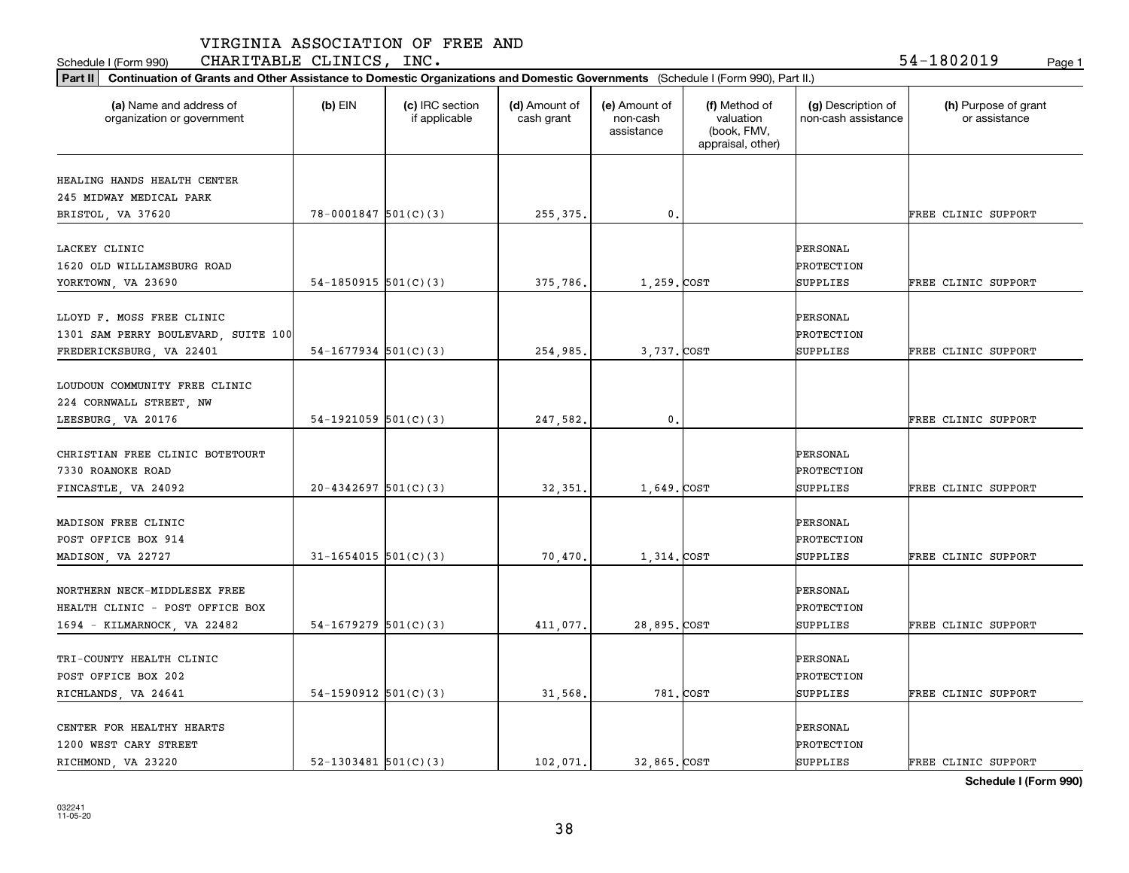Schedule I (Form 990) **CHARITABLE CLINICS, INC.** 54-1802019 <sub>Page 1</sub>

| Part II   Continuation of Grants and Other Assistance to Domestic Organizations and Domestic Governments (Schedule I (Form 990), Part II.) |                            |                                  |                             |                                         |                                                                |                                           |                                       |  |
|--------------------------------------------------------------------------------------------------------------------------------------------|----------------------------|----------------------------------|-----------------------------|-----------------------------------------|----------------------------------------------------------------|-------------------------------------------|---------------------------------------|--|
| (a) Name and address of<br>organization or government                                                                                      | $(b)$ EIN                  | (c) IRC section<br>if applicable | (d) Amount of<br>cash grant | (e) Amount of<br>non-cash<br>assistance | (f) Method of<br>valuation<br>(book, FMV,<br>appraisal, other) | (g) Description of<br>non-cash assistance | (h) Purpose of grant<br>or assistance |  |
|                                                                                                                                            |                            |                                  |                             |                                         |                                                                |                                           |                                       |  |
| HEALING HANDS HEALTH CENTER<br>245 MIDWAY MEDICAL PARK                                                                                     |                            |                                  |                             |                                         |                                                                |                                           |                                       |  |
| BRISTOL, VA 37620                                                                                                                          | $78 - 0001847$ 501(C)(3)   |                                  | 255,375.                    | $\mathfrak{o}$ .                        |                                                                |                                           | FREE CLINIC SUPPORT                   |  |
|                                                                                                                                            |                            |                                  |                             |                                         |                                                                |                                           |                                       |  |
| LACKEY CLINIC                                                                                                                              |                            |                                  |                             |                                         |                                                                | <b>PERSONAL</b>                           |                                       |  |
| 1620 OLD WILLIAMSBURG ROAD                                                                                                                 |                            |                                  |                             |                                         |                                                                | PROTECTION                                |                                       |  |
| YORKTOWN, VA 23690                                                                                                                         | 54-1850915 $501(C)(3)$     |                                  | 375,786.                    | 1,259. COST                             |                                                                | SUPPLIES                                  | FREE CLINIC SUPPORT                   |  |
|                                                                                                                                            |                            |                                  |                             |                                         |                                                                |                                           |                                       |  |
| LLOYD F. MOSS FREE CLINIC                                                                                                                  |                            |                                  |                             |                                         |                                                                | PERSONAL                                  |                                       |  |
| 1301 SAM PERRY BOULEVARD, SUITE 100                                                                                                        |                            |                                  |                             |                                         |                                                                | PROTECTION                                |                                       |  |
| FREDERICKSBURG, VA 22401                                                                                                                   | $54-1677934$ 501(C)(3)     |                                  | 254,985.                    | 3,737. COST                             |                                                                | SUPPLIES                                  | FREE CLINIC SUPPORT                   |  |
|                                                                                                                                            |                            |                                  |                             |                                         |                                                                |                                           |                                       |  |
| LOUDOUN COMMUNITY FREE CLINIC                                                                                                              |                            |                                  |                             |                                         |                                                                |                                           |                                       |  |
| 224 CORNWALL STREET, NW                                                                                                                    |                            |                                  |                             |                                         |                                                                |                                           |                                       |  |
| LEESBURG, VA 20176                                                                                                                         | 54-1921059 $501(C)(3)$     |                                  | 247,582.                    | $\mathfrak{o}$ .                        |                                                                |                                           | FREE CLINIC SUPPORT                   |  |
| CHRISTIAN FREE CLINIC BOTETOURT                                                                                                            |                            |                                  |                             |                                         |                                                                | <b>PERSONAL</b>                           |                                       |  |
| 7330 ROANOKE ROAD                                                                                                                          |                            |                                  |                             |                                         |                                                                | PROTECTION                                |                                       |  |
| FINCASTLE, VA 24092                                                                                                                        | $20 - 4342697$ 501(C)(3)   |                                  | 32,351                      | 1,649. COST                             |                                                                | SUPPLIES                                  | FREE CLINIC SUPPORT                   |  |
|                                                                                                                                            |                            |                                  |                             |                                         |                                                                |                                           |                                       |  |
| MADISON FREE CLINIC                                                                                                                        |                            |                                  |                             |                                         |                                                                | PERSONAL                                  |                                       |  |
| POST OFFICE BOX 914                                                                                                                        |                            |                                  |                             |                                         |                                                                | PROTECTION                                |                                       |  |
| MADISON, VA 22727                                                                                                                          | $31 - 1654015$ 501(C)(3)   |                                  | 70,470.                     | 1,314.COST                              |                                                                | SUPPLIES                                  | FREE CLINIC SUPPORT                   |  |
|                                                                                                                                            |                            |                                  |                             |                                         |                                                                |                                           |                                       |  |
| NORTHERN NECK-MIDDLESEX FREE                                                                                                               |                            |                                  |                             |                                         |                                                                | PERSONAL                                  |                                       |  |
| HEALTH CLINIC - POST OFFICE BOX                                                                                                            |                            |                                  |                             |                                         |                                                                | PROTECTION                                |                                       |  |
| 1694 - KILMARNOCK, VA 22482                                                                                                                | $54-1679279$ $501(C)(3)$   |                                  | 411,077.                    | 28,895.COST                             |                                                                | SUPPLIES                                  | FREE CLINIC SUPPORT                   |  |
| TRI-COUNTY HEALTH CLINIC                                                                                                                   |                            |                                  |                             |                                         |                                                                | PERSONAL                                  |                                       |  |
| POST OFFICE BOX 202                                                                                                                        |                            |                                  |                             |                                         |                                                                | PROTECTION                                |                                       |  |
|                                                                                                                                            | $54-1590912$ $501(C)(3)$   |                                  |                             |                                         | 781. COST                                                      | SUPPLIES                                  | FREE CLINIC SUPPORT                   |  |
| RICHLANDS, VA 24641                                                                                                                        |                            |                                  | 31,568.                     |                                         |                                                                |                                           |                                       |  |
| CENTER FOR HEALTHY HEARTS                                                                                                                  |                            |                                  |                             |                                         |                                                                | <b>PERSONAL</b>                           |                                       |  |
| 1200 WEST CARY STREET                                                                                                                      |                            |                                  |                             |                                         |                                                                | PROTECTION                                |                                       |  |
| RICHMOND, VA 23220                                                                                                                         | $52 - 1303481$ $501(C)(3)$ |                                  | 102.071.                    | 32.865. COST                            |                                                                | <b>SUPPLIES</b>                           | FREE CLINIC SUPPORT                   |  |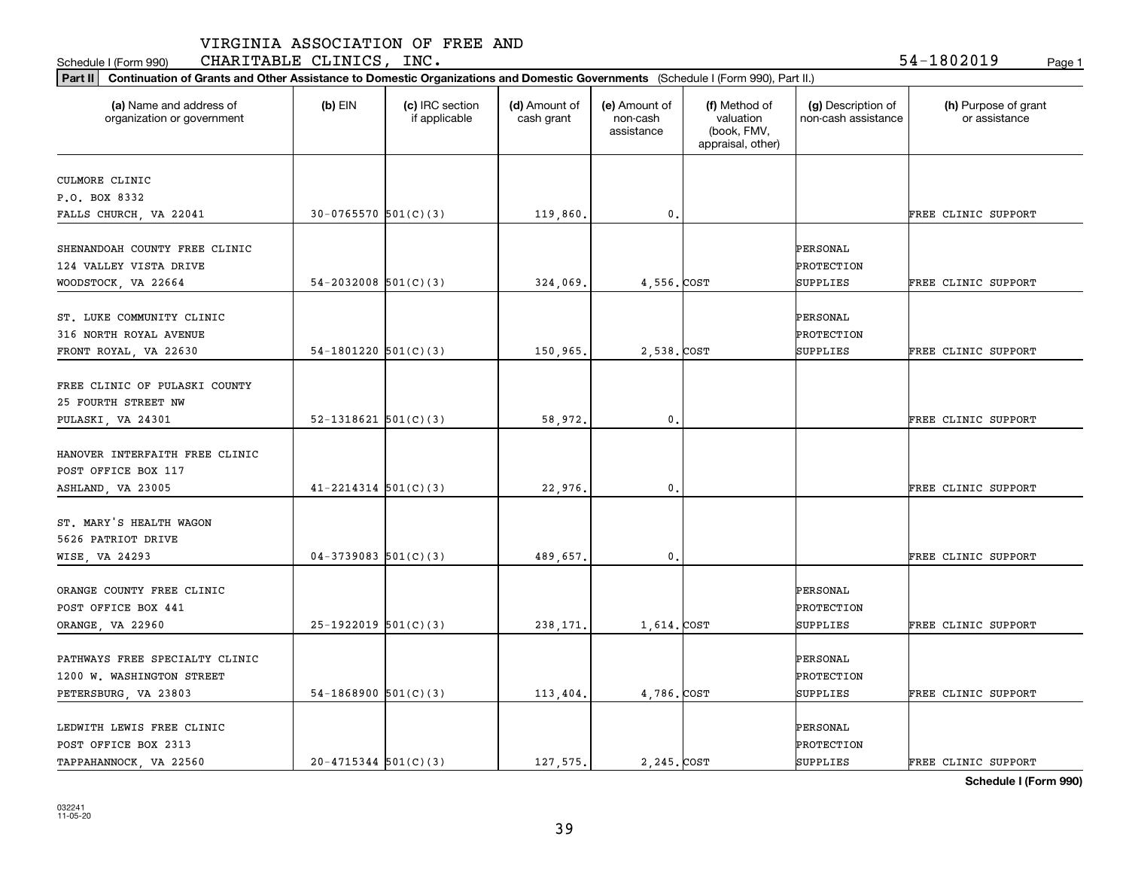Schedule I (Form 990) **CHARITABLE CLINICS, INC.** 54-1802019 <sub>Page 1</sub>

| (a) Name and address of<br>organization or government | $(b)$ EIN                  | (c) IRC section<br>if applicable | (d) Amount of<br>cash grant | (e) Amount of<br>non-cash<br>assistance | (f) Method of<br>valuation<br>(book, FMV,<br>appraisal, other) | (g) Description of<br>non-cash assistance | (h) Purpose of grant<br>or assistance |
|-------------------------------------------------------|----------------------------|----------------------------------|-----------------------------|-----------------------------------------|----------------------------------------------------------------|-------------------------------------------|---------------------------------------|
| CULMORE CLINIC                                        |                            |                                  |                             |                                         |                                                                |                                           |                                       |
| P.O. BOX 8332                                         |                            |                                  |                             |                                         |                                                                |                                           |                                       |
| FALLS CHURCH, VA 22041                                | $30-0765570$ 501(C)(3)     |                                  | 119,860.                    | 0.                                      |                                                                |                                           | FREE CLINIC SUPPORT                   |
|                                                       |                            |                                  |                             |                                         |                                                                |                                           |                                       |
| SHENANDOAH COUNTY FREE CLINIC                         |                            |                                  |                             |                                         |                                                                | PERSONAL                                  |                                       |
| 124 VALLEY VISTA DRIVE                                |                            |                                  |                             |                                         |                                                                | PROTECTION                                |                                       |
| WOODSTOCK, VA 22664                                   | $54 - 2032008$ $501(C)(3)$ |                                  | 324,069                     | 4,556.COST                              |                                                                | SUPPLIES                                  | FREE CLINIC SUPPORT                   |
| ST. LUKE COMMUNITY CLINIC                             |                            |                                  |                             |                                         |                                                                | PERSONAL                                  |                                       |
| 316 NORTH ROYAL AVENUE                                |                            |                                  |                             |                                         |                                                                | PROTECTION                                |                                       |
| FRONT ROYAL, VA 22630                                 | $54-1801220$ $501(C)(3)$   |                                  | 150,965.                    | 2,538. COST                             |                                                                | SUPPLIES                                  | FREE CLINIC SUPPORT                   |
|                                                       |                            |                                  |                             |                                         |                                                                |                                           |                                       |
| FREE CLINIC OF PULASKI COUNTY                         |                            |                                  |                             |                                         |                                                                |                                           |                                       |
| 25 FOURTH STREET NW                                   |                            |                                  |                             |                                         |                                                                |                                           |                                       |
| PULASKI, VA 24301                                     | $52-1318621$ $501(C)(3)$   |                                  | 58,972.                     | 0.                                      |                                                                |                                           | FREE CLINIC SUPPORT                   |
| HANOVER INTERFAITH FREE CLINIC                        |                            |                                  |                             |                                         |                                                                |                                           |                                       |
| POST OFFICE BOX 117                                   |                            |                                  |                             |                                         |                                                                |                                           |                                       |
| ASHLAND, VA 23005                                     | $41 - 2214314$ 501(C)(3)   |                                  | 22,976.                     | 0.                                      |                                                                |                                           | FREE CLINIC SUPPORT                   |
|                                                       |                            |                                  |                             |                                         |                                                                |                                           |                                       |
| ST. MARY'S HEALTH WAGON                               |                            |                                  |                             |                                         |                                                                |                                           |                                       |
| 5626 PATRIOT DRIVE                                    |                            |                                  |                             |                                         |                                                                |                                           |                                       |
| WISE, VA 24293                                        | $04-3739083$ 501(C)(3)     |                                  | 489,657.                    | 0.                                      |                                                                |                                           | FREE CLINIC SUPPORT                   |
| ORANGE COUNTY FREE CLINIC                             |                            |                                  |                             |                                         |                                                                | PERSONAL                                  |                                       |
| POST OFFICE BOX 441                                   |                            |                                  |                             |                                         |                                                                | PROTECTION                                |                                       |
|                                                       |                            |                                  |                             |                                         |                                                                |                                           |                                       |
| ORANGE, VA 22960                                      | $25-1922019$ 501(C)(3)     |                                  | 238, 171.                   | 1,614.COST                              |                                                                | SUPPLIES                                  | FREE CLINIC SUPPORT                   |
| PATHWAYS FREE SPECIALTY CLINIC                        |                            |                                  |                             |                                         |                                                                | PERSONAL                                  |                                       |
| 1200 W. WASHINGTON STREET                             |                            |                                  |                             |                                         |                                                                | PROTECTION                                |                                       |
| PETERSBURG, VA 23803                                  | $54-1868900$ $501(C)(3)$   |                                  | 113,404.                    | 4,786.COST                              |                                                                | SUPPLIES                                  | FREE CLINIC SUPPORT                   |
|                                                       |                            |                                  |                             |                                         |                                                                |                                           |                                       |
| LEDWITH LEWIS FREE CLINIC                             |                            |                                  |                             |                                         |                                                                | PERSONAL                                  |                                       |
| POST OFFICE BOX 2313                                  |                            |                                  |                             |                                         |                                                                | PROTECTION                                |                                       |
| TAPPAHANNOCK, VA 22560                                | $20 - 4715344$ $501(C)(3)$ |                                  | 127.575.                    | 2,245. COST                             |                                                                | <b>SUPPLIES</b>                           | FREE CLINIC SUPPORT                   |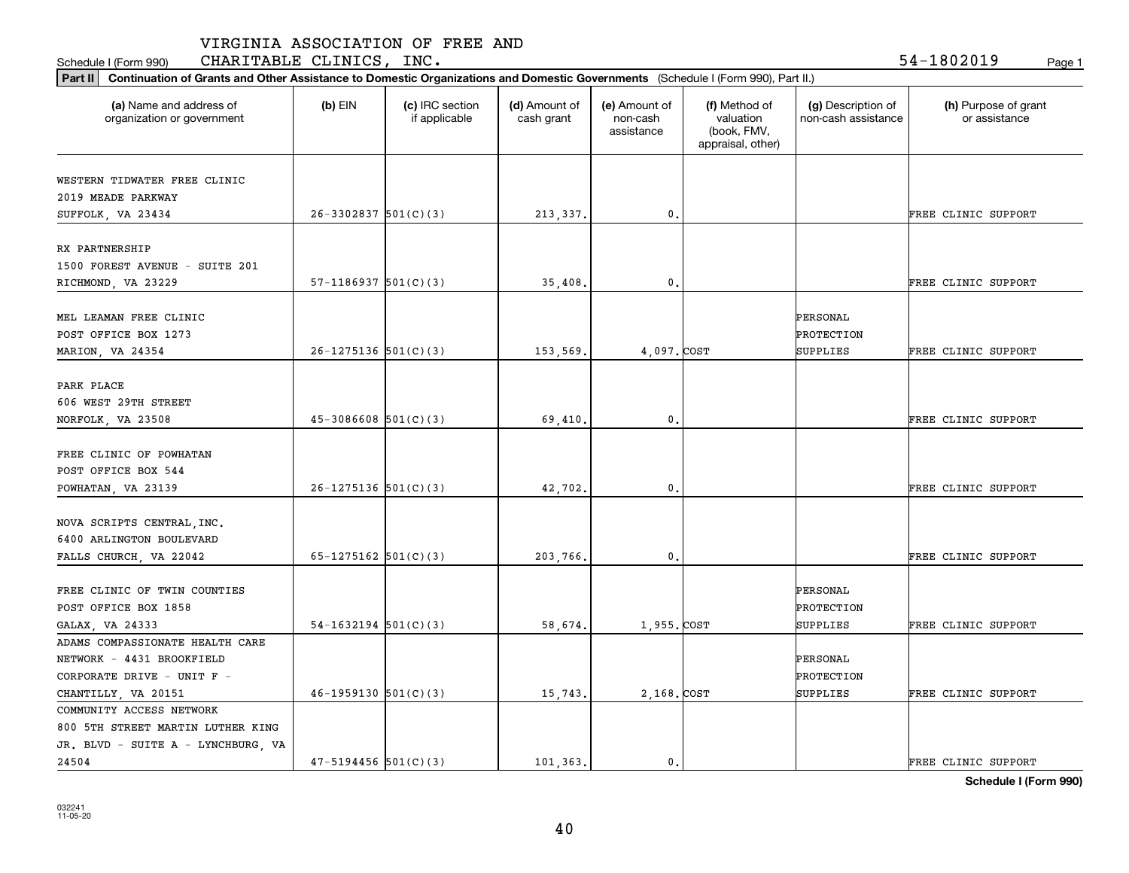Schedule I (Form 990) **CHARITABLE CLINICS, INC.** 54-1802019 <sub>Page 1</sub>

| Part II   Continuation of Grants and Other Assistance to Domestic Organizations and Domestic Governments (Schedule I (Form 990), Part II.) |                            |                                  |                             |                                         |                                                                |                                           |                                       |
|--------------------------------------------------------------------------------------------------------------------------------------------|----------------------------|----------------------------------|-----------------------------|-----------------------------------------|----------------------------------------------------------------|-------------------------------------------|---------------------------------------|
| (a) Name and address of<br>organization or government                                                                                      | $(b)$ EIN                  | (c) IRC section<br>if applicable | (d) Amount of<br>cash grant | (e) Amount of<br>non-cash<br>assistance | (f) Method of<br>valuation<br>(book, FMV,<br>appraisal, other) | (g) Description of<br>non-cash assistance | (h) Purpose of grant<br>or assistance |
|                                                                                                                                            |                            |                                  |                             |                                         |                                                                |                                           |                                       |
| WESTERN TIDWATER FREE CLINIC                                                                                                               |                            |                                  |                             |                                         |                                                                |                                           |                                       |
| 2019 MEADE PARKWAY                                                                                                                         | $26-3302837$ 501(C)(3)     |                                  |                             | 0.                                      |                                                                |                                           | FREE CLINIC SUPPORT                   |
| SUFFOLK, VA 23434                                                                                                                          |                            |                                  | 213, 337.                   |                                         |                                                                |                                           |                                       |
| RX PARTNERSHIP                                                                                                                             |                            |                                  |                             |                                         |                                                                |                                           |                                       |
| 1500 FOREST AVENUE - SUITE 201                                                                                                             |                            |                                  |                             |                                         |                                                                |                                           |                                       |
|                                                                                                                                            | $57-1186937$ $501(C)(3)$   |                                  | 35,408.                     | 0.                                      |                                                                |                                           | FREE CLINIC SUPPORT                   |
| RICHMOND, VA 23229                                                                                                                         |                            |                                  |                             |                                         |                                                                |                                           |                                       |
| MEL LEAMAN FREE CLINIC                                                                                                                     |                            |                                  |                             |                                         |                                                                | PERSONAL                                  |                                       |
| POST OFFICE BOX 1273                                                                                                                       |                            |                                  |                             |                                         |                                                                | PROTECTION                                |                                       |
|                                                                                                                                            | $26-1275136$ 501(C)(3)     |                                  |                             | 4,097.COST                              |                                                                | SUPPLIES                                  |                                       |
| MARION, VA 24354                                                                                                                           |                            |                                  | 153,569.                    |                                         |                                                                |                                           | FREE CLINIC SUPPORT                   |
| PARK PLACE                                                                                                                                 |                            |                                  |                             |                                         |                                                                |                                           |                                       |
| 606 WEST 29TH STREET                                                                                                                       |                            |                                  |                             |                                         |                                                                |                                           |                                       |
|                                                                                                                                            |                            |                                  |                             | 0.                                      |                                                                |                                           | FREE CLINIC SUPPORT                   |
| NORFOLK, VA 23508                                                                                                                          | $45-3086608$ $501(C)(3)$   |                                  | 69,410.                     |                                         |                                                                |                                           |                                       |
| FREE CLINIC OF POWHATAN                                                                                                                    |                            |                                  |                             |                                         |                                                                |                                           |                                       |
| POST OFFICE BOX 544                                                                                                                        |                            |                                  |                             |                                         |                                                                |                                           |                                       |
|                                                                                                                                            | $26 - 1275136$ $501(C)(3)$ |                                  |                             | 0.                                      |                                                                |                                           | FREE CLINIC SUPPORT                   |
| POWHATAN, VA 23139                                                                                                                         |                            |                                  | 42,702.                     |                                         |                                                                |                                           |                                       |
| NOVA SCRIPTS CENTRAL INC.                                                                                                                  |                            |                                  |                             |                                         |                                                                |                                           |                                       |
| 6400 ARLINGTON BOULEVARD                                                                                                                   |                            |                                  |                             |                                         |                                                                |                                           |                                       |
| FALLS CHURCH, VA 22042                                                                                                                     | 65-1275162 $501(C)(3)$     |                                  | 203,766.                    | 0.                                      |                                                                |                                           | FREE CLINIC SUPPORT                   |
|                                                                                                                                            |                            |                                  |                             |                                         |                                                                |                                           |                                       |
| FREE CLINIC OF TWIN COUNTIES                                                                                                               |                            |                                  |                             |                                         |                                                                | PERSONAL                                  |                                       |
| POST OFFICE BOX 1858                                                                                                                       |                            |                                  |                             |                                         |                                                                | PROTECTION                                |                                       |
|                                                                                                                                            | $54-1632194$ $501(C)(3)$   |                                  | 58,674.                     | 1,955. COST                             |                                                                | SUPPLIES                                  | FREE CLINIC SUPPORT                   |
| GALAX, VA 24333                                                                                                                            |                            |                                  |                             |                                         |                                                                |                                           |                                       |
| ADAMS COMPASSIONATE HEALTH CARE                                                                                                            |                            |                                  |                             |                                         |                                                                | PERSONAL                                  |                                       |
| NETWORK - 4431 BROOKFIELD                                                                                                                  |                            |                                  |                             |                                         |                                                                |                                           |                                       |
| CORPORATE DRIVE - UNIT F -                                                                                                                 |                            |                                  |                             |                                         |                                                                | PROTECTION                                |                                       |
| CHANTILLY, VA 20151                                                                                                                        | $46-1959130$ $501(C)(3)$   |                                  | 15,743.                     | 2,168. COST                             |                                                                | SUPPLIES                                  | FREE CLINIC SUPPORT                   |
| COMMUNITY ACCESS NETWORK                                                                                                                   |                            |                                  |                             |                                         |                                                                |                                           |                                       |
| 800 5TH STREET MARTIN LUTHER KING                                                                                                          |                            |                                  |                             |                                         |                                                                |                                           |                                       |
| JR. BLVD - SUITE A - LYNCHBURG, VA                                                                                                         |                            |                                  |                             |                                         |                                                                |                                           |                                       |
| 24504                                                                                                                                      | $47 - 5194456$ $501(C)(3)$ |                                  | 101.363.                    | $\mathfrak{o}$ .                        |                                                                |                                           | FREE CLINIC SUPPORT                   |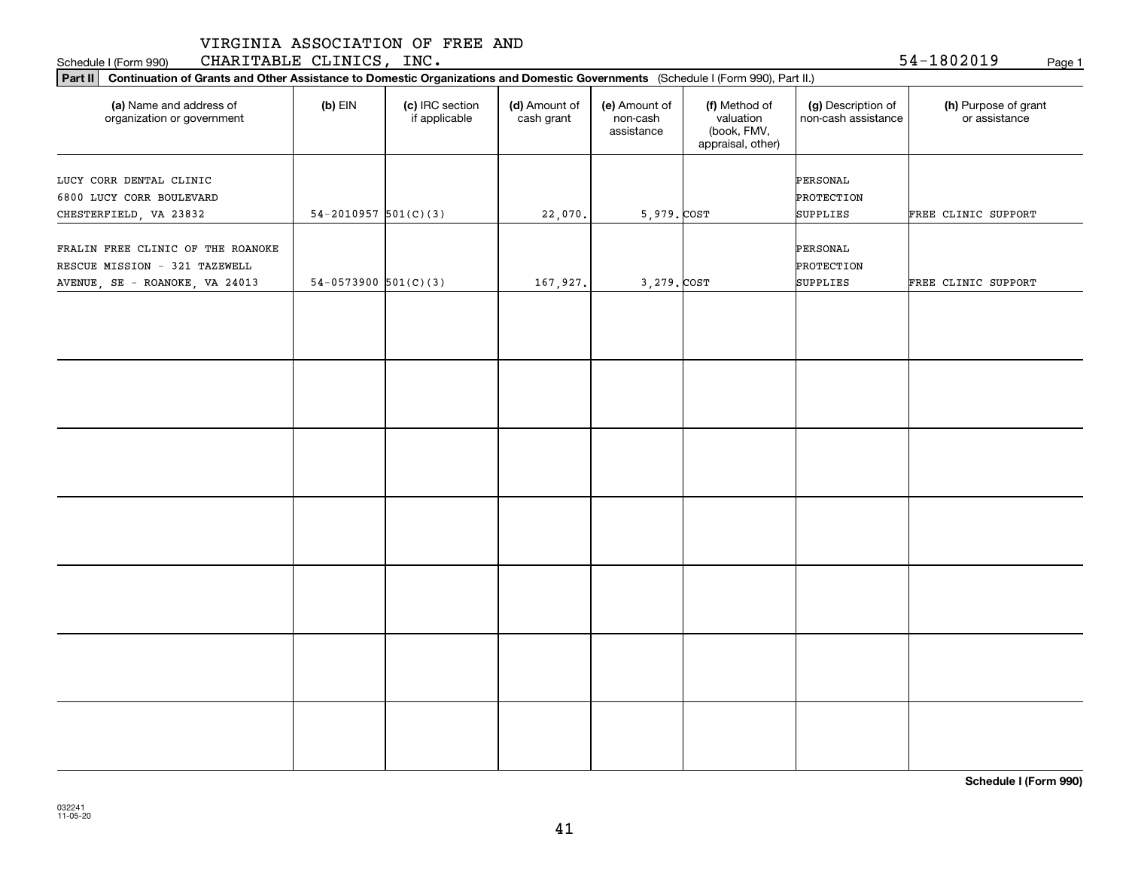|  | VIRGINIA ASSOCIATION OF FREE AND |  |  |  |
|--|----------------------------------|--|--|--|
|--|----------------------------------|--|--|--|

Schedule I (Form 990) **CHARITABLE CLINICS, INC.** 54-1802019 <sub>Page 1</sub>

| Part II   Continuation of Grants and Other Assistance to Domestic Organizations and Domestic Governments (Schedule I (Form 990), Part II.) |                          |                                  |                             |                                         |                                                                |                                           |                                       |
|--------------------------------------------------------------------------------------------------------------------------------------------|--------------------------|----------------------------------|-----------------------------|-----------------------------------------|----------------------------------------------------------------|-------------------------------------------|---------------------------------------|
| (a) Name and address of<br>organization or government                                                                                      | $(b)$ EIN                | (c) IRC section<br>if applicable | (d) Amount of<br>cash grant | (e) Amount of<br>non-cash<br>assistance | (f) Method of<br>valuation<br>(book, FMV,<br>appraisal, other) | (g) Description of<br>non-cash assistance | (h) Purpose of grant<br>or assistance |
|                                                                                                                                            |                          |                                  |                             |                                         |                                                                |                                           |                                       |
| LUCY CORR DENTAL CLINIC<br>6800 LUCY CORR BOULEVARD                                                                                        |                          |                                  |                             |                                         |                                                                | PERSONAL<br>PROTECTION                    |                                       |
| CHESTERFIELD, VA 23832                                                                                                                     | $54-2010957$ $501(C)(3)$ |                                  | 22,070.                     | 5,979. COST                             |                                                                | SUPPLIES                                  | FREE CLINIC SUPPORT                   |
|                                                                                                                                            |                          |                                  |                             |                                         |                                                                |                                           |                                       |
| FRALIN FREE CLINIC OF THE ROANOKE                                                                                                          |                          |                                  |                             |                                         |                                                                | PERSONAL                                  |                                       |
| RESCUE MISSION - 321 TAZEWELL                                                                                                              |                          |                                  |                             |                                         |                                                                | PROTECTION                                |                                       |
| AVENUE, SE - ROANOKE, VA 24013                                                                                                             | $54-0573900$ $501(C)(3)$ |                                  | 167,927.                    | 3,279. COST                             |                                                                | SUPPLIES                                  | FREE CLINIC SUPPORT                   |
|                                                                                                                                            |                          |                                  |                             |                                         |                                                                |                                           |                                       |
|                                                                                                                                            |                          |                                  |                             |                                         |                                                                |                                           |                                       |
|                                                                                                                                            |                          |                                  |                             |                                         |                                                                |                                           |                                       |
|                                                                                                                                            |                          |                                  |                             |                                         |                                                                |                                           |                                       |
|                                                                                                                                            |                          |                                  |                             |                                         |                                                                |                                           |                                       |
|                                                                                                                                            |                          |                                  |                             |                                         |                                                                |                                           |                                       |
|                                                                                                                                            |                          |                                  |                             |                                         |                                                                |                                           |                                       |
|                                                                                                                                            |                          |                                  |                             |                                         |                                                                |                                           |                                       |
|                                                                                                                                            |                          |                                  |                             |                                         |                                                                |                                           |                                       |
|                                                                                                                                            |                          |                                  |                             |                                         |                                                                |                                           |                                       |
|                                                                                                                                            |                          |                                  |                             |                                         |                                                                |                                           |                                       |
|                                                                                                                                            |                          |                                  |                             |                                         |                                                                |                                           |                                       |
|                                                                                                                                            |                          |                                  |                             |                                         |                                                                |                                           |                                       |
|                                                                                                                                            |                          |                                  |                             |                                         |                                                                |                                           |                                       |
|                                                                                                                                            |                          |                                  |                             |                                         |                                                                |                                           |                                       |
|                                                                                                                                            |                          |                                  |                             |                                         |                                                                |                                           |                                       |
|                                                                                                                                            |                          |                                  |                             |                                         |                                                                |                                           |                                       |
|                                                                                                                                            |                          |                                  |                             |                                         |                                                                |                                           |                                       |
|                                                                                                                                            |                          |                                  |                             |                                         |                                                                |                                           |                                       |
|                                                                                                                                            |                          |                                  |                             |                                         |                                                                |                                           |                                       |
|                                                                                                                                            |                          |                                  |                             |                                         |                                                                |                                           |                                       |
|                                                                                                                                            |                          |                                  |                             |                                         |                                                                |                                           |                                       |
|                                                                                                                                            |                          |                                  |                             |                                         |                                                                |                                           |                                       |
|                                                                                                                                            |                          |                                  |                             |                                         |                                                                |                                           |                                       |
|                                                                                                                                            |                          |                                  |                             |                                         |                                                                |                                           |                                       |
|                                                                                                                                            |                          |                                  |                             |                                         |                                                                |                                           |                                       |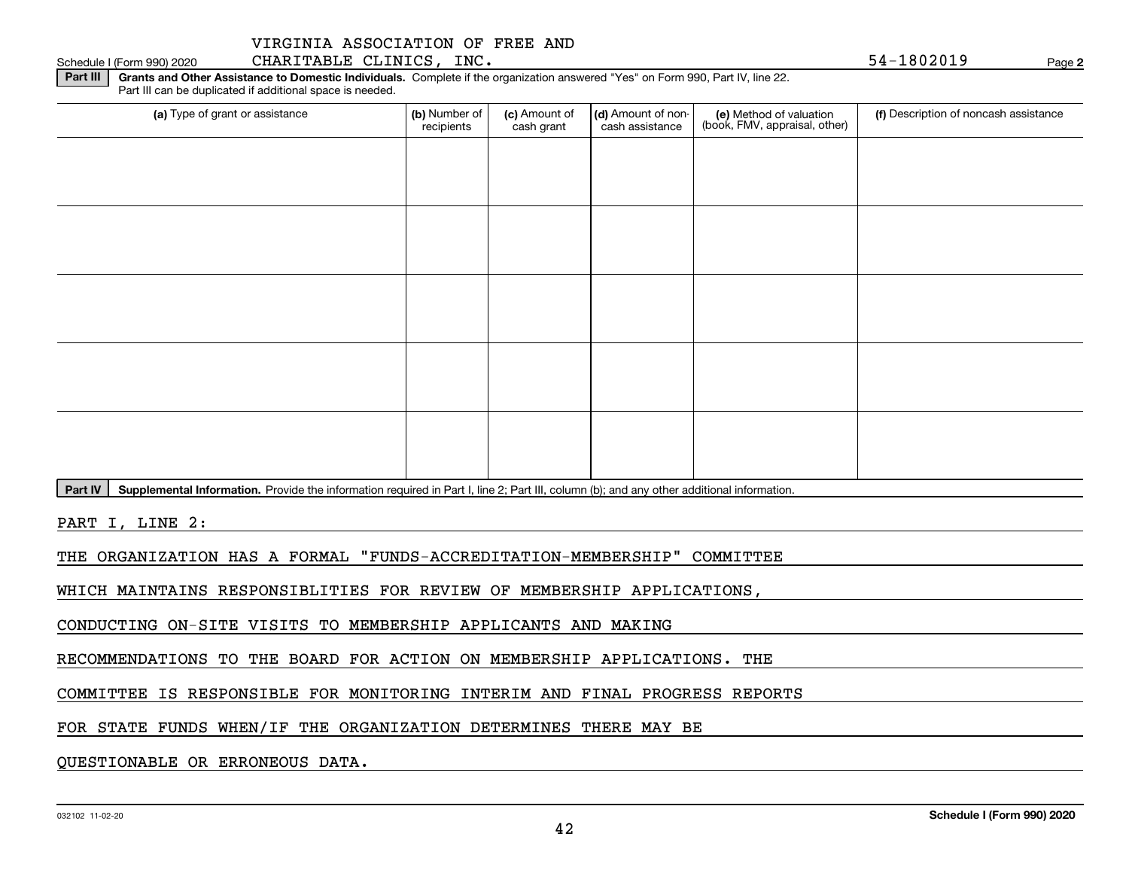### Schedule I (Form 990) 2020 Page CHARITABLE CLINICS, INC. 54-1802019

**2**

**Part III | Grants and Other Assistance to Domestic Individuals. Complete if the organization answered "Yes" on Form 990, Part IV, line 22.** Part III can be duplicated if additional space is needed.

| (b) Number of<br>recipients | (c) Amount of<br>cash grant | cash assistance | (e) Method of valuation<br>(book, FMV, appraisal, other) | (f) Description of noncash assistance |
|-----------------------------|-----------------------------|-----------------|----------------------------------------------------------|---------------------------------------|
|                             |                             |                 |                                                          |                                       |
|                             |                             |                 |                                                          |                                       |
|                             |                             |                 |                                                          |                                       |
|                             |                             |                 |                                                          |                                       |
|                             |                             |                 |                                                          |                                       |
|                             |                             |                 |                                                          |                                       |
|                             |                             |                 |                                                          |                                       |
|                             |                             |                 |                                                          |                                       |
|                             |                             |                 |                                                          |                                       |
|                             |                             |                 |                                                          |                                       |
|                             |                             |                 |                                                          | (d) Amount of non-                    |

Part IV | Supplemental Information. Provide the information required in Part I, line 2; Part III, column (b); and any other additional information.

PART I, LINE 2:

THE ORGANIZATION HAS A FORMAL "FUNDS-ACCREDITATION-MEMBERSHIP" COMMITTEE

WHICH MAINTAINS RESPONSIBLITIES FOR REVIEW OF MEMBERSHIP APPLICATIONS,

CONDUCTING ON-SITE VISITS TO MEMBERSHIP APPLICANTS AND MAKING

RECOMMENDATIONS TO THE BOARD FOR ACTION ON MEMBERSHIP APPLICATIONS. THE

COMMITTEE IS RESPONSIBLE FOR MONITORING INTERIM AND FINAL PROGRESS REPORTS

FOR STATE FUNDS WHEN/IF THE ORGANIZATION DETERMINES THERE MAY BE

QUESTIONABLE OR ERRONEOUS DATA.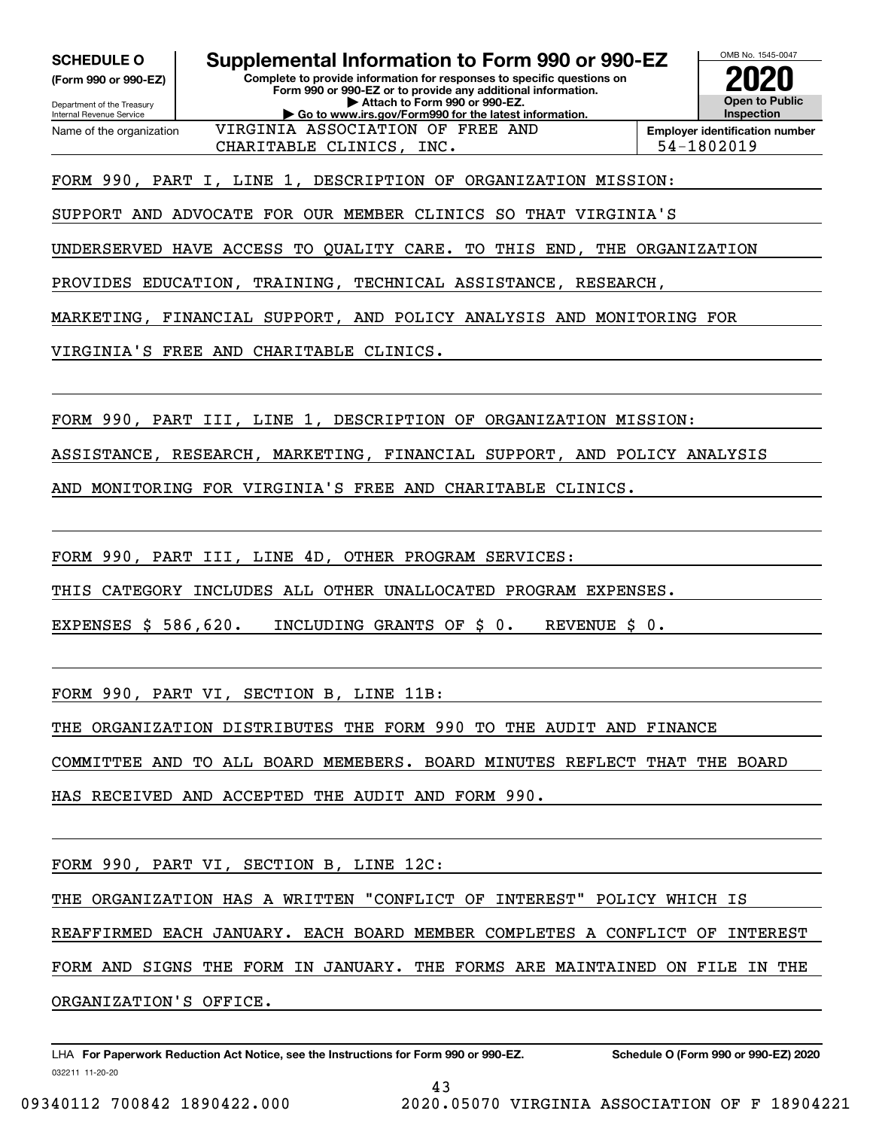**SCHEDULE O Supplemental Information to Form 990 or 990-EZ**

Internal Revenue Service

Department of the Treasury **(Form 990 or 990-EZ)**

Name of the organization

**Complete to provide information for responses to specific questions on Form 990 or 990-EZ or to provide any additional information. | Attach to Form 990 or 990-EZ. | Go to www.irs.gov/Form990 for the latest information.**

VIRGINIA ASSOCIATION OF FREE AND



**Employer identification number** CHARITABLE CLINICS, INC. 54-1802019

FORM 990, PART I, LINE 1, DESCRIPTION OF ORGANIZATION MISSION:

SUPPORT AND ADVOCATE FOR OUR MEMBER CLINICS SO THAT VIRGINIA'S

UNDERSERVED HAVE ACCESS TO QUALITY CARE. TO THIS END, THE ORGANIZATION

PROVIDES EDUCATION, TRAINING, TECHNICAL ASSISTANCE, RESEARCH,

MARKETING, FINANCIAL SUPPORT, AND POLICY ANALYSIS AND MONITORING FOR

VIRGINIA'S FREE AND CHARITABLE CLINICS.

FORM 990, PART III, LINE 1, DESCRIPTION OF ORGANIZATION MISSION:

ASSISTANCE, RESEARCH, MARKETING, FINANCIAL SUPPORT, AND POLICY ANALYSIS

AND MONITORING FOR VIRGINIA'S FREE AND CHARITABLE CLINICS.

FORM 990, PART III, LINE 4D, OTHER PROGRAM SERVICES:

THIS CATEGORY INCLUDES ALL OTHER UNALLOCATED PROGRAM EXPENSES.

EXPENSES \$ 586,620. INCLUDING GRANTS OF \$ 0. REVENUE \$ 0.

FORM 990, PART VI, SECTION B, LINE 11B:

THE ORGANIZATION DISTRIBUTES THE FORM 990 TO THE AUDIT AND FINANCE

COMMITTEE AND TO ALL BOARD MEMEBERS. BOARD MINUTES REFLECT THAT THE BOARD

HAS RECEIVED AND ACCEPTED THE AUDIT AND FORM 990.

FORM 990, PART VI, SECTION B, LINE 12C:

THE ORGANIZATION HAS A WRITTEN "CONFLICT OF INTEREST" POLICY WHICH IS

REAFFIRMED EACH JANUARY. EACH BOARD MEMBER COMPLETES A CONFLICT OF INTEREST

FORM AND SIGNS THE FORM IN JANUARY. THE FORMS ARE MAINTAINED ON FILE IN THE

ORGANIZATION'S OFFICE.

032211 11-20-20 LHA For Paperwork Reduction Act Notice, see the Instructions for Form 990 or 990-EZ. Schedule O (Form 990 or 990-EZ) 2020